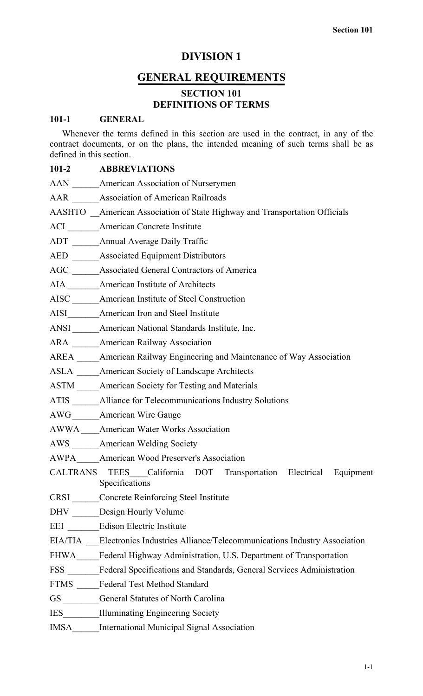# **DIVISION 1**

# **GENERAL REQUIREMENTS**

# **SECTION 101 DEFINITIONS OF TERMS**

# **101-1 GENERAL**

Whenever the terms defined in this section are used in the contract, in any of the contract documents, or on the plans, the intended meaning of such terms shall be as defined in this section.

# **101-2 ABBREVIATIONS**

|             | AAN ______ American Association of Nurserymen                                      |
|-------------|------------------------------------------------------------------------------------|
|             | AAR ______ Association of American Railroads                                       |
|             | AASHTO _American Association of State Highway and Transportation Officials         |
|             | ACI _______ American Concrete Institute                                            |
|             | ADT Annual Average Daily Traffic                                                   |
|             | AED ______ Associated Equipment Distributors                                       |
|             | AGC ______ Associated General Contractors of America                               |
|             | AIA ________ American Institute of Architects                                      |
|             | AISC ______ American Institute of Steel Construction                               |
|             | AISI American Iron and Steel Institute                                             |
|             | ANSI ______ American National Standards Institute, Inc.                            |
|             | ARA ______American Railway Association                                             |
|             | AREA _____American Railway Engineering and Maintenance of Way Association          |
|             | ASLA _____ American Society of Landscape Architects                                |
|             | ASTM ______ American Society for Testing and Materials                             |
|             | ATIS _______ Alliance for Telecommunications Industry Solutions                    |
|             | AWG _______ American Wire Gauge                                                    |
|             | AWWA___American Water Works Association                                            |
|             | AWS ______ American Welding Society                                                |
|             | AWPA American Wood Preserver's Association                                         |
|             | CALTRANS TEES California DOT Transportation Electrical Equipment<br>Specifications |
|             | CRSI Concrete Reinforcing Steel Institute                                          |
|             | DHV Design Hourly Volume                                                           |
|             | EEI Edison Electric Institute                                                      |
|             | EIA/TIA Electronics Industries Alliance/Telecommunications Industry Association    |
|             | FHWA Federal Highway Administration, U.S. Department of Transportation             |
|             | FSS Federal Specifications and Standards, General Services Administration          |
|             | FTMS Federal Test Method Standard                                                  |
|             | GS General Statutes of North Carolina                                              |
|             | IES Illuminating Engineering Society                                               |
| <b>IMSA</b> | <b>International Municipal Signal Association</b>                                  |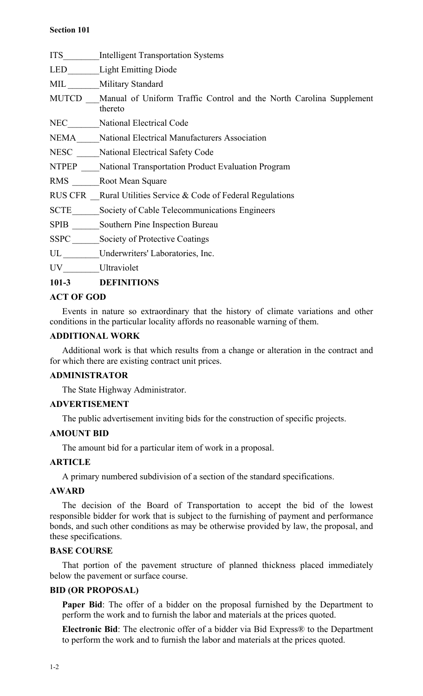## **Section 101**

ITS\_\_\_\_\_\_\_\_Intelligent Transportation Systems

LED\_\_\_\_\_\_\_Light Emitting Diode

MIL Military Standard

MUTCD Manual of Uniform Traffic Control and the North Carolina Supplement thereto

NEC\_\_\_\_\_\_\_National Electrical Code

NEMA Mational Electrical Manufacturers Association

NESC \_\_\_\_\_National Electrical Safety Code

NTPEP National Transportation Product Evaluation Program

RMS Root Mean Square

RUS CFR Rural Utilities Service & Code of Federal Regulations

SCTE Society of Cable Telecommunications Engineers

SPIB \_\_\_\_\_\_Southern Pine Inspection Bureau

SSPC Society of Protective Coatings

UL \_\_\_\_\_\_\_\_Underwriters' Laboratories, Inc.

UV Ultraviolet

# **101-3 DEFINITIONS**

# **ACT OF GOD**

Events in nature so extraordinary that the history of climate variations and other conditions in the particular locality affords no reasonable warning of them.

# **ADDITIONAL WORK**

Additional work is that which results from a change or alteration in the contract and for which there are existing contract unit prices.

# **ADMINISTRATOR**

The State Highway Administrator.

# **ADVERTISEMENT**

The public advertisement inviting bids for the construction of specific projects.

# **AMOUNT BID**

The amount bid for a particular item of work in a proposal.

# **ARTICLE**

A primary numbered subdivision of a section of the standard specifications.

# **AWARD**

The decision of the Board of Transportation to accept the bid of the lowest responsible bidder for work that is subject to the furnishing of payment and performance bonds, and such other conditions as may be otherwise provided by law, the proposal, and these specifications.

# **BASE COURSE**

That portion of the pavement structure of planned thickness placed immediately below the pavement or surface course.

# **BID (OR PROPOSAL)**

Paper Bid: The offer of a bidder on the proposal furnished by the Department to perform the work and to furnish the labor and materials at the prices quoted.

**Electronic Bid**: The electronic offer of a bidder via Bid Express® to the Department to perform the work and to furnish the labor and materials at the prices quoted.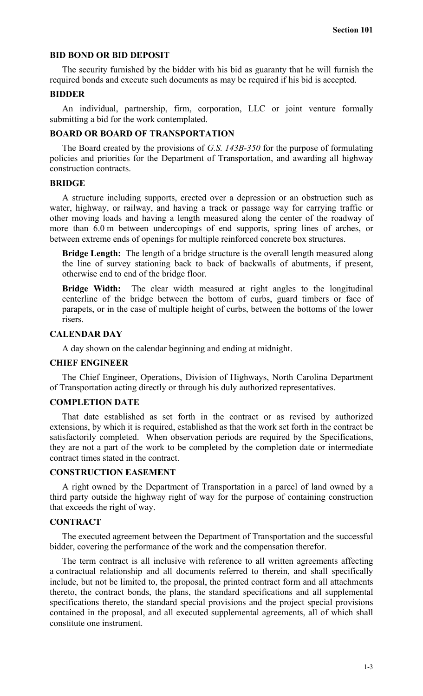### **BID BOND OR BID DEPOSIT**

The security furnished by the bidder with his bid as guaranty that he will furnish the required bonds and execute such documents as may be required if his bid is accepted.

#### **BIDDER**

An individual, partnership, firm, corporation, LLC or joint venture formally submitting a bid for the work contemplated.

# **BOARD OR BOARD OF TRANSPORTATION**

The Board created by the provisions of *G.S. 143B-350* for the purpose of formulating policies and priorities for the Department of Transportation, and awarding all highway construction contracts.

#### **BRIDGE**

A structure including supports, erected over a depression or an obstruction such as water, highway, or railway, and having a track or passage way for carrying traffic or other moving loads and having a length measured along the center of the roadway of more than 6.0 m between undercopings of end supports, spring lines of arches, or between extreme ends of openings for multiple reinforced concrete box structures.

**Bridge Length:** The length of a bridge structure is the overall length measured along the line of survey stationing back to back of backwalls of abutments, if present, otherwise end to end of the bridge floor.

**Bridge Width:** The clear width measured at right angles to the longitudinal centerline of the bridge between the bottom of curbs, guard timbers or face of parapets, or in the case of multiple height of curbs, between the bottoms of the lower risers.

#### **CALENDAR DAY**

A day shown on the calendar beginning and ending at midnight.

#### **CHIEF ENGINEER**

The Chief Engineer, Operations, Division of Highways, North Carolina Department of Transportation acting directly or through his duly authorized representatives.

## **COMPLETION DATE**

That date established as set forth in the contract or as revised by authorized extensions, by which it is required, established as that the work set forth in the contract be satisfactorily completed. When observation periods are required by the Specifications, they are not a part of the work to be completed by the completion date or intermediate contract times stated in the contract.

## **CONSTRUCTION EASEMENT**

A right owned by the Department of Transportation in a parcel of land owned by a third party outside the highway right of way for the purpose of containing construction that exceeds the right of way.

#### **CONTRACT**

The executed agreement between the Department of Transportation and the successful bidder, covering the performance of the work and the compensation therefor.

The term contract is all inclusive with reference to all written agreements affecting a contractual relationship and all documents referred to therein, and shall specifically include, but not be limited to, the proposal, the printed contract form and all attachments thereto, the contract bonds, the plans, the standard specifications and all supplemental specifications thereto, the standard special provisions and the project special provisions contained in the proposal, and all executed supplemental agreements, all of which shall constitute one instrument.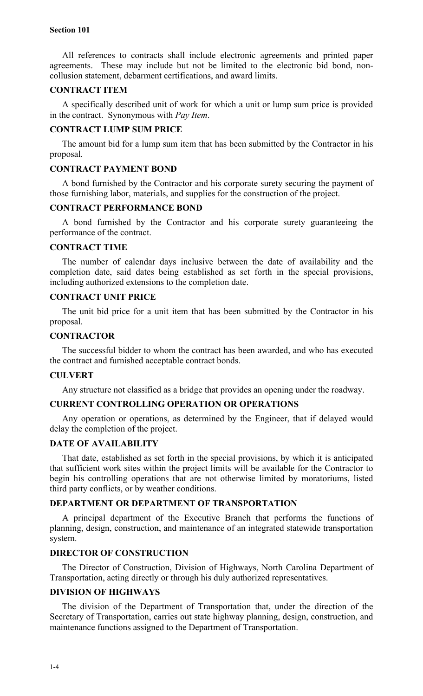### **Section 101**

All references to contracts shall include electronic agreements and printed paper agreements. These may include but not be limited to the electronic bid bond, noncollusion statement, debarment certifications, and award limits.

## **CONTRACT ITEM**

A specifically described unit of work for which a unit or lump sum price is provided in the contract. Synonymous with *Pay Item*.

## **CONTRACT LUMP SUM PRICE**

The amount bid for a lump sum item that has been submitted by the Contractor in his proposal.

## **CONTRACT PAYMENT BOND**

A bond furnished by the Contractor and his corporate surety securing the payment of those furnishing labor, materials, and supplies for the construction of the project.

## **CONTRACT PERFORMANCE BOND**

A bond furnished by the Contractor and his corporate surety guaranteeing the performance of the contract.

## **CONTRACT TIME**

The number of calendar days inclusive between the date of availability and the completion date, said dates being established as set forth in the special provisions, including authorized extensions to the completion date.

## **CONTRACT UNIT PRICE**

The unit bid price for a unit item that has been submitted by the Contractor in his proposal.

## **CONTRACTOR**

The successful bidder to whom the contract has been awarded, and who has executed the contract and furnished acceptable contract bonds.

### **CULVERT**

Any structure not classified as a bridge that provides an opening under the roadway.

## **CURRENT CONTROLLING OPERATION OR OPERATIONS**

Any operation or operations, as determined by the Engineer, that if delayed would delay the completion of the project.

## **DATE OF AVAILABILITY**

That date, established as set forth in the special provisions, by which it is anticipated that sufficient work sites within the project limits will be available for the Contractor to begin his controlling operations that are not otherwise limited by moratoriums, listed third party conflicts, or by weather conditions.

## **DEPARTMENT OR DEPARTMENT OF TRANSPORTATION**

A principal department of the Executive Branch that performs the functions of planning, design, construction, and maintenance of an integrated statewide transportation system.

# **DIRECTOR OF CONSTRUCTION**

The Director of Construction, Division of Highways, North Carolina Department of Transportation, acting directly or through his duly authorized representatives.

## **DIVISION OF HIGHWAYS**

The division of the Department of Transportation that, under the direction of the Secretary of Transportation, carries out state highway planning, design, construction, and maintenance functions assigned to the Department of Transportation.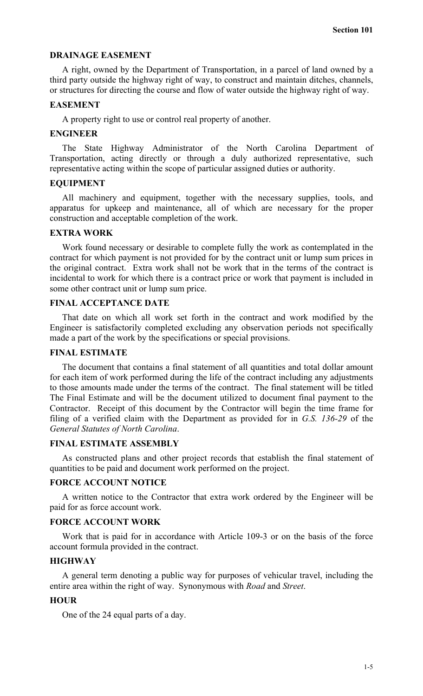## **DRAINAGE EASEMENT**

A right, owned by the Department of Transportation, in a parcel of land owned by a third party outside the highway right of way, to construct and maintain ditches, channels, or structures for directing the course and flow of water outside the highway right of way.

#### **EASEMENT**

A property right to use or control real property of another.

## **ENGINEER**

The State Highway Administrator of the North Carolina Department of Transportation, acting directly or through a duly authorized representative, such representative acting within the scope of particular assigned duties or authority.

#### **EQUIPMENT**

All machinery and equipment, together with the necessary supplies, tools, and apparatus for upkeep and maintenance, all of which are necessary for the proper construction and acceptable completion of the work.

## **EXTRA WORK**

Work found necessary or desirable to complete fully the work as contemplated in the contract for which payment is not provided for by the contract unit or lump sum prices in the original contract. Extra work shall not be work that in the terms of the contract is incidental to work for which there is a contract price or work that payment is included in some other contract unit or lump sum price.

# **FINAL ACCEPTANCE DATE**

That date on which all work set forth in the contract and work modified by the Engineer is satisfactorily completed excluding any observation periods not specifically made a part of the work by the specifications or special provisions.

### **FINAL ESTIMATE**

The document that contains a final statement of all quantities and total dollar amount for each item of work performed during the life of the contract including any adjustments to those amounts made under the terms of the contract. The final statement will be titled The Final Estimate and will be the document utilized to document final payment to the Contractor. Receipt of this document by the Contractor will begin the time frame for filing of a verified claim with the Department as provided for in *G.S. 136-29* of the *General Statutes of North Carolina*.

#### **FINAL ESTIMATE ASSEMBLY**

As constructed plans and other project records that establish the final statement of quantities to be paid and document work performed on the project.

#### **FORCE ACCOUNT NOTICE**

A written notice to the Contractor that extra work ordered by the Engineer will be paid for as force account work.

# **FORCE ACCOUNT WORK**

Work that is paid for in accordance with Article 109-3 or on the basis of the force account formula provided in the contract.

### **HIGHWAY**

A general term denoting a public way for purposes of vehicular travel, including the entire area within the right of way. Synonymous with *Road* and *Street*.

## **HOUR**

One of the 24 equal parts of a day.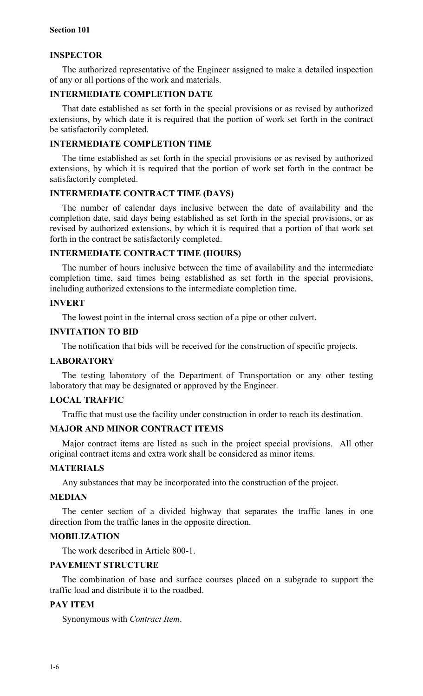## **INSPECTOR**

The authorized representative of the Engineer assigned to make a detailed inspection of any or all portions of the work and materials.

# **INTERMEDIATE COMPLETION DATE**

That date established as set forth in the special provisions or as revised by authorized extensions, by which date it is required that the portion of work set forth in the contract be satisfactorily completed.

## **INTERMEDIATE COMPLETION TIME**

The time established as set forth in the special provisions or as revised by authorized extensions, by which it is required that the portion of work set forth in the contract be satisfactorily completed.

## **INTERMEDIATE CONTRACT TIME (DAYS)**

The number of calendar days inclusive between the date of availability and the completion date, said days being established as set forth in the special provisions, or as revised by authorized extensions, by which it is required that a portion of that work set forth in the contract be satisfactorily completed.

## **INTERMEDIATE CONTRACT TIME (HOURS)**

The number of hours inclusive between the time of availability and the intermediate completion time, said times being established as set forth in the special provisions, including authorized extensions to the intermediate completion time.

# **INVERT**

The lowest point in the internal cross section of a pipe or other culvert.

## **INVITATION TO BID**

The notification that bids will be received for the construction of specific projects.

# **LABORATORY**

The testing laboratory of the Department of Transportation or any other testing laboratory that may be designated or approved by the Engineer.

# **LOCAL TRAFFIC**

Traffic that must use the facility under construction in order to reach its destination.

# **MAJOR AND MINOR CONTRACT ITEMS**

Major contract items are listed as such in the project special provisions. All other original contract items and extra work shall be considered as minor items.

#### **MATERIALS**

Any substances that may be incorporated into the construction of the project.

#### **MEDIAN**

The center section of a divided highway that separates the traffic lanes in one direction from the traffic lanes in the opposite direction.

## **MOBILIZATION**

The work described in Article 800-1.

## **PAVEMENT STRUCTURE**

The combination of base and surface courses placed on a subgrade to support the traffic load and distribute it to the roadbed.

# **PAY ITEM**

Synonymous with *Contract Item*.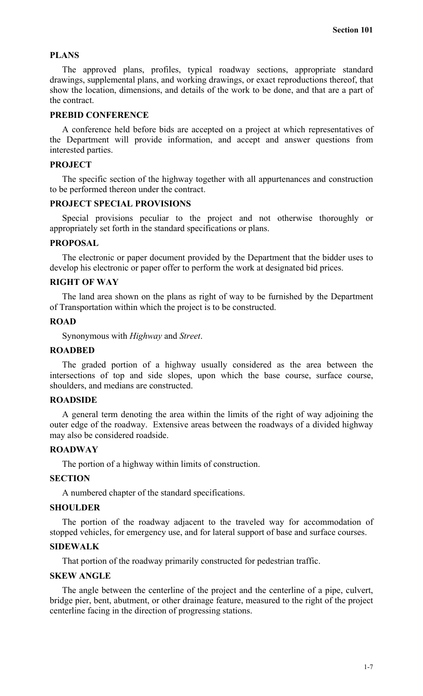## **PLANS**

The approved plans, profiles, typical roadway sections, appropriate standard drawings, supplemental plans, and working drawings, or exact reproductions thereof, that show the location, dimensions, and details of the work to be done, and that are a part of the contract.

## **PREBID CONFERENCE**

A conference held before bids are accepted on a project at which representatives of the Department will provide information, and accept and answer questions from interested parties.

### **PROJECT**

The specific section of the highway together with all appurtenances and construction to be performed thereon under the contract.

### **PROJECT SPECIAL PROVISIONS**

Special provisions peculiar to the project and not otherwise thoroughly or appropriately set forth in the standard specifications or plans.

#### **PROPOSAL**

The electronic or paper document provided by the Department that the bidder uses to develop his electronic or paper offer to perform the work at designated bid prices.

# **RIGHT OF WAY**

The land area shown on the plans as right of way to be furnished by the Department of Transportation within which the project is to be constructed.

## **ROAD**

Synonymous with *Highway* and *Street*.

#### **ROADBED**

The graded portion of a highway usually considered as the area between the intersections of top and side slopes, upon which the base course, surface course, shoulders, and medians are constructed.

## **ROADSIDE**

A general term denoting the area within the limits of the right of way adjoining the outer edge of the roadway. Extensive areas between the roadways of a divided highway may also be considered roadside.

## **ROADWAY**

The portion of a highway within limits of construction.

## **SECTION**

A numbered chapter of the standard specifications.

#### **SHOULDER**

The portion of the roadway adjacent to the traveled way for accommodation of stopped vehicles, for emergency use, and for lateral support of base and surface courses.

#### **SIDEWALK**

That portion of the roadway primarily constructed for pedestrian traffic.

### **SKEW ANGLE**

The angle between the centerline of the project and the centerline of a pipe, culvert, bridge pier, bent, abutment, or other drainage feature, measured to the right of the project centerline facing in the direction of progressing stations.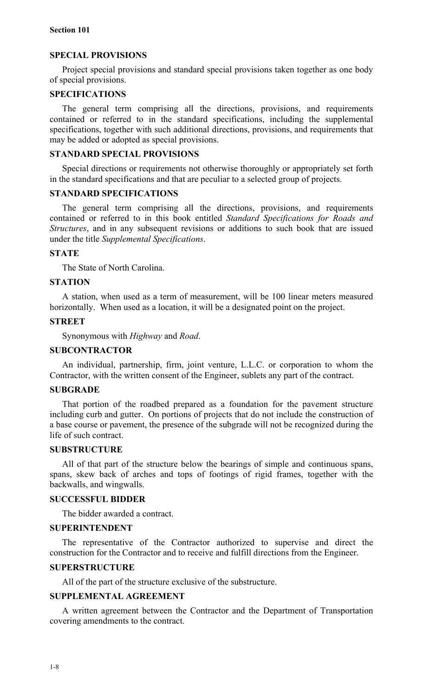## **SPECIAL PROVISIONS**

Project special provisions and standard special provisions taken together as one body of special provisions.

## **SPECIFICATIONS**

The general term comprising all the directions, provisions, and requirements contained or referred to in the standard specifications, including the supplemental specifications, together with such additional directions, provisions, and requirements that may be added or adopted as special provisions.

## **STANDARD SPECIAL PROVISIONS**

Special directions or requirements not otherwise thoroughly or appropriately set forth in the standard specifications and that are peculiar to a selected group of projects.

## **STANDARD SPECIFICATIONS**

The general term comprising all the directions, provisions, and requirements contained or referred to in this book entitled *Standard Specifications for Roads and Structures*, and in any subsequent revisions or additions to such book that are issued under the title *Supplemental Specifications*.

#### **STATE**

The State of North Carolina.

#### **STATION**

A station, when used as a term of measurement, will be 100 linear meters measured horizontally. When used as a location, it will be a designated point on the project.

## **STREET**

Synonymous with *Highway* and *Road*.

#### **SUBCONTRACTOR**

An individual, partnership, firm, joint venture, L.L.C. or corporation to whom the Contractor, with the written consent of the Engineer, sublets any part of the contract.

## **SUBGRADE**

That portion of the roadbed prepared as a foundation for the pavement structure including curb and gutter. On portions of projects that do not include the construction of a base course or pavement, the presence of the subgrade will not be recognized during the life of such contract.

#### **SUBSTRUCTURE**

All of that part of the structure below the bearings of simple and continuous spans, spans, skew back of arches and tops of footings of rigid frames, together with the backwalls, and wingwalls.

#### **SUCCESSFUL BIDDER**

The bidder awarded a contract.

### **SUPERINTENDENT**

The representative of the Contractor authorized to supervise and direct the construction for the Contractor and to receive and fulfill directions from the Engineer.

## **SUPERSTRUCTURE**

All of the part of the structure exclusive of the substructure.

# **SUPPLEMENTAL AGREEMENT**

A written agreement between the Contractor and the Department of Transportation covering amendments to the contract.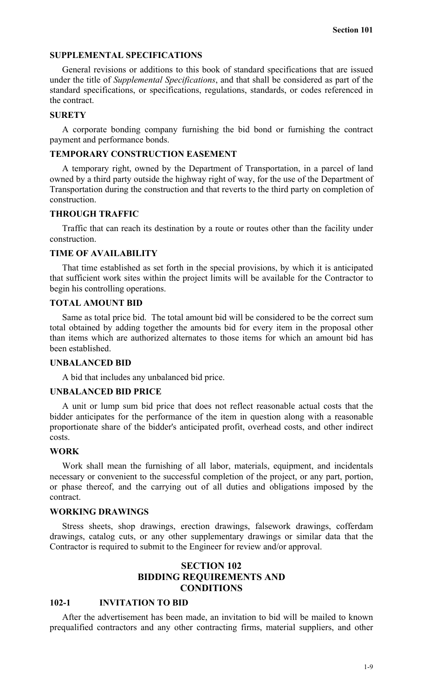## **SUPPLEMENTAL SPECIFICATIONS**

General revisions or additions to this book of standard specifications that are issued under the title of *Supplemental Specifications*, and that shall be considered as part of the standard specifications, or specifications, regulations, standards, or codes referenced in the contract.

#### **SURETY**

A corporate bonding company furnishing the bid bond or furnishing the contract payment and performance bonds.

## **TEMPORARY CONSTRUCTION EASEMENT**

A temporary right, owned by the Department of Transportation, in a parcel of land owned by a third party outside the highway right of way, for the use of the Department of Transportation during the construction and that reverts to the third party on completion of construction.

### **THROUGH TRAFFIC**

Traffic that can reach its destination by a route or routes other than the facility under construction.

### **TIME OF AVAILABILITY**

That time established as set forth in the special provisions, by which it is anticipated that sufficient work sites within the project limits will be available for the Contractor to begin his controlling operations.

# **TOTAL AMOUNT BID**

Same as total price bid. The total amount bid will be considered to be the correct sum total obtained by adding together the amounts bid for every item in the proposal other than items which are authorized alternates to those items for which an amount bid has been established.

#### **UNBALANCED BID**

A bid that includes any unbalanced bid price.

## **UNBALANCED BID PRICE**

A unit or lump sum bid price that does not reflect reasonable actual costs that the bidder anticipates for the performance of the item in question along with a reasonable proportionate share of the bidder's anticipated profit, overhead costs, and other indirect costs.

## **WORK**

Work shall mean the furnishing of all labor, materials, equipment, and incidentals necessary or convenient to the successful completion of the project, or any part, portion, or phase thereof, and the carrying out of all duties and obligations imposed by the contract.

## **WORKING DRAWINGS**

Stress sheets, shop drawings, erection drawings, falsework drawings, cofferdam drawings, catalog cuts, or any other supplementary drawings or similar data that the Contractor is required to submit to the Engineer for review and/or approval.

# **SECTION 102 BIDDING REQUIREMENTS AND CONDITIONS**

## **102-1 INVITATION TO BID**

After the advertisement has been made, an invitation to bid will be mailed to known prequalified contractors and any other contracting firms, material suppliers, and other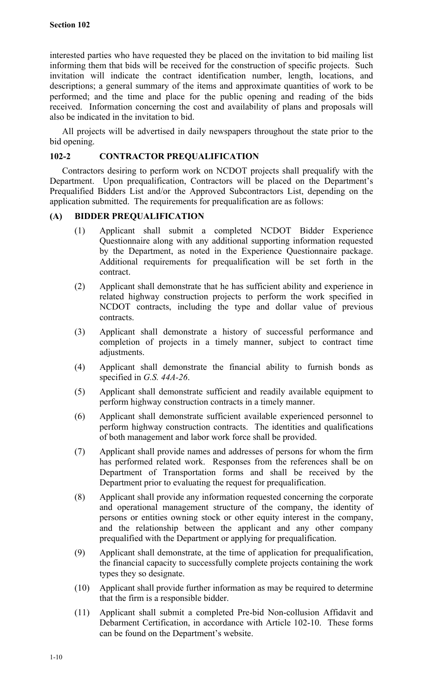interested parties who have requested they be placed on the invitation to bid mailing list informing them that bids will be received for the construction of specific projects. Such invitation will indicate the contract identification number, length, locations, and descriptions; a general summary of the items and approximate quantities of work to be performed; and the time and place for the public opening and reading of the bids received. Information concerning the cost and availability of plans and proposals will also be indicated in the invitation to bid.

All projects will be advertised in daily newspapers throughout the state prior to the bid opening.

# **102-2 CONTRACTOR PREQUALIFICATION**

Contractors desiring to perform work on NCDOT projects shall prequalify with the Department. Upon prequalification, Contractors will be placed on the Department's Prequalified Bidders List and/or the Approved Subcontractors List, depending on the application submitted. The requirements for prequalification are as follows:

# **(A) BIDDER PREQUALIFICATION**

- (1) Applicant shall submit a completed NCDOT Bidder Experience Questionnaire along with any additional supporting information requested by the Department, as noted in the Experience Questionnaire package. Additional requirements for prequalification will be set forth in the contract.
- (2) Applicant shall demonstrate that he has sufficient ability and experience in related highway construction projects to perform the work specified in NCDOT contracts, including the type and dollar value of previous contracts.
- (3) Applicant shall demonstrate a history of successful performance and completion of projects in a timely manner, subject to contract time adjustments.
- (4) Applicant shall demonstrate the financial ability to furnish bonds as specified in *G.S. 44A-26*.
- (5) Applicant shall demonstrate sufficient and readily available equipment to perform highway construction contracts in a timely manner.
- (6) Applicant shall demonstrate sufficient available experienced personnel to perform highway construction contracts. The identities and qualifications of both management and labor work force shall be provided.
- (7) Applicant shall provide names and addresses of persons for whom the firm has performed related work. Responses from the references shall be on Department of Transportation forms and shall be received by the Department prior to evaluating the request for prequalification.
- (8) Applicant shall provide any information requested concerning the corporate and operational management structure of the company, the identity of persons or entities owning stock or other equity interest in the company, and the relationship between the applicant and any other company prequalified with the Department or applying for prequalification.
- (9) Applicant shall demonstrate, at the time of application for prequalification, the financial capacity to successfully complete projects containing the work types they so designate.
- (10) Applicant shall provide further information as may be required to determine that the firm is a responsible bidder.
- (11) Applicant shall submit a completed Pre-bid Non-collusion Affidavit and Debarment Certification, in accordance with Article 102-10. These forms can be found on the Department's website.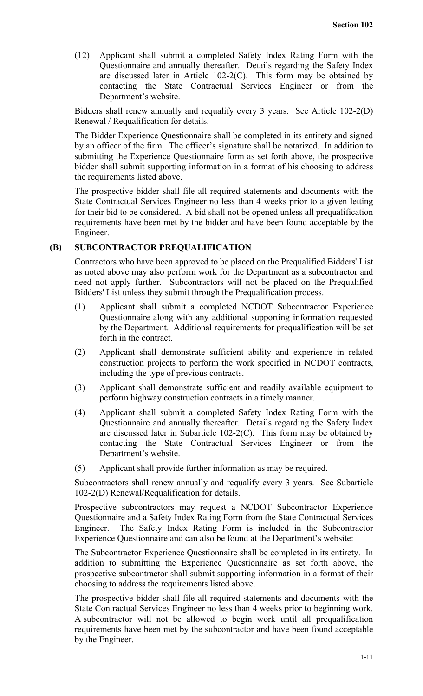(12) Applicant shall submit a completed Safety Index Rating Form with the Questionnaire and annually thereafter. Details regarding the Safety Index are discussed later in Article 102-2(C). This form may be obtained by contacting the State Contractual Services Engineer or from the Department's website.

Bidders shall renew annually and requalify every 3 years. See Article 102-2(D) Renewal / Requalification for details.

The Bidder Experience Questionnaire shall be completed in its entirety and signed by an officer of the firm. The officer's signature shall be notarized. In addition to submitting the Experience Questionnaire form as set forth above, the prospective bidder shall submit supporting information in a format of his choosing to address the requirements listed above.

The prospective bidder shall file all required statements and documents with the State Contractual Services Engineer no less than 4 weeks prior to a given letting for their bid to be considered. A bid shall not be opened unless all prequalification requirements have been met by the bidder and have been found acceptable by the Engineer.

# **(B) SUBCONTRACTOR PREQUALIFICATION**

Contractors who have been approved to be placed on the Prequalified Bidders' List as noted above may also perform work for the Department as a subcontractor and need not apply further. Subcontractors will not be placed on the Prequalified Bidders' List unless they submit through the Prequalification process.

- (1) Applicant shall submit a completed NCDOT Subcontractor Experience Questionnaire along with any additional supporting information requested by the Department. Additional requirements for prequalification will be set forth in the contract.
- (2) Applicant shall demonstrate sufficient ability and experience in related construction projects to perform the work specified in NCDOT contracts, including the type of previous contracts.
- (3) Applicant shall demonstrate sufficient and readily available equipment to perform highway construction contracts in a timely manner.
- (4) Applicant shall submit a completed Safety Index Rating Form with the Questionnaire and annually thereafter. Details regarding the Safety Index are discussed later in Subarticle 102-2(C). This form may be obtained by contacting the State Contractual Services Engineer or from the Department's website.
- (5) Applicant shall provide further information as may be required.

Subcontractors shall renew annually and requalify every 3 years. See Subarticle 102-2(D) Renewal/Requalification for details.

Prospective subcontractors may request a NCDOT Subcontractor Experience Questionnaire and a Safety Index Rating Form from the State Contractual Services Engineer. The Safety Index Rating Form is included in the Subcontractor Experience Questionnaire and can also be found at the Department's website:

The Subcontractor Experience Questionnaire shall be completed in its entirety. In addition to submitting the Experience Questionnaire as set forth above, the prospective subcontractor shall submit supporting information in a format of their choosing to address the requirements listed above.

The prospective bidder shall file all required statements and documents with the State Contractual Services Engineer no less than 4 weeks prior to beginning work. A subcontractor will not be allowed to begin work until all prequalification requirements have been met by the subcontractor and have been found acceptable by the Engineer.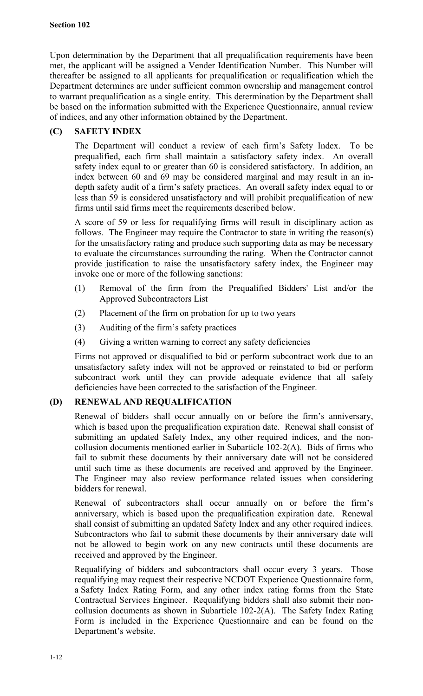Upon determination by the Department that all prequalification requirements have been met, the applicant will be assigned a Vender Identification Number. This Number will thereafter be assigned to all applicants for prequalification or requalification which the Department determines are under sufficient common ownership and management control to warrant prequalification as a single entity. This determination by the Department shall be based on the information submitted with the Experience Questionnaire, annual review of indices, and any other information obtained by the Department.

# **(C) SAFETY INDEX**

The Department will conduct a review of each firm's Safety Index. To be prequalified, each firm shall maintain a satisfactory safety index. An overall safety index equal to or greater than 60 is considered satisfactory. In addition, an index between 60 and 69 may be considered marginal and may result in an indepth safety audit of a firm's safety practices. An overall safety index equal to or less than 59 is considered unsatisfactory and will prohibit prequalification of new firms until said firms meet the requirements described below.

A score of 59 or less for requalifying firms will result in disciplinary action as follows. The Engineer may require the Contractor to state in writing the reason(s) for the unsatisfactory rating and produce such supporting data as may be necessary to evaluate the circumstances surrounding the rating. When the Contractor cannot provide justification to raise the unsatisfactory safety index, the Engineer may invoke one or more of the following sanctions:

- (1) Removal of the firm from the Prequalified Bidders' List and/or the Approved Subcontractors List
- (2) Placement of the firm on probation for up to two years
- (3) Auditing of the firm's safety practices
- (4) Giving a written warning to correct any safety deficiencies

Firms not approved or disqualified to bid or perform subcontract work due to an unsatisfactory safety index will not be approved or reinstated to bid or perform subcontract work until they can provide adequate evidence that all safety deficiencies have been corrected to the satisfaction of the Engineer.

# **(D) RENEWAL AND REQUALIFICATION**

Renewal of bidders shall occur annually on or before the firm's anniversary, which is based upon the prequalification expiration date. Renewal shall consist of submitting an updated Safety Index, any other required indices, and the noncollusion documents mentioned earlier in Subarticle 102-2(A). Bids of firms who fail to submit these documents by their anniversary date will not be considered until such time as these documents are received and approved by the Engineer. The Engineer may also review performance related issues when considering bidders for renewal.

Renewal of subcontractors shall occur annually on or before the firm's anniversary, which is based upon the prequalification expiration date. Renewal shall consist of submitting an updated Safety Index and any other required indices. Subcontractors who fail to submit these documents by their anniversary date will not be allowed to begin work on any new contracts until these documents are received and approved by the Engineer.

Requalifying of bidders and subcontractors shall occur every 3 years. Those requalifying may request their respective NCDOT Experience Questionnaire form, a Safety Index Rating Form, and any other index rating forms from the State Contractual Services Engineer. Requalifying bidders shall also submit their noncollusion documents as shown in Subarticle 102-2(A). The Safety Index Rating Form is included in the Experience Questionnaire and can be found on the Department's website.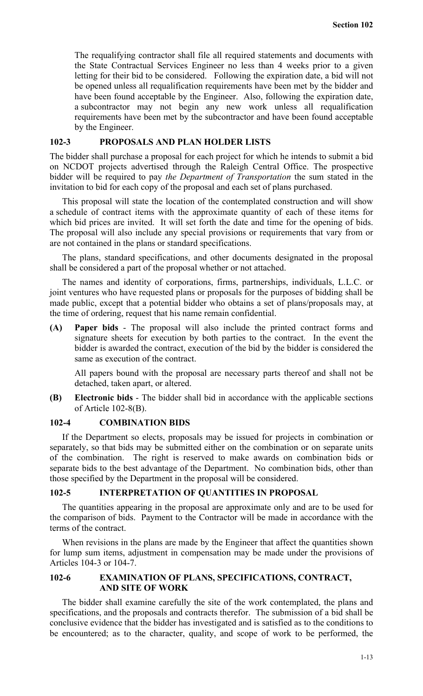The requalifying contractor shall file all required statements and documents with the State Contractual Services Engineer no less than 4 weeks prior to a given letting for their bid to be considered. Following the expiration date, a bid will not be opened unless all requalification requirements have been met by the bidder and have been found acceptable by the Engineer. Also, following the expiration date, a subcontractor may not begin any new work unless all requalification requirements have been met by the subcontractor and have been found acceptable by the Engineer.

## **102-3 PROPOSALS AND PLAN HOLDER LISTS**

The bidder shall purchase a proposal for each project for which he intends to submit a bid on NCDOT projects advertised through the Raleigh Central Office. The prospective bidder will be required to pay *the Department of Transportation* the sum stated in the invitation to bid for each copy of the proposal and each set of plans purchased.

This proposal will state the location of the contemplated construction and will show a schedule of contract items with the approximate quantity of each of these items for which bid prices are invited. It will set forth the date and time for the opening of bids. The proposal will also include any special provisions or requirements that vary from or are not contained in the plans or standard specifications.

The plans, standard specifications, and other documents designated in the proposal shall be considered a part of the proposal whether or not attached.

The names and identity of corporations, firms, partnerships, individuals, L.L.C. or joint ventures who have requested plans or proposals for the purposes of bidding shall be made public, except that a potential bidder who obtains a set of plans/proposals may, at the time of ordering, request that his name remain confidential.

**(A) Paper bids** - The proposal will also include the printed contract forms and signature sheets for execution by both parties to the contract. In the event the bidder is awarded the contract, execution of the bid by the bidder is considered the same as execution of the contract.

All papers bound with the proposal are necessary parts thereof and shall not be detached, taken apart, or altered.

**(B) Electronic bids** - The bidder shall bid in accordance with the applicable sections of Article 102-8(B).

## **102-4 COMBINATION BIDS**

If the Department so elects, proposals may be issued for projects in combination or separately, so that bids may be submitted either on the combination or on separate units of the combination. The right is reserved to make awards on combination bids or separate bids to the best advantage of the Department. No combination bids, other than those specified by the Department in the proposal will be considered.

## **102-5 INTERPRETATION OF QUANTITIES IN PROPOSAL**

The quantities appearing in the proposal are approximate only and are to be used for the comparison of bids. Payment to the Contractor will be made in accordance with the terms of the contract.

When revisions in the plans are made by the Engineer that affect the quantities shown for lump sum items, adjustment in compensation may be made under the provisions of Articles 104-3 or 104-7.

## **102-6 EXAMINATION OF PLANS, SPECIFICATIONS, CONTRACT, AND SITE OF WORK**

The bidder shall examine carefully the site of the work contemplated, the plans and specifications, and the proposals and contracts therefor. The submission of a bid shall be conclusive evidence that the bidder has investigated and is satisfied as to the conditions to be encountered; as to the character, quality, and scope of work to be performed, the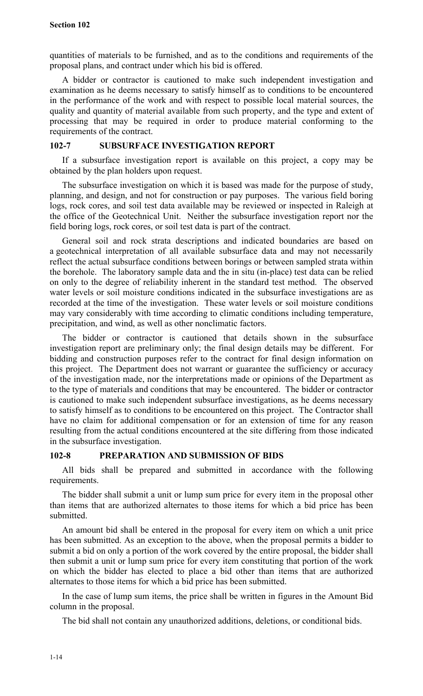quantities of materials to be furnished, and as to the conditions and requirements of the proposal plans, and contract under which his bid is offered.

A bidder or contractor is cautioned to make such independent investigation and examination as he deems necessary to satisfy himself as to conditions to be encountered in the performance of the work and with respect to possible local material sources, the quality and quantity of material available from such property, and the type and extent of processing that may be required in order to produce material conforming to the requirements of the contract.

## **102-7 SUBSURFACE INVESTIGATION REPORT**

If a subsurface investigation report is available on this project, a copy may be obtained by the plan holders upon request.

The subsurface investigation on which it is based was made for the purpose of study, planning, and design, and not for construction or pay purposes. The various field boring logs, rock cores, and soil test data available may be reviewed or inspected in Raleigh at the office of the Geotechnical Unit. Neither the subsurface investigation report nor the field boring logs, rock cores, or soil test data is part of the contract.

General soil and rock strata descriptions and indicated boundaries are based on a geotechnical interpretation of all available subsurface data and may not necessarily reflect the actual subsurface conditions between borings or between sampled strata within the borehole. The laboratory sample data and the in situ (in-place) test data can be relied on only to the degree of reliability inherent in the standard test method. The observed water levels or soil moisture conditions indicated in the subsurface investigations are as recorded at the time of the investigation. These water levels or soil moisture conditions may vary considerably with time according to climatic conditions including temperature, precipitation, and wind, as well as other nonclimatic factors.

The bidder or contractor is cautioned that details shown in the subsurface investigation report are preliminary only; the final design details may be different. For bidding and construction purposes refer to the contract for final design information on this project. The Department does not warrant or guarantee the sufficiency or accuracy of the investigation made, nor the interpretations made or opinions of the Department as to the type of materials and conditions that may be encountered. The bidder or contractor is cautioned to make such independent subsurface investigations, as he deems necessary to satisfy himself as to conditions to be encountered on this project. The Contractor shall have no claim for additional compensation or for an extension of time for any reason resulting from the actual conditions encountered at the site differing from those indicated in the subsurface investigation.

# **102-8 PREPARATION AND SUBMISSION OF BIDS**

All bids shall be prepared and submitted in accordance with the following requirements.

The bidder shall submit a unit or lump sum price for every item in the proposal other than items that are authorized alternates to those items for which a bid price has been submitted.

An amount bid shall be entered in the proposal for every item on which a unit price has been submitted. As an exception to the above, when the proposal permits a bidder to submit a bid on only a portion of the work covered by the entire proposal, the bidder shall then submit a unit or lump sum price for every item constituting that portion of the work on which the bidder has elected to place a bid other than items that are authorized alternates to those items for which a bid price has been submitted.

In the case of lump sum items, the price shall be written in figures in the Amount Bid column in the proposal.

The bid shall not contain any unauthorized additions, deletions, or conditional bids.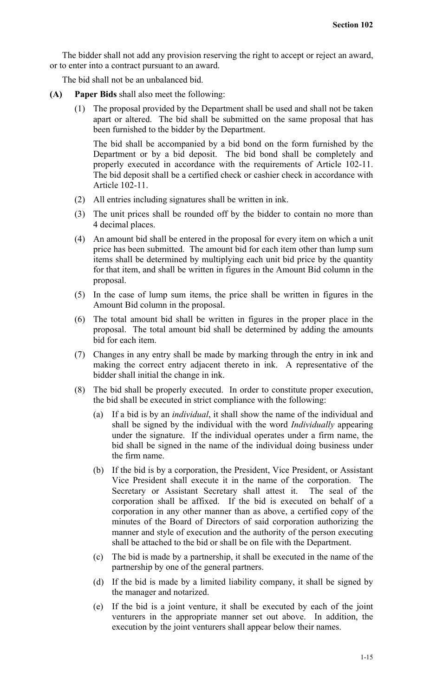The bidder shall not add any provision reserving the right to accept or reject an award, or to enter into a contract pursuant to an award.

The bid shall not be an unbalanced bid.

- **(A) Paper Bids** shall also meet the following:
	- (1) The proposal provided by the Department shall be used and shall not be taken apart or altered. The bid shall be submitted on the same proposal that has been furnished to the bidder by the Department.

The bid shall be accompanied by a bid bond on the form furnished by the Department or by a bid deposit. The bid bond shall be completely and properly executed in accordance with the requirements of Article 102-11. The bid deposit shall be a certified check or cashier check in accordance with Article 102-11.

- (2) All entries including signatures shall be written in ink.
- (3) The unit prices shall be rounded off by the bidder to contain no more than 4 decimal places.
- (4) An amount bid shall be entered in the proposal for every item on which a unit price has been submitted. The amount bid for each item other than lump sum items shall be determined by multiplying each unit bid price by the quantity for that item, and shall be written in figures in the Amount Bid column in the proposal.
- (5) In the case of lump sum items, the price shall be written in figures in the Amount Bid column in the proposal.
- (6) The total amount bid shall be written in figures in the proper place in the proposal. The total amount bid shall be determined by adding the amounts bid for each item.
- (7) Changes in any entry shall be made by marking through the entry in ink and making the correct entry adjacent thereto in ink. A representative of the bidder shall initial the change in ink.
- (8) The bid shall be properly executed. In order to constitute proper execution, the bid shall be executed in strict compliance with the following:
	- (a) If a bid is by an *individual*, it shall show the name of the individual and shall be signed by the individual with the word *Individually* appearing under the signature. If the individual operates under a firm name, the bid shall be signed in the name of the individual doing business under the firm name.
	- (b) If the bid is by a corporation, the President, Vice President, or Assistant Vice President shall execute it in the name of the corporation. The Secretary or Assistant Secretary shall attest it. The seal of the corporation shall be affixed. If the bid is executed on behalf of a corporation in any other manner than as above, a certified copy of the minutes of the Board of Directors of said corporation authorizing the manner and style of execution and the authority of the person executing shall be attached to the bid or shall be on file with the Department.
	- (c) The bid is made by a partnership, it shall be executed in the name of the partnership by one of the general partners.
	- (d) If the bid is made by a limited liability company, it shall be signed by the manager and notarized.
	- (e) If the bid is a joint venture, it shall be executed by each of the joint venturers in the appropriate manner set out above. In addition, the execution by the joint venturers shall appear below their names.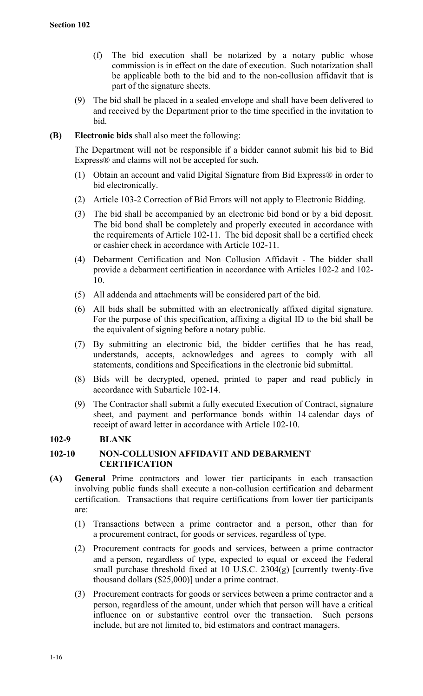- (f) The bid execution shall be notarized by a notary public whose commission is in effect on the date of execution. Such notarization shall be applicable both to the bid and to the non-collusion affidavit that is part of the signature sheets.
- (9) The bid shall be placed in a sealed envelope and shall have been delivered to and received by the Department prior to the time specified in the invitation to bid.
- **(B) Electronic bids** shall also meet the following:

The Department will not be responsible if a bidder cannot submit his bid to Bid Express® and claims will not be accepted for such.

- (1) Obtain an account and valid Digital Signature from Bid Express® in order to bid electronically.
- (2) Article 103-2 Correction of Bid Errors will not apply to Electronic Bidding.
- (3) The bid shall be accompanied by an electronic bid bond or by a bid deposit. The bid bond shall be completely and properly executed in accordance with the requirements of Article 102-11. The bid deposit shall be a certified check or cashier check in accordance with Article 102-11.
- (4) Debarment Certification and Non–Collusion Affidavit The bidder shall provide a debarment certification in accordance with Articles 102-2 and 102- 10.
- (5) All addenda and attachments will be considered part of the bid.
- (6) All bids shall be submitted with an electronically affixed digital signature. For the purpose of this specification, affixing a digital ID to the bid shall be the equivalent of signing before a notary public.
- (7) By submitting an electronic bid, the bidder certifies that he has read, understands, accepts, acknowledges and agrees to comply with all statements, conditions and Specifications in the electronic bid submittal.
- (8) Bids will be decrypted, opened, printed to paper and read publicly in accordance with Subarticle 102-14.
- (9) The Contractor shall submit a fully executed Execution of Contract, signature sheet, and payment and performance bonds within 14 calendar days of receipt of award letter in accordance with Article 102-10.

# **102-9 BLANK**

# **102-10 NON-COLLUSION AFFIDAVIT AND DEBARMENT CERTIFICATION**

- **(A) General** Prime contractors and lower tier participants in each transaction involving public funds shall execute a non-collusion certification and debarment certification. Transactions that require certifications from lower tier participants are:
	- (1) Transactions between a prime contractor and a person, other than for a procurement contract, for goods or services, regardless of type.
	- (2) Procurement contracts for goods and services, between a prime contractor and a person, regardless of type, expected to equal or exceed the Federal small purchase threshold fixed at 10 U.S.C. 2304(g) [currently twenty-five thousand dollars (\$25,000)] under a prime contract.
	- (3) Procurement contracts for goods or services between a prime contractor and a person, regardless of the amount, under which that person will have a critical influence on or substantive control over the transaction. Such persons include, but are not limited to, bid estimators and contract managers.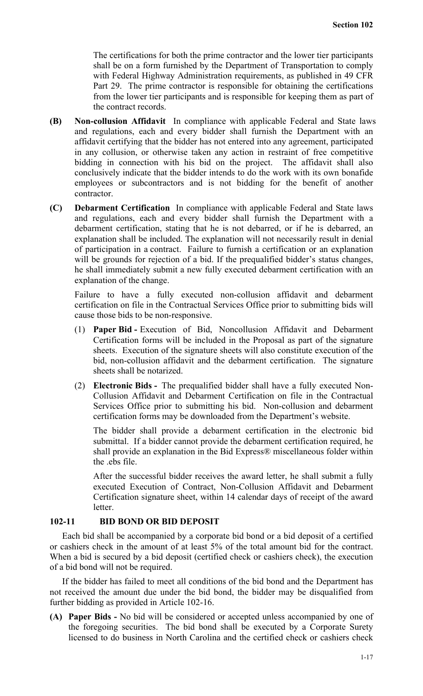The certifications for both the prime contractor and the lower tier participants shall be on a form furnished by the Department of Transportation to comply with Federal Highway Administration requirements, as published in 49 CFR Part 29. The prime contractor is responsible for obtaining the certifications from the lower tier participants and is responsible for keeping them as part of the contract records.

- **(B) Non-collusion Affidavit** In compliance with applicable Federal and State laws and regulations, each and every bidder shall furnish the Department with an affidavit certifying that the bidder has not entered into any agreement, participated in any collusion, or otherwise taken any action in restraint of free competitive bidding in connection with his bid on the project. The affidavit shall also conclusively indicate that the bidder intends to do the work with its own bonafide employees or subcontractors and is not bidding for the benefit of another contractor.
- **(C) Debarment Certification** In compliance with applicable Federal and State laws and regulations, each and every bidder shall furnish the Department with a debarment certification, stating that he is not debarred, or if he is debarred, an explanation shall be included. The explanation will not necessarily result in denial of participation in a contract. Failure to furnish a certification or an explanation will be grounds for rejection of a bid. If the prequalified bidder's status changes, he shall immediately submit a new fully executed debarment certification with an explanation of the change.

Failure to have a fully executed non-collusion affidavit and debarment certification on file in the Contractual Services Office prior to submitting bids will cause those bids to be non-responsive.

- (1) **Paper Bid** Execution of Bid, Noncollusion Affidavit and Debarment Certification forms will be included in the Proposal as part of the signature sheets. Execution of the signature sheets will also constitute execution of the bid, non-collusion affidavit and the debarment certification. The signature sheets shall be notarized.
- (2) **Electronic Bids** The prequalified bidder shall have a fully executed Non-Collusion Affidavit and Debarment Certification on file in the Contractual Services Office prior to submitting his bid. Non-collusion and debarment certification forms may be downloaded from the Department's website.

The bidder shall provide a debarment certification in the electronic bid submittal. If a bidder cannot provide the debarment certification required, he shall provide an explanation in the Bid Express® miscellaneous folder within the .ebs file.

After the successful bidder receives the award letter, he shall submit a fully executed Execution of Contract, Non-Collusion Affidavit and Debarment Certification signature sheet, within 14 calendar days of receipt of the award letter.

# **102-11 BID BOND OR BID DEPOSIT**

Each bid shall be accompanied by a corporate bid bond or a bid deposit of a certified or cashiers check in the amount of at least 5% of the total amount bid for the contract. When a bid is secured by a bid deposit (certified check or cashiers check), the execution of a bid bond will not be required.

If the bidder has failed to meet all conditions of the bid bond and the Department has not received the amount due under the bid bond, the bidder may be disqualified from further bidding as provided in Article 102-16.

**(A) Paper Bids -** No bid will be considered or accepted unless accompanied by one of the foregoing securities. The bid bond shall be executed by a Corporate Surety licensed to do business in North Carolina and the certified check or cashiers check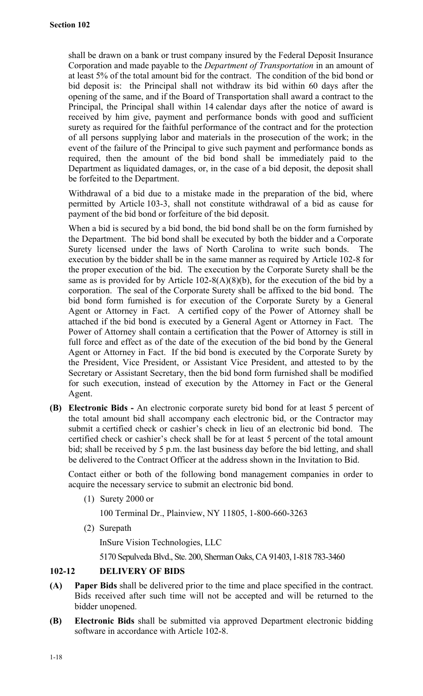shall be drawn on a bank or trust company insured by the Federal Deposit Insurance Corporation and made payable to the *Department of Transportation* in an amount of at least 5% of the total amount bid for the contract. The condition of the bid bond or bid deposit is: the Principal shall not withdraw its bid within 60 days after the opening of the same, and if the Board of Transportation shall award a contract to the Principal, the Principal shall within 14 calendar days after the notice of award is received by him give, payment and performance bonds with good and sufficient surety as required for the faithful performance of the contract and for the protection of all persons supplying labor and materials in the prosecution of the work; in the event of the failure of the Principal to give such payment and performance bonds as required, then the amount of the bid bond shall be immediately paid to the Department as liquidated damages, or, in the case of a bid deposit, the deposit shall be forfeited to the Department.

Withdrawal of a bid due to a mistake made in the preparation of the bid, where permitted by Article 103-3, shall not constitute withdrawal of a bid as cause for payment of the bid bond or forfeiture of the bid deposit.

When a bid is secured by a bid bond, the bid bond shall be on the form furnished by the Department. The bid bond shall be executed by both the bidder and a Corporate Surety licensed under the laws of North Carolina to write such bonds. The execution by the bidder shall be in the same manner as required by Article 102-8 for the proper execution of the bid. The execution by the Corporate Surety shall be the same as is provided for by Article  $102-8(A)(8)(b)$ , for the execution of the bid by a corporation. The seal of the Corporate Surety shall be affixed to the bid bond. The bid bond form furnished is for execution of the Corporate Surety by a General Agent or Attorney in Fact. A certified copy of the Power of Attorney shall be attached if the bid bond is executed by a General Agent or Attorney in Fact. The Power of Attorney shall contain a certification that the Power of Attorney is still in full force and effect as of the date of the execution of the bid bond by the General Agent or Attorney in Fact. If the bid bond is executed by the Corporate Surety by the President, Vice President, or Assistant Vice President, and attested to by the Secretary or Assistant Secretary, then the bid bond form furnished shall be modified for such execution, instead of execution by the Attorney in Fact or the General Agent.

**(B) Electronic Bids -** An electronic corporate surety bid bond for at least 5 percent of the total amount bid shall accompany each electronic bid, or the Contractor may submit a certified check or cashier's check in lieu of an electronic bid bond. The certified check or cashier's check shall be for at least 5 percent of the total amount bid; shall be received by 5 p.m. the last business day before the bid letting, and shall be delivered to the Contract Officer at the address shown in the Invitation to Bid.

Contact either or both of the following bond management companies in order to acquire the necessary service to submit an electronic bid bond.

(1) Surety 2000 or

100 Terminal Dr., Plainview, NY 11805, 1-800-660-3263

(2) Surepath

InSure Vision Technologies, LLC

5170 Sepulveda Blvd., Ste. 200, Sherman Oaks, CA 91403,1-818 783-3460

# **102-12 DELIVERY OF BIDS**

- **(A) Paper Bids** shall be delivered prior to the time and place specified in the contract. Bids received after such time will not be accepted and will be returned to the bidder unopened.
- **(B) Electronic Bids** shall be submitted via approved Department electronic bidding software in accordance with Article 102-8.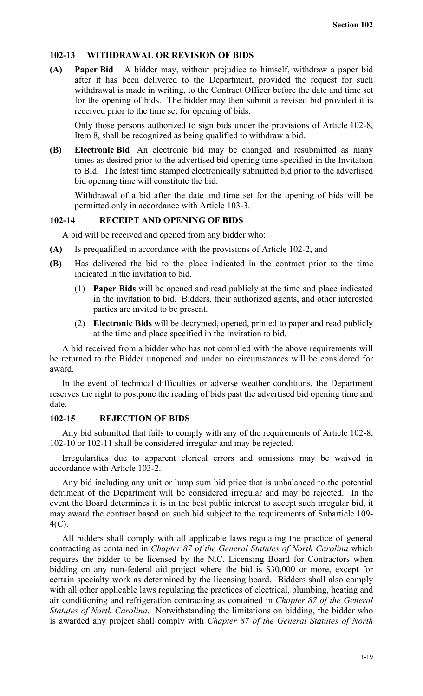## **102-13 WITHDRAWAL OR REVISION OF BIDS**

**(A) Paper Bid** A bidder may, without prejudice to himself, withdraw a paper bid after it has been delivered to the Department, provided the request for such withdrawal is made in writing, to the Contract Officer before the date and time set for the opening of bids. The bidder may then submit a revised bid provided it is received prior to the time set for opening of bids.

Only those persons authorized to sign bids under the provisions of Article 102-8, Item 8, shall be recognized as being qualified to withdraw a bid.

**(B) Electronic Bid** An electronic bid may be changed and resubmitted as many times as desired prior to the advertised bid opening time specified in the Invitation to Bid. The latest time stamped electronically submitted bid prior to the advertised bid opening time will constitute the bid.

Withdrawal of a bid after the date and time set for the opening of bids will be permitted only in accordance with Article 103-3.

## **102-14 RECEIPT AND OPENING OF BIDS**

A bid will be received and opened from any bidder who:

- **(A)** Is prequalified in accordance with the provisions of Article 102-2, and
- **(B)** Has delivered the bid to the place indicated in the contract prior to the time indicated in the invitation to bid.
	- (1) **Paper Bids** will be opened and read publicly at the time and place indicated in the invitation to bid. Bidders, their authorized agents, and other interested parties are invited to be present.
	- (2) **Electronic Bids** will be decrypted, opened, printed to paper and read publicly at the time and place specified in the invitation to bid.

A bid received from a bidder who has not complied with the above requirements will be returned to the Bidder unopened and under no circumstances will be considered for award.

In the event of technical difficulties or adverse weather conditions, the Department reserves the right to postpone the reading of bids past the advertised bid opening time and date.

# **102-15 REJECTION OF BIDS**

Any bid submitted that fails to comply with any of the requirements of Article 102-8, 102-10 or 102-11 shall be considered irregular and may be rejected.

Irregularities due to apparent clerical errors and omissions may be waived in accordance with Article 103-2.

Any bid including any unit or lump sum bid price that is unbalanced to the potential detriment of the Department will be considered irregular and may be rejected. In the event the Board determines it is in the best public interest to accept such irregular bid, it may award the contract based on such bid subject to the requirements of Subarticle 109- 4(C).

All bidders shall comply with all applicable laws regulating the practice of general contracting as contained in *Chapter 87 of the General Statutes of North Carolina* which requires the bidder to be licensed by the N.C. Licensing Board for Contractors when bidding on any non-federal aid project where the bid is \$30,000 or more, except for certain specialty work as determined by the licensing board. Bidders shall also comply with all other applicable laws regulating the practices of electrical, plumbing, heating and air conditioning and refrigeration contracting as contained in *Chapter 87 of the General Statutes of North Carolina*. Notwithstanding the limitations on bidding, the bidder who is awarded any project shall comply with *Chapter 87 of the General Statutes of North*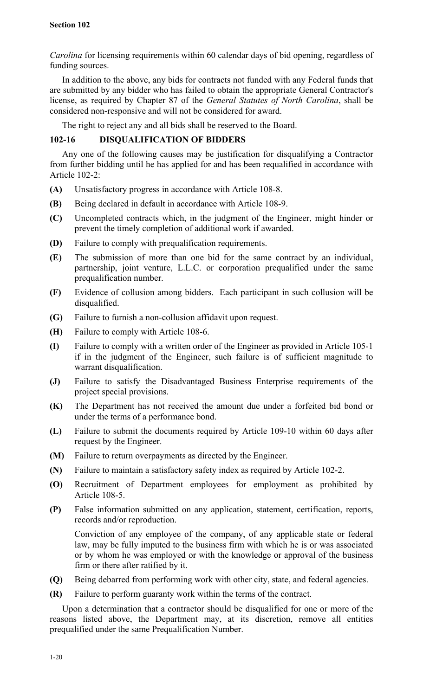*Carolina* for licensing requirements within 60 calendar days of bid opening, regardless of funding sources.

In addition to the above, any bids for contracts not funded with any Federal funds that are submitted by any bidder who has failed to obtain the appropriate General Contractor's license, as required by Chapter 87 of the *General Statutes of North Carolina*, shall be considered non-responsive and will not be considered for award.

The right to reject any and all bids shall be reserved to the Board.

# **102-16 DISQUALIFICATION OF BIDDERS**

Any one of the following causes may be justification for disqualifying a Contractor from further bidding until he has applied for and has been requalified in accordance with Article 102-2:

- **(A)** Unsatisfactory progress in accordance with Article 108-8.
- **(B)** Being declared in default in accordance with Article 108-9.
- **(C)** Uncompleted contracts which, in the judgment of the Engineer, might hinder or prevent the timely completion of additional work if awarded.
- **(D)** Failure to comply with prequalification requirements.
- **(E)** The submission of more than one bid for the same contract by an individual, partnership, joint venture, L.L.C. or corporation prequalified under the same prequalification number.
- **(F)** Evidence of collusion among bidders. Each participant in such collusion will be disqualified.
- **(G)** Failure to furnish a non-collusion affidavit upon request.
- **(H)** Failure to comply with Article 108-6.
- **(I)** Failure to comply with a written order of the Engineer as provided in Article 105-1 if in the judgment of the Engineer, such failure is of sufficient magnitude to warrant disqualification.
- **(J)** Failure to satisfy the Disadvantaged Business Enterprise requirements of the project special provisions.
- **(K)** The Department has not received the amount due under a forfeited bid bond or under the terms of a performance bond.
- **(L)** Failure to submit the documents required by Article 109-10 within 60 days after request by the Engineer.
- **(M)** Failure to return overpayments as directed by the Engineer.
- **(N)** Failure to maintain a satisfactory safety index as required by Article 102-2.
- **(O)** Recruitment of Department employees for employment as prohibited by Article 108-5.
- **(P)** False information submitted on any application, statement, certification, reports, records and/or reproduction.

Conviction of any employee of the company, of any applicable state or federal law, may be fully imputed to the business firm with which he is or was associated or by whom he was employed or with the knowledge or approval of the business firm or there after ratified by it.

- **(Q)** Being debarred from performing work with other city, state, and federal agencies.
- **(R)** Failure to perform guaranty work within the terms of the contract.

Upon a determination that a contractor should be disqualified for one or more of the reasons listed above, the Department may, at its discretion, remove all entities prequalified under the same Prequalification Number.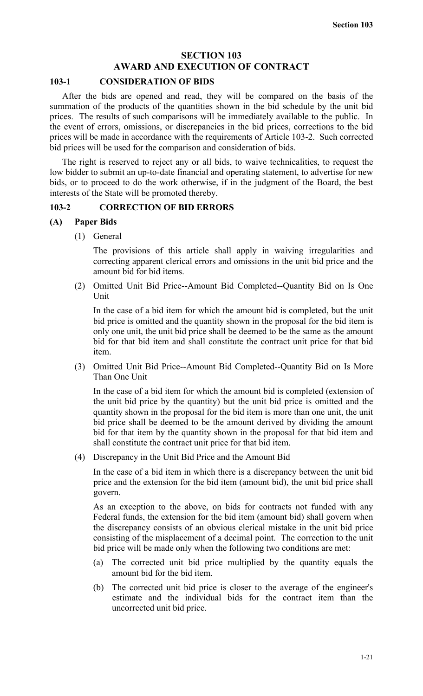# **SECTION 103 AWARD AND EXECUTION OF CONTRACT**

# **103-1 CONSIDERATION OF BIDS**

After the bids are opened and read, they will be compared on the basis of the summation of the products of the quantities shown in the bid schedule by the unit bid prices. The results of such comparisons will be immediately available to the public. In the event of errors, omissions, or discrepancies in the bid prices, corrections to the bid prices will be made in accordance with the requirements of Article 103-2. Such corrected bid prices will be used for the comparison and consideration of bids.

The right is reserved to reject any or all bids, to waive technicalities, to request the low bidder to submit an up-to-date financial and operating statement, to advertise for new bids, or to proceed to do the work otherwise, if in the judgment of the Board, the best interests of the State will be promoted thereby.

## **103-2 CORRECTION OF BID ERRORS**

## **(A) Paper Bids**

(1) General

The provisions of this article shall apply in waiving irregularities and correcting apparent clerical errors and omissions in the unit bid price and the amount bid for bid items.

(2) Omitted Unit Bid Price--Amount Bid Completed--Quantity Bid on Is One Unit

In the case of a bid item for which the amount bid is completed, but the unit bid price is omitted and the quantity shown in the proposal for the bid item is only one unit, the unit bid price shall be deemed to be the same as the amount bid for that bid item and shall constitute the contract unit price for that bid item.

(3) Omitted Unit Bid Price--Amount Bid Completed--Quantity Bid on Is More Than One Unit

In the case of a bid item for which the amount bid is completed (extension of the unit bid price by the quantity) but the unit bid price is omitted and the quantity shown in the proposal for the bid item is more than one unit, the unit bid price shall be deemed to be the amount derived by dividing the amount bid for that item by the quantity shown in the proposal for that bid item and shall constitute the contract unit price for that bid item.

(4) Discrepancy in the Unit Bid Price and the Amount Bid

In the case of a bid item in which there is a discrepancy between the unit bid price and the extension for the bid item (amount bid), the unit bid price shall govern.

As an exception to the above, on bids for contracts not funded with any Federal funds, the extension for the bid item (amount bid) shall govern when the discrepancy consists of an obvious clerical mistake in the unit bid price consisting of the misplacement of a decimal point. The correction to the unit bid price will be made only when the following two conditions are met:

- (a) The corrected unit bid price multiplied by the quantity equals the amount bid for the bid item.
- (b) The corrected unit bid price is closer to the average of the engineer's estimate and the individual bids for the contract item than the uncorrected unit bid price.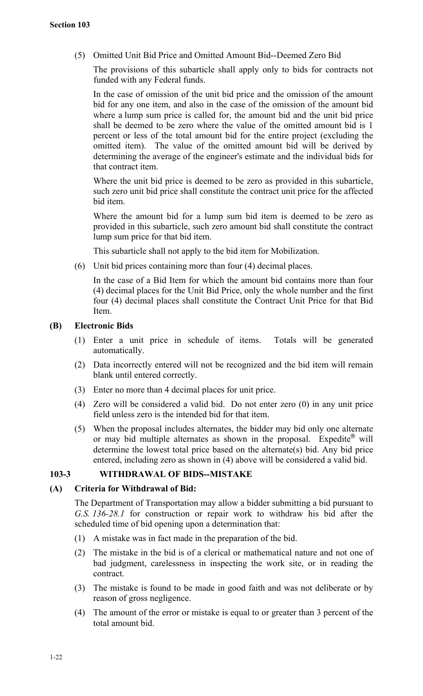(5) Omitted Unit Bid Price and Omitted Amount Bid--Deemed Zero Bid

The provisions of this subarticle shall apply only to bids for contracts not funded with any Federal funds.

In the case of omission of the unit bid price and the omission of the amount bid for any one item, and also in the case of the omission of the amount bid where a lump sum price is called for, the amount bid and the unit bid price shall be deemed to be zero where the value of the omitted amount bid is 1 percent or less of the total amount bid for the entire project (excluding the omitted item). The value of the omitted amount bid will be derived by determining the average of the engineer's estimate and the individual bids for that contract item.

Where the unit bid price is deemed to be zero as provided in this subarticle, such zero unit bid price shall constitute the contract unit price for the affected bid item.

Where the amount bid for a lump sum bid item is deemed to be zero as provided in this subarticle, such zero amount bid shall constitute the contract lump sum price for that bid item.

This subarticle shall not apply to the bid item for Mobilization.

(6) Unit bid prices containing more than four (4) decimal places.

In the case of a Bid Item for which the amount bid contains more than four (4) decimal places for the Unit Bid Price, only the whole number and the first four (4) decimal places shall constitute the Contract Unit Price for that Bid **Item** 

## **(B) Electronic Bids**

- (1) Enter a unit price in schedule of items. Totals will be generated automatically.
- (2) Data incorrectly entered will not be recognized and the bid item will remain blank until entered correctly.
- (3) Enter no more than 4 decimal places for unit price.
- (4) Zero will be considered a valid bid. Do not enter zero (0) in any unit price field unless zero is the intended bid for that item.
- (5) When the proposal includes alternates, the bidder may bid only one alternate or may bid multiple alternates as shown in the proposal. Expedite<sup>®</sup> will determine the lowest total price based on the alternate(s) bid. Any bid price entered, including zero as shown in (4) above will be considered a valid bid.

## **103-3 WITHDRAWAL OF BIDS--MISTAKE**

## **(A) Criteria for Withdrawal of Bid:**

The Department of Transportation may allow a bidder submitting a bid pursuant to *G.S. 136-28.1* for construction or repair work to withdraw his bid after the scheduled time of bid opening upon a determination that:

- (1) A mistake was in fact made in the preparation of the bid.
- (2) The mistake in the bid is of a clerical or mathematical nature and not one of bad judgment, carelessness in inspecting the work site, or in reading the contract.
- (3) The mistake is found to be made in good faith and was not deliberate or by reason of gross negligence.
- (4) The amount of the error or mistake is equal to or greater than 3 percent of the total amount bid.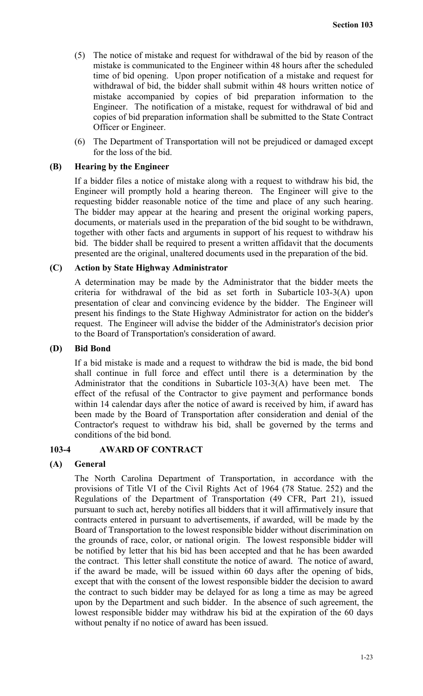- (5) The notice of mistake and request for withdrawal of the bid by reason of the mistake is communicated to the Engineer within 48 hours after the scheduled time of bid opening. Upon proper notification of a mistake and request for withdrawal of bid, the bidder shall submit within 48 hours written notice of mistake accompanied by copies of bid preparation information to the Engineer. The notification of a mistake, request for withdrawal of bid and copies of bid preparation information shall be submitted to the State Contract Officer or Engineer.
- (6) The Department of Transportation will not be prejudiced or damaged except for the loss of the bid.

## **(B) Hearing by the Engineer**

If a bidder files a notice of mistake along with a request to withdraw his bid, the Engineer will promptly hold a hearing thereon. The Engineer will give to the requesting bidder reasonable notice of the time and place of any such hearing. The bidder may appear at the hearing and present the original working papers, documents, or materials used in the preparation of the bid sought to be withdrawn, together with other facts and arguments in support of his request to withdraw his bid. The bidder shall be required to present a written affidavit that the documents presented are the original, unaltered documents used in the preparation of the bid.

## **(C) Action by State Highway Administrator**

A determination may be made by the Administrator that the bidder meets the criteria for withdrawal of the bid as set forth in Subarticle 103-3(A) upon presentation of clear and convincing evidence by the bidder. The Engineer will present his findings to the State Highway Administrator for action on the bidder's request. The Engineer will advise the bidder of the Administrator's decision prior to the Board of Transportation's consideration of award.

## **(D) Bid Bond**

If a bid mistake is made and a request to withdraw the bid is made, the bid bond shall continue in full force and effect until there is a determination by the Administrator that the conditions in Subarticle 103-3(A) have been met. The effect of the refusal of the Contractor to give payment and performance bonds within 14 calendar days after the notice of award is received by him, if award has been made by the Board of Transportation after consideration and denial of the Contractor's request to withdraw his bid, shall be governed by the terms and conditions of the bid bond.

# **103-4 AWARD OF CONTRACT**

# **(A) General**

The North Carolina Department of Transportation, in accordance with the provisions of Title VI of the Civil Rights Act of 1964 (78 Statue. 252) and the Regulations of the Department of Transportation (49 CFR, Part 21), issued pursuant to such act, hereby notifies all bidders that it will affirmatively insure that contracts entered in pursuant to advertisements, if awarded, will be made by the Board of Transportation to the lowest responsible bidder without discrimination on the grounds of race, color, or national origin. The lowest responsible bidder will be notified by letter that his bid has been accepted and that he has been awarded the contract. This letter shall constitute the notice of award. The notice of award, if the award be made, will be issued within 60 days after the opening of bids, except that with the consent of the lowest responsible bidder the decision to award the contract to such bidder may be delayed for as long a time as may be agreed upon by the Department and such bidder. In the absence of such agreement, the lowest responsible bidder may withdraw his bid at the expiration of the 60 days without penalty if no notice of award has been issued.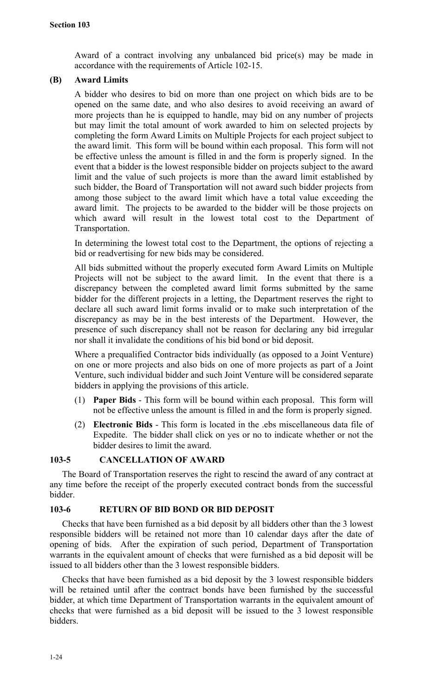Award of a contract involving any unbalanced bid price(s) may be made in accordance with the requirements of Article 102-15.

## **(B) Award Limits**

A bidder who desires to bid on more than one project on which bids are to be opened on the same date, and who also desires to avoid receiving an award of more projects than he is equipped to handle, may bid on any number of projects but may limit the total amount of work awarded to him on selected projects by completing the form Award Limits on Multiple Projects for each project subject to the award limit. This form will be bound within each proposal. This form will not be effective unless the amount is filled in and the form is properly signed. In the event that a bidder is the lowest responsible bidder on projects subject to the award limit and the value of such projects is more than the award limit established by such bidder, the Board of Transportation will not award such bidder projects from among those subject to the award limit which have a total value exceeding the award limit. The projects to be awarded to the bidder will be those projects on which award will result in the lowest total cost to the Department of Transportation.

In determining the lowest total cost to the Department, the options of rejecting a bid or readvertising for new bids may be considered.

All bids submitted without the properly executed form Award Limits on Multiple Projects will not be subject to the award limit. In the event that there is a discrepancy between the completed award limit forms submitted by the same bidder for the different projects in a letting, the Department reserves the right to declare all such award limit forms invalid or to make such interpretation of the discrepancy as may be in the best interests of the Department. However, the presence of such discrepancy shall not be reason for declaring any bid irregular nor shall it invalidate the conditions of his bid bond or bid deposit.

Where a prequalified Contractor bids individually (as opposed to a Joint Venture) on one or more projects and also bids on one of more projects as part of a Joint Venture, such individual bidder and such Joint Venture will be considered separate bidders in applying the provisions of this article.

- (1) **Paper Bids** This form will be bound within each proposal. This form will not be effective unless the amount is filled in and the form is properly signed.
- (2) **Electronic Bids** This form is located in the .ebs miscellaneous data file of Expedite. The bidder shall click on yes or no to indicate whether or not the bidder desires to limit the award.

# **103-5 CANCELLATION OF AWARD**

The Board of Transportation reserves the right to rescind the award of any contract at any time before the receipt of the properly executed contract bonds from the successful bidder.

## **103-6 RETURN OF BID BOND OR BID DEPOSIT**

Checks that have been furnished as a bid deposit by all bidders other than the 3 lowest responsible bidders will be retained not more than 10 calendar days after the date of opening of bids. After the expiration of such period, Department of Transportation warrants in the equivalent amount of checks that were furnished as a bid deposit will be issued to all bidders other than the 3 lowest responsible bidders.

Checks that have been furnished as a bid deposit by the 3 lowest responsible bidders will be retained until after the contract bonds have been furnished by the successful bidder, at which time Department of Transportation warrants in the equivalent amount of checks that were furnished as a bid deposit will be issued to the 3 lowest responsible bidders.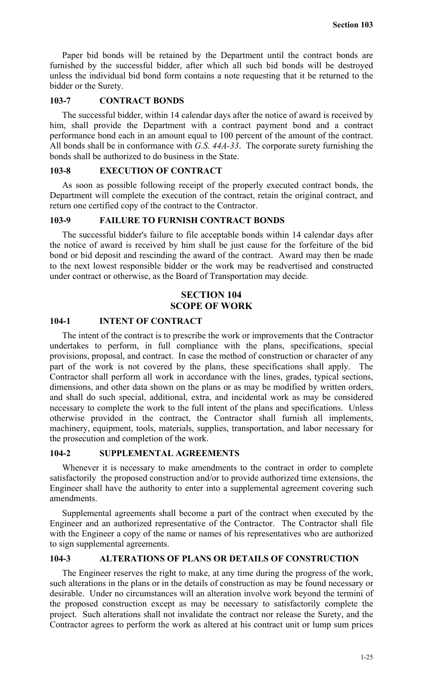Paper bid bonds will be retained by the Department until the contract bonds are furnished by the successful bidder, after which all such bid bonds will be destroyed unless the individual bid bond form contains a note requesting that it be returned to the bidder or the Surety.

# **103-7 CONTRACT BONDS**

The successful bidder, within 14 calendar days after the notice of award is received by him, shall provide the Department with a contract payment bond and a contract performance bond each in an amount equal to 100 percent of the amount of the contract. All bonds shall be in conformance with *G.S. 44A-33*. The corporate surety furnishing the bonds shall be authorized to do business in the State.

# **103-8 EXECUTION OF CONTRACT**

As soon as possible following receipt of the properly executed contract bonds, the Department will complete the execution of the contract, retain the original contract, and return one certified copy of the contract to the Contractor.

# **103-9 FAILURE TO FURNISH CONTRACT BONDS**

The successful bidder's failure to file acceptable bonds within 14 calendar days after the notice of award is received by him shall be just cause for the forfeiture of the bid bond or bid deposit and rescinding the award of the contract. Award may then be made to the next lowest responsible bidder or the work may be readvertised and constructed under contract or otherwise, as the Board of Transportation may decide.

# **SECTION 104 SCOPE OF WORK**

# **104-1 INTENT OF CONTRACT**

The intent of the contract is to prescribe the work or improvements that the Contractor undertakes to perform, in full compliance with the plans, specifications, special provisions, proposal, and contract. In case the method of construction or character of any part of the work is not covered by the plans, these specifications shall apply. The Contractor shall perform all work in accordance with the lines, grades, typical sections, dimensions, and other data shown on the plans or as may be modified by written orders, and shall do such special, additional, extra, and incidental work as may be considered necessary to complete the work to the full intent of the plans and specifications. Unless otherwise provided in the contract, the Contractor shall furnish all implements, machinery, equipment, tools, materials, supplies, transportation, and labor necessary for the prosecution and completion of the work.

# **104-2 SUPPLEMENTAL AGREEMENTS**

Whenever it is necessary to make amendments to the contract in order to complete satisfactorily the proposed construction and/or to provide authorized time extensions, the Engineer shall have the authority to enter into a supplemental agreement covering such amendments.

Supplemental agreements shall become a part of the contract when executed by the Engineer and an authorized representative of the Contractor. The Contractor shall file with the Engineer a copy of the name or names of his representatives who are authorized to sign supplemental agreements.

# **104-3 ALTERATIONS OF PLANS OR DETAILS OF CONSTRUCTION**

The Engineer reserves the right to make, at any time during the progress of the work, such alterations in the plans or in the details of construction as may be found necessary or desirable. Under no circumstances will an alteration involve work beyond the termini of the proposed construction except as may be necessary to satisfactorily complete the project. Such alterations shall not invalidate the contract nor release the Surety, and the Contractor agrees to perform the work as altered at his contract unit or lump sum prices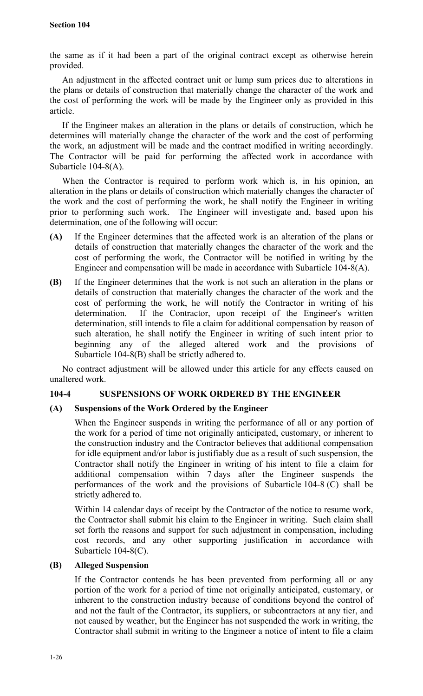the same as if it had been a part of the original contract except as otherwise herein provided.

An adjustment in the affected contract unit or lump sum prices due to alterations in the plans or details of construction that materially change the character of the work and the cost of performing the work will be made by the Engineer only as provided in this article.

If the Engineer makes an alteration in the plans or details of construction, which he determines will materially change the character of the work and the cost of performing the work, an adjustment will be made and the contract modified in writing accordingly. The Contractor will be paid for performing the affected work in accordance with Subarticle 104-8(A).

When the Contractor is required to perform work which is, in his opinion, an alteration in the plans or details of construction which materially changes the character of the work and the cost of performing the work, he shall notify the Engineer in writing prior to performing such work. The Engineer will investigate and, based upon his determination, one of the following will occur:

- **(A)** If the Engineer determines that the affected work is an alteration of the plans or details of construction that materially changes the character of the work and the cost of performing the work, the Contractor will be notified in writing by the Engineer and compensation will be made in accordance with Subarticle 104-8(A).
- **(B)** If the Engineer determines that the work is not such an alteration in the plans or details of construction that materially changes the character of the work and the cost of performing the work, he will notify the Contractor in writing of his determination. If the Contractor, upon receipt of the Engineer's written determination, still intends to file a claim for additional compensation by reason of such alteration, he shall notify the Engineer in writing of such intent prior to beginning any of the alleged altered work and the provisions of Subarticle 104-8(B) shall be strictly adhered to.

No contract adjustment will be allowed under this article for any effects caused on unaltered work.

# **104-4 SUSPENSIONS OF WORK ORDERED BY THE ENGINEER**

# **(A) Suspensions of the Work Ordered by the Engineer**

When the Engineer suspends in writing the performance of all or any portion of the work for a period of time not originally anticipated, customary, or inherent to the construction industry and the Contractor believes that additional compensation for idle equipment and/or labor is justifiably due as a result of such suspension, the Contractor shall notify the Engineer in writing of his intent to file a claim for additional compensation within 7 days after the Engineer suspends the performances of the work and the provisions of Subarticle 104-8 (C) shall be strictly adhered to.

Within 14 calendar days of receipt by the Contractor of the notice to resume work, the Contractor shall submit his claim to the Engineer in writing. Such claim shall set forth the reasons and support for such adjustment in compensation, including cost records, and any other supporting justification in accordance with Subarticle 104-8(C).

# **(B) Alleged Suspension**

If the Contractor contends he has been prevented from performing all or any portion of the work for a period of time not originally anticipated, customary, or inherent to the construction industry because of conditions beyond the control of and not the fault of the Contractor, its suppliers, or subcontractors at any tier, and not caused by weather, but the Engineer has not suspended the work in writing, the Contractor shall submit in writing to the Engineer a notice of intent to file a claim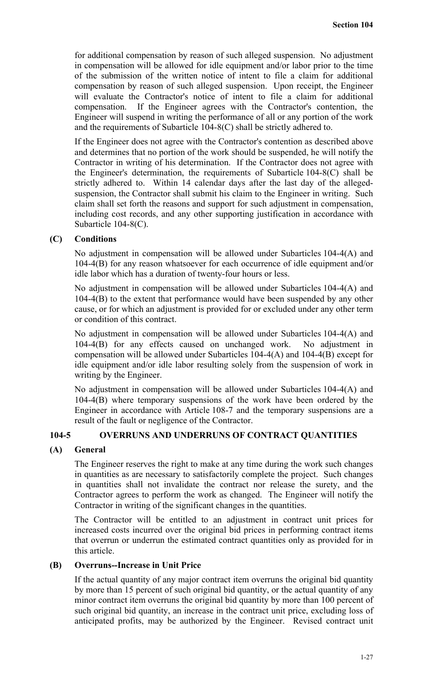for additional compensation by reason of such alleged suspension. No adjustment in compensation will be allowed for idle equipment and/or labor prior to the time of the submission of the written notice of intent to file a claim for additional compensation by reason of such alleged suspension. Upon receipt, the Engineer will evaluate the Contractor's notice of intent to file a claim for additional compensation. If the Engineer agrees with the Contractor's contention, the Engineer will suspend in writing the performance of all or any portion of the work and the requirements of Subarticle 104-8(C) shall be strictly adhered to.

If the Engineer does not agree with the Contractor's contention as described above and determines that no portion of the work should be suspended, he will notify the Contractor in writing of his determination. If the Contractor does not agree with the Engineer's determination, the requirements of Subarticle 104-8(C) shall be strictly adhered to. Within 14 calendar days after the last day of the allegedsuspension, the Contractor shall submit his claim to the Engineer in writing. Such claim shall set forth the reasons and support for such adjustment in compensation, including cost records, and any other supporting justification in accordance with Subarticle 104-8(C).

# **(C) Conditions**

No adjustment in compensation will be allowed under Subarticles 104-4(A) and 104-4(B) for any reason whatsoever for each occurrence of idle equipment and/or idle labor which has a duration of twenty-four hours or less.

No adjustment in compensation will be allowed under Subarticles 104-4(A) and 104-4(B) to the extent that performance would have been suspended by any other cause, or for which an adjustment is provided for or excluded under any other term or condition of this contract.

No adjustment in compensation will be allowed under Subarticles 104-4(A) and 104-4(B) for any effects caused on unchanged work. No adjustment in compensation will be allowed under Subarticles 104-4(A) and 104-4(B) except for idle equipment and/or idle labor resulting solely from the suspension of work in writing by the Engineer.

No adjustment in compensation will be allowed under Subarticles 104-4(A) and 104-4(B) where temporary suspensions of the work have been ordered by the Engineer in accordance with Article 108-7 and the temporary suspensions are a result of the fault or negligence of the Contractor.

# **104-5 OVERRUNS AND UNDERRUNS OF CONTRACT QUANTITIES**

# **(A) General**

The Engineer reserves the right to make at any time during the work such changes in quantities as are necessary to satisfactorily complete the project. Such changes in quantities shall not invalidate the contract nor release the surety, and the Contractor agrees to perform the work as changed. The Engineer will notify the Contractor in writing of the significant changes in the quantities.

The Contractor will be entitled to an adjustment in contract unit prices for increased costs incurred over the original bid prices in performing contract items that overrun or underrun the estimated contract quantities only as provided for in this article.

## **(B) Overruns--Increase in Unit Price**

If the actual quantity of any major contract item overruns the original bid quantity by more than 15 percent of such original bid quantity, or the actual quantity of any minor contract item overruns the original bid quantity by more than 100 percent of such original bid quantity, an increase in the contract unit price, excluding loss of anticipated profits, may be authorized by the Engineer. Revised contract unit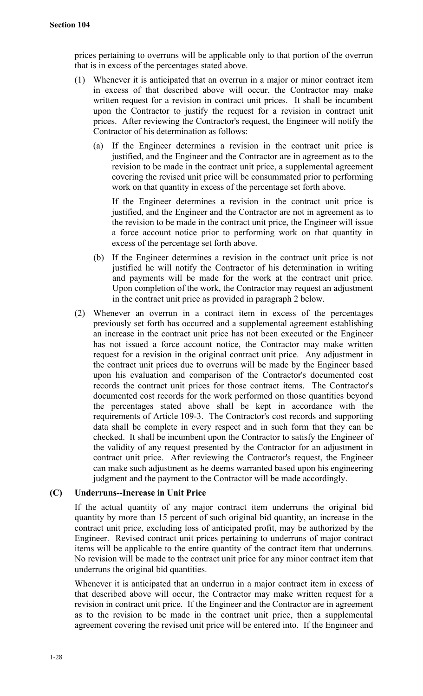prices pertaining to overruns will be applicable only to that portion of the overrun that is in excess of the percentages stated above.

- (1) Whenever it is anticipated that an overrun in a major or minor contract item in excess of that described above will occur, the Contractor may make written request for a revision in contract unit prices. It shall be incumbent upon the Contractor to justify the request for a revision in contract unit prices. After reviewing the Contractor's request, the Engineer will notify the Contractor of his determination as follows:
	- (a) If the Engineer determines a revision in the contract unit price is justified, and the Engineer and the Contractor are in agreement as to the revision to be made in the contract unit price, a supplemental agreement covering the revised unit price will be consummated prior to performing work on that quantity in excess of the percentage set forth above.

If the Engineer determines a revision in the contract unit price is justified, and the Engineer and the Contractor are not in agreement as to the revision to be made in the contract unit price, the Engineer will issue a force account notice prior to performing work on that quantity in excess of the percentage set forth above.

- (b) If the Engineer determines a revision in the contract unit price is not justified he will notify the Contractor of his determination in writing and payments will be made for the work at the contract unit price. Upon completion of the work, the Contractor may request an adjustment in the contract unit price as provided in paragraph 2 below.
- (2) Whenever an overrun in a contract item in excess of the percentages previously set forth has occurred and a supplemental agreement establishing an increase in the contract unit price has not been executed or the Engineer has not issued a force account notice, the Contractor may make written request for a revision in the original contract unit price. Any adjustment in the contract unit prices due to overruns will be made by the Engineer based upon his evaluation and comparison of the Contractor's documented cost records the contract unit prices for those contract items. The Contractor's documented cost records for the work performed on those quantities beyond the percentages stated above shall be kept in accordance with the requirements of Article 109-3. The Contractor's cost records and supporting data shall be complete in every respect and in such form that they can be checked. It shall be incumbent upon the Contractor to satisfy the Engineer of the validity of any request presented by the Contractor for an adjustment in contract unit price. After reviewing the Contractor's request, the Engineer can make such adjustment as he deems warranted based upon his engineering judgment and the payment to the Contractor will be made accordingly.

# **(C) Underruns--Increase in Unit Price**

If the actual quantity of any major contract item underruns the original bid quantity by more than 15 percent of such original bid quantity, an increase in the contract unit price, excluding loss of anticipated profit, may be authorized by the Engineer. Revised contract unit prices pertaining to underruns of major contract items will be applicable to the entire quantity of the contract item that underruns. No revision will be made to the contract unit price for any minor contract item that underruns the original bid quantities.

Whenever it is anticipated that an underrun in a major contract item in excess of that described above will occur, the Contractor may make written request for a revision in contract unit price. If the Engineer and the Contractor are in agreement as to the revision to be made in the contract unit price, then a supplemental agreement covering the revised unit price will be entered into. If the Engineer and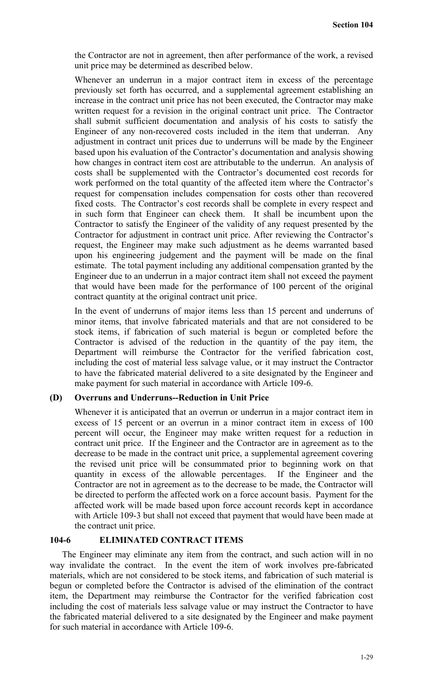the Contractor are not in agreement, then after performance of the work, a revised unit price may be determined as described below.

Whenever an underrun in a major contract item in excess of the percentage previously set forth has occurred, and a supplemental agreement establishing an increase in the contract unit price has not been executed, the Contractor may make written request for a revision in the original contract unit price. The Contractor shall submit sufficient documentation and analysis of his costs to satisfy the Engineer of any non-recovered costs included in the item that underran. Any adjustment in contract unit prices due to underruns will be made by the Engineer based upon his evaluation of the Contractor's documentation and analysis showing how changes in contract item cost are attributable to the underrun. An analysis of costs shall be supplemented with the Contractor's documented cost records for work performed on the total quantity of the affected item where the Contractor's request for compensation includes compensation for costs other than recovered fixed costs. The Contractor's cost records shall be complete in every respect and in such form that Engineer can check them. It shall be incumbent upon the Contractor to satisfy the Engineer of the validity of any request presented by the Contractor for adjustment in contract unit price. After reviewing the Contractor's request, the Engineer may make such adjustment as he deems warranted based upon his engineering judgement and the payment will be made on the final estimate. The total payment including any additional compensation granted by the Engineer due to an underrun in a major contract item shall not exceed the payment that would have been made for the performance of 100 percent of the original contract quantity at the original contract unit price.

In the event of underruns of major items less than 15 percent and underruns of minor items, that involve fabricated materials and that are not considered to be stock items, if fabrication of such material is begun or completed before the Contractor is advised of the reduction in the quantity of the pay item, the Department will reimburse the Contractor for the verified fabrication cost, including the cost of material less salvage value, or it may instruct the Contractor to have the fabricated material delivered to a site designated by the Engineer and make payment for such material in accordance with Article 109-6.

# **(D) Overruns and Underruns--Reduction in Unit Price**

Whenever it is anticipated that an overrun or underrun in a major contract item in excess of 15 percent or an overrun in a minor contract item in excess of 100 percent will occur, the Engineer may make written request for a reduction in contract unit price. If the Engineer and the Contractor are in agreement as to the decrease to be made in the contract unit price, a supplemental agreement covering the revised unit price will be consummated prior to beginning work on that quantity in excess of the allowable percentages. If the Engineer and the Contractor are not in agreement as to the decrease to be made, the Contractor will be directed to perform the affected work on a force account basis. Payment for the affected work will be made based upon force account records kept in accordance with Article 109-3 but shall not exceed that payment that would have been made at the contract unit price.

# **104-6 ELIMINATED CONTRACT ITEMS**

The Engineer may eliminate any item from the contract, and such action will in no way invalidate the contract. In the event the item of work involves pre-fabricated materials, which are not considered to be stock items, and fabrication of such material is begun or completed before the Contractor is advised of the elimination of the contract item, the Department may reimburse the Contractor for the verified fabrication cost including the cost of materials less salvage value or may instruct the Contractor to have the fabricated material delivered to a site designated by the Engineer and make payment for such material in accordance with Article 109-6.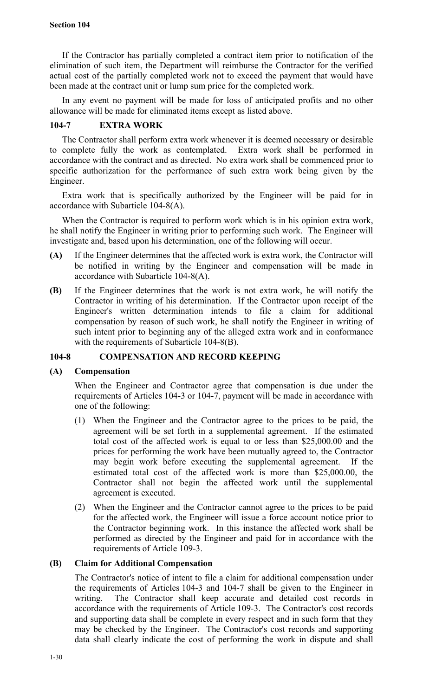If the Contractor has partially completed a contract item prior to notification of the elimination of such item, the Department will reimburse the Contractor for the verified actual cost of the partially completed work not to exceed the payment that would have been made at the contract unit or lump sum price for the completed work.

In any event no payment will be made for loss of anticipated profits and no other allowance will be made for eliminated items except as listed above.

# **104-7 EXTRA WORK**

The Contractor shall perform extra work whenever it is deemed necessary or desirable to complete fully the work as contemplated. Extra work shall be performed in accordance with the contract and as directed. No extra work shall be commenced prior to specific authorization for the performance of such extra work being given by the Engineer.

Extra work that is specifically authorized by the Engineer will be paid for in accordance with Subarticle 104-8(A).

When the Contractor is required to perform work which is in his opinion extra work, he shall notify the Engineer in writing prior to performing such work. The Engineer will investigate and, based upon his determination, one of the following will occur.

- **(A)** If the Engineer determines that the affected work is extra work, the Contractor will be notified in writing by the Engineer and compensation will be made in accordance with Subarticle 104-8(A).
- **(B)** If the Engineer determines that the work is not extra work, he will notify the Contractor in writing of his determination. If the Contractor upon receipt of the Engineer's written determination intends to file a claim for additional compensation by reason of such work, he shall notify the Engineer in writing of such intent prior to beginning any of the alleged extra work and in conformance with the requirements of Subarticle 104-8(B).

# **104-8 COMPENSATION AND RECORD KEEPING**

# **(A) Compensation**

When the Engineer and Contractor agree that compensation is due under the requirements of Articles 104-3 or 104-7, payment will be made in accordance with one of the following:

- (1) When the Engineer and the Contractor agree to the prices to be paid, the agreement will be set forth in a supplemental agreement. If the estimated total cost of the affected work is equal to or less than \$25,000.00 and the prices for performing the work have been mutually agreed to, the Contractor may begin work before executing the supplemental agreement. If the estimated total cost of the affected work is more than \$25,000.00, the Contractor shall not begin the affected work until the supplemental agreement is executed.
- (2) When the Engineer and the Contractor cannot agree to the prices to be paid for the affected work, the Engineer will issue a force account notice prior to the Contractor beginning work. In this instance the affected work shall be performed as directed by the Engineer and paid for in accordance with the requirements of Article 109-3.

# **(B) Claim for Additional Compensation**

The Contractor's notice of intent to file a claim for additional compensation under the requirements of Articles 104-3 and 104-7 shall be given to the Engineer in writing. The Contractor shall keep accurate and detailed cost records in accordance with the requirements of Article 109-3. The Contractor's cost records and supporting data shall be complete in every respect and in such form that they may be checked by the Engineer. The Contractor's cost records and supporting data shall clearly indicate the cost of performing the work in dispute and shall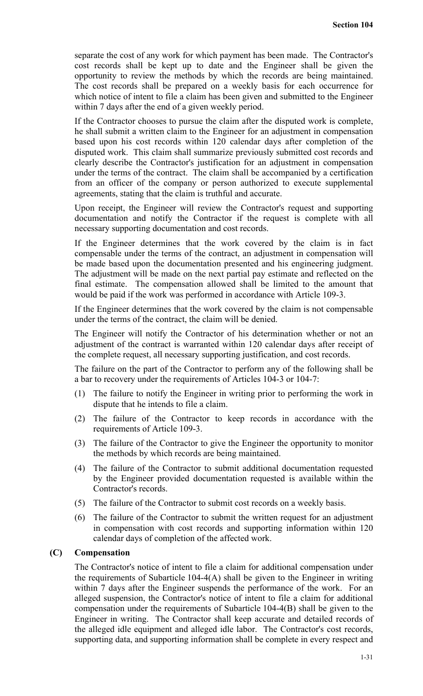separate the cost of any work for which payment has been made. The Contractor's cost records shall be kept up to date and the Engineer shall be given the opportunity to review the methods by which the records are being maintained. The cost records shall be prepared on a weekly basis for each occurrence for which notice of intent to file a claim has been given and submitted to the Engineer within 7 days after the end of a given weekly period.

If the Contractor chooses to pursue the claim after the disputed work is complete, he shall submit a written claim to the Engineer for an adjustment in compensation based upon his cost records within 120 calendar days after completion of the disputed work. This claim shall summarize previously submitted cost records and clearly describe the Contractor's justification for an adjustment in compensation under the terms of the contract. The claim shall be accompanied by a certification from an officer of the company or person authorized to execute supplemental agreements, stating that the claim is truthful and accurate.

Upon receipt, the Engineer will review the Contractor's request and supporting documentation and notify the Contractor if the request is complete with all necessary supporting documentation and cost records.

If the Engineer determines that the work covered by the claim is in fact compensable under the terms of the contract, an adjustment in compensation will be made based upon the documentation presented and his engineering judgment. The adjustment will be made on the next partial pay estimate and reflected on the final estimate. The compensation allowed shall be limited to the amount that would be paid if the work was performed in accordance with Article 109-3.

If the Engineer determines that the work covered by the claim is not compensable under the terms of the contract, the claim will be denied.

The Engineer will notify the Contractor of his determination whether or not an adjustment of the contract is warranted within 120 calendar days after receipt of the complete request, all necessary supporting justification, and cost records.

The failure on the part of the Contractor to perform any of the following shall be a bar to recovery under the requirements of Articles 104-3 or 104-7:

- (1) The failure to notify the Engineer in writing prior to performing the work in dispute that he intends to file a claim.
- (2) The failure of the Contractor to keep records in accordance with the requirements of Article 109-3.
- (3) The failure of the Contractor to give the Engineer the opportunity to monitor the methods by which records are being maintained.
- (4) The failure of the Contractor to submit additional documentation requested by the Engineer provided documentation requested is available within the Contractor's records.
- (5) The failure of the Contractor to submit cost records on a weekly basis.
- (6) The failure of the Contractor to submit the written request for an adjustment in compensation with cost records and supporting information within 120 calendar days of completion of the affected work.

## **(C) Compensation**

The Contractor's notice of intent to file a claim for additional compensation under the requirements of Subarticle  $104-4(A)$  shall be given to the Engineer in writing within 7 days after the Engineer suspends the performance of the work. For an alleged suspension, the Contractor's notice of intent to file a claim for additional compensation under the requirements of Subarticle 104-4(B) shall be given to the Engineer in writing. The Contractor shall keep accurate and detailed records of the alleged idle equipment and alleged idle labor. The Contractor's cost records, supporting data, and supporting information shall be complete in every respect and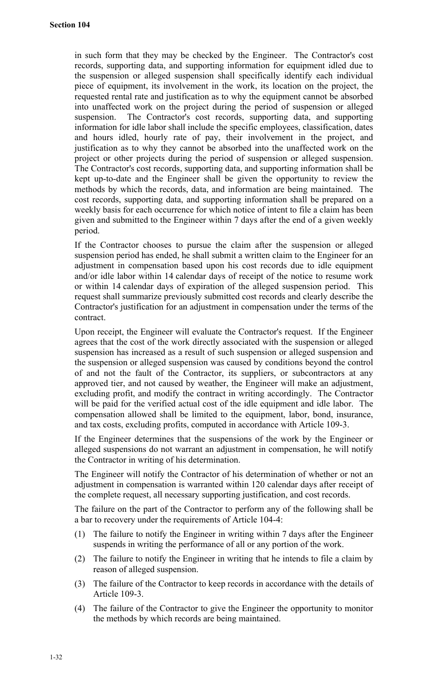in such form that they may be checked by the Engineer. The Contractor's cost records, supporting data, and supporting information for equipment idled due to the suspension or alleged suspension shall specifically identify each individual piece of equipment, its involvement in the work, its location on the project, the requested rental rate and justification as to why the equipment cannot be absorbed into unaffected work on the project during the period of suspension or alleged suspension. The Contractor's cost records, supporting data, and supporting information for idle labor shall include the specific employees, classification, dates and hours idled, hourly rate of pay, their involvement in the project, and justification as to why they cannot be absorbed into the unaffected work on the project or other projects during the period of suspension or alleged suspension. The Contractor's cost records, supporting data, and supporting information shall be kept up-to-date and the Engineer shall be given the opportunity to review the methods by which the records, data, and information are being maintained. The cost records, supporting data, and supporting information shall be prepared on a weekly basis for each occurrence for which notice of intent to file a claim has been given and submitted to the Engineer within 7 days after the end of a given weekly period.

If the Contractor chooses to pursue the claim after the suspension or alleged suspension period has ended, he shall submit a written claim to the Engineer for an adjustment in compensation based upon his cost records due to idle equipment and/or idle labor within 14 calendar days of receipt of the notice to resume work or within 14 calendar days of expiration of the alleged suspension period. This request shall summarize previously submitted cost records and clearly describe the Contractor's justification for an adjustment in compensation under the terms of the contract.

Upon receipt, the Engineer will evaluate the Contractor's request. If the Engineer agrees that the cost of the work directly associated with the suspension or alleged suspension has increased as a result of such suspension or alleged suspension and the suspension or alleged suspension was caused by conditions beyond the control of and not the fault of the Contractor, its suppliers, or subcontractors at any approved tier, and not caused by weather, the Engineer will make an adjustment, excluding profit, and modify the contract in writing accordingly. The Contractor will be paid for the verified actual cost of the idle equipment and idle labor. The compensation allowed shall be limited to the equipment, labor, bond, insurance, and tax costs, excluding profits, computed in accordance with Article 109-3.

If the Engineer determines that the suspensions of the work by the Engineer or alleged suspensions do not warrant an adjustment in compensation, he will notify the Contractor in writing of his determination.

The Engineer will notify the Contractor of his determination of whether or not an adjustment in compensation is warranted within 120 calendar days after receipt of the complete request, all necessary supporting justification, and cost records.

The failure on the part of the Contractor to perform any of the following shall be a bar to recovery under the requirements of Article 104-4:

- (1) The failure to notify the Engineer in writing within 7 days after the Engineer suspends in writing the performance of all or any portion of the work.
- (2) The failure to notify the Engineer in writing that he intends to file a claim by reason of alleged suspension.
- (3) The failure of the Contractor to keep records in accordance with the details of Article 109-3.
- (4) The failure of the Contractor to give the Engineer the opportunity to monitor the methods by which records are being maintained.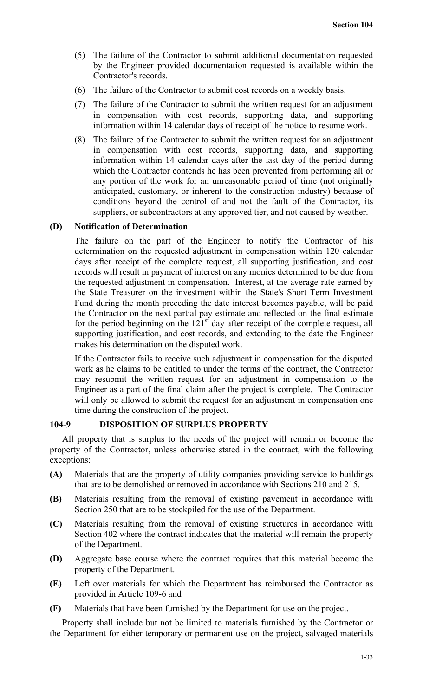- (5) The failure of the Contractor to submit additional documentation requested by the Engineer provided documentation requested is available within the Contractor's records.
- (6) The failure of the Contractor to submit cost records on a weekly basis.
- (7) The failure of the Contractor to submit the written request for an adjustment in compensation with cost records, supporting data, and supporting information within 14 calendar days of receipt of the notice to resume work.
- (8) The failure of the Contractor to submit the written request for an adjustment in compensation with cost records, supporting data, and supporting information within 14 calendar days after the last day of the period during which the Contractor contends he has been prevented from performing all or any portion of the work for an unreasonable period of time (not originally anticipated, customary, or inherent to the construction industry) because of conditions beyond the control of and not the fault of the Contractor, its suppliers, or subcontractors at any approved tier, and not caused by weather.

## **(D) Notification of Determination**

The failure on the part of the Engineer to notify the Contractor of his determination on the requested adjustment in compensation within 120 calendar days after receipt of the complete request, all supporting justification, and cost records will result in payment of interest on any monies determined to be due from the requested adjustment in compensation. Interest, at the average rate earned by the State Treasurer on the investment within the State's Short Term Investment Fund during the month preceding the date interest becomes payable, will be paid the Contractor on the next partial pay estimate and reflected on the final estimate for the period beginning on the  $121<sup>st</sup>$  day after receipt of the complete request, all supporting justification, and cost records, and extending to the date the Engineer makes his determination on the disputed work.

If the Contractor fails to receive such adjustment in compensation for the disputed work as he claims to be entitled to under the terms of the contract, the Contractor may resubmit the written request for an adjustment in compensation to the Engineer as a part of the final claim after the project is complete. The Contractor will only be allowed to submit the request for an adjustment in compensation one time during the construction of the project.

## **104-9 DISPOSITION OF SURPLUS PROPERTY**

All property that is surplus to the needs of the project will remain or become the property of the Contractor, unless otherwise stated in the contract, with the following exceptions:

- **(A)** Materials that are the property of utility companies providing service to buildings that are to be demolished or removed in accordance with Sections 210 and 215.
- **(B)** Materials resulting from the removal of existing pavement in accordance with Section 250 that are to be stockpiled for the use of the Department.
- **(C)** Materials resulting from the removal of existing structures in accordance with Section 402 where the contract indicates that the material will remain the property of the Department.
- **(D)** Aggregate base course where the contract requires that this material become the property of the Department.
- **(E)** Left over materials for which the Department has reimbursed the Contractor as provided in Article 109-6 and
- **(F)** Materials that have been furnished by the Department for use on the project.

Property shall include but not be limited to materials furnished by the Contractor or the Department for either temporary or permanent use on the project, salvaged materials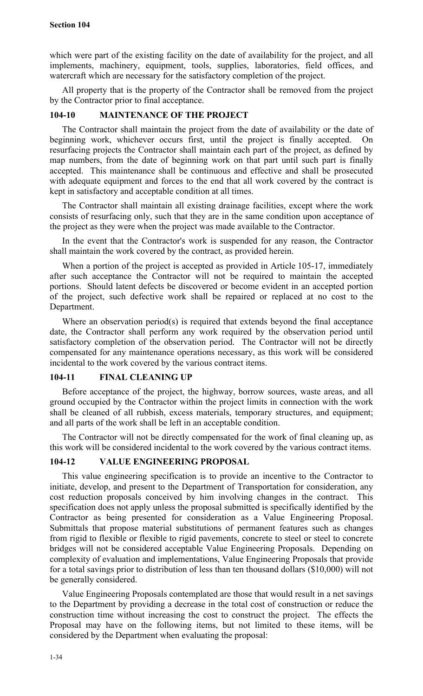which were part of the existing facility on the date of availability for the project, and all implements, machinery, equipment, tools, supplies, laboratories, field offices, and watercraft which are necessary for the satisfactory completion of the project.

All property that is the property of the Contractor shall be removed from the project by the Contractor prior to final acceptance.

# **104-10 MAINTENANCE OF THE PROJECT**

The Contractor shall maintain the project from the date of availability or the date of beginning work, whichever occurs first, until the project is finally accepted. On resurfacing projects the Contractor shall maintain each part of the project, as defined by map numbers, from the date of beginning work on that part until such part is finally accepted. This maintenance shall be continuous and effective and shall be prosecuted with adequate equipment and forces to the end that all work covered by the contract is kept in satisfactory and acceptable condition at all times.

The Contractor shall maintain all existing drainage facilities, except where the work consists of resurfacing only, such that they are in the same condition upon acceptance of the project as they were when the project was made available to the Contractor.

In the event that the Contractor's work is suspended for any reason, the Contractor shall maintain the work covered by the contract, as provided herein.

When a portion of the project is accepted as provided in Article 105-17, immediately after such acceptance the Contractor will not be required to maintain the accepted portions. Should latent defects be discovered or become evident in an accepted portion of the project, such defective work shall be repaired or replaced at no cost to the Department.

Where an observation period(s) is required that extends beyond the final acceptance date, the Contractor shall perform any work required by the observation period until satisfactory completion of the observation period. The Contractor will not be directly compensated for any maintenance operations necessary, as this work will be considered incidental to the work covered by the various contract items.

# **104-11 FINAL CLEANING UP**

Before acceptance of the project, the highway, borrow sources, waste areas, and all ground occupied by the Contractor within the project limits in connection with the work shall be cleaned of all rubbish, excess materials, temporary structures, and equipment; and all parts of the work shall be left in an acceptable condition.

The Contractor will not be directly compensated for the work of final cleaning up, as this work will be considered incidental to the work covered by the various contract items.

## **104-12 VALUE ENGINEERING PROPOSAL**

This value engineering specification is to provide an incentive to the Contractor to initiate, develop, and present to the Department of Transportation for consideration, any cost reduction proposals conceived by him involving changes in the contract. This specification does not apply unless the proposal submitted is specifically identified by the Contractor as being presented for consideration as a Value Engineering Proposal. Submittals that propose material substitutions of permanent features such as changes from rigid to flexible or flexible to rigid pavements, concrete to steel or steel to concrete bridges will not be considered acceptable Value Engineering Proposals. Depending on complexity of evaluation and implementations, Value Engineering Proposals that provide for a total savings prior to distribution of less than ten thousand dollars (\$10,000) will not be generally considered.

Value Engineering Proposals contemplated are those that would result in a net savings to the Department by providing a decrease in the total cost of construction or reduce the construction time without increasing the cost to construct the project. The effects the Proposal may have on the following items, but not limited to these items, will be considered by the Department when evaluating the proposal: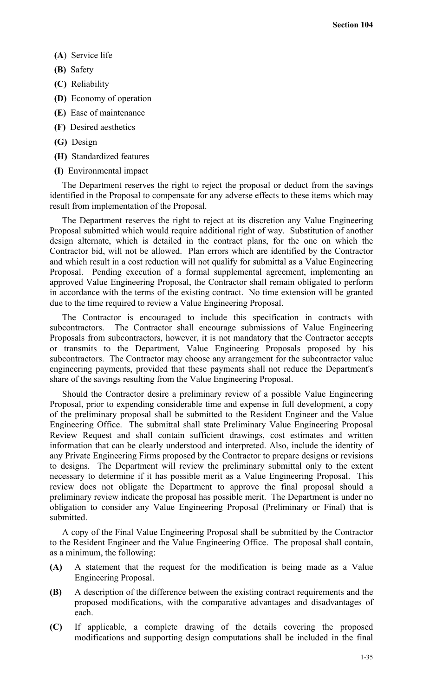- **(A**) Service life
- **(B)** Safety
- **(C)** Reliability
- **(D)** Economy of operation
- **(E)** Ease of maintenance
- **(F)** Desired aesthetics
- **(G)** Design
- **(H)** Standardized features
- **(I)** Environmental impact

The Department reserves the right to reject the proposal or deduct from the savings identified in the Proposal to compensate for any adverse effects to these items which may result from implementation of the Proposal.

The Department reserves the right to reject at its discretion any Value Engineering Proposal submitted which would require additional right of way. Substitution of another design alternate, which is detailed in the contract plans, for the one on which the Contractor bid, will not be allowed. Plan errors which are identified by the Contractor and which result in a cost reduction will not qualify for submittal as a Value Engineering Proposal. Pending execution of a formal supplemental agreement, implementing an approved Value Engineering Proposal, the Contractor shall remain obligated to perform in accordance with the terms of the existing contract. No time extension will be granted due to the time required to review a Value Engineering Proposal.

The Contractor is encouraged to include this specification in contracts with subcontractors. The Contractor shall encourage submissions of Value Engineering Proposals from subcontractors, however, it is not mandatory that the Contractor accepts or transmits to the Department, Value Engineering Proposals proposed by his subcontractors. The Contractor may choose any arrangement for the subcontractor value engineering payments, provided that these payments shall not reduce the Department's share of the savings resulting from the Value Engineering Proposal.

Should the Contractor desire a preliminary review of a possible Value Engineering Proposal, prior to expending considerable time and expense in full development, a copy of the preliminary proposal shall be submitted to the Resident Engineer and the Value Engineering Office. The submittal shall state Preliminary Value Engineering Proposal Review Request and shall contain sufficient drawings, cost estimates and written information that can be clearly understood and interpreted. Also, include the identity of any Private Engineering Firms proposed by the Contractor to prepare designs or revisions to designs. The Department will review the preliminary submittal only to the extent necessary to determine if it has possible merit as a Value Engineering Proposal. This review does not obligate the Department to approve the final proposal should a preliminary review indicate the proposal has possible merit. The Department is under no obligation to consider any Value Engineering Proposal (Preliminary or Final) that is submitted.

A copy of the Final Value Engineering Proposal shall be submitted by the Contractor to the Resident Engineer and the Value Engineering Office. The proposal shall contain, as a minimum, the following:

- **(A)** A statement that the request for the modification is being made as a Value Engineering Proposal.
- **(B)** A description of the difference between the existing contract requirements and the proposed modifications, with the comparative advantages and disadvantages of each.
- **(C)** If applicable, a complete drawing of the details covering the proposed modifications and supporting design computations shall be included in the final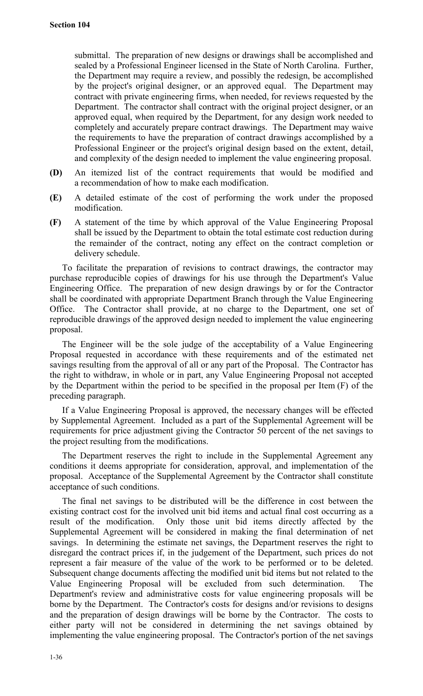submittal. The preparation of new designs or drawings shall be accomplished and sealed by a Professional Engineer licensed in the State of North Carolina. Further, the Department may require a review, and possibly the redesign, be accomplished by the project's original designer, or an approved equal. The Department may contract with private engineering firms, when needed, for reviews requested by the Department. The contractor shall contract with the original project designer, or an approved equal, when required by the Department, for any design work needed to completely and accurately prepare contract drawings. The Department may waive the requirements to have the preparation of contract drawings accomplished by a Professional Engineer or the project's original design based on the extent, detail, and complexity of the design needed to implement the value engineering proposal.

- **(D)** An itemized list of the contract requirements that would be modified and a recommendation of how to make each modification.
- **(E)** A detailed estimate of the cost of performing the work under the proposed modification.
- **(F)** A statement of the time by which approval of the Value Engineering Proposal shall be issued by the Department to obtain the total estimate cost reduction during the remainder of the contract, noting any effect on the contract completion or delivery schedule.

To facilitate the preparation of revisions to contract drawings, the contractor may purchase reproducible copies of drawings for his use through the Department's Value Engineering Office. The preparation of new design drawings by or for the Contractor shall be coordinated with appropriate Department Branch through the Value Engineering Office. The Contractor shall provide, at no charge to the Department, one set of reproducible drawings of the approved design needed to implement the value engineering proposal.

The Engineer will be the sole judge of the acceptability of a Value Engineering Proposal requested in accordance with these requirements and of the estimated net savings resulting from the approval of all or any part of the Proposal. The Contractor has the right to withdraw, in whole or in part, any Value Engineering Proposal not accepted by the Department within the period to be specified in the proposal per Item (F) of the preceding paragraph.

If a Value Engineering Proposal is approved, the necessary changes will be effected by Supplemental Agreement. Included as a part of the Supplemental Agreement will be requirements for price adjustment giving the Contractor 50 percent of the net savings to the project resulting from the modifications.

The Department reserves the right to include in the Supplemental Agreement any conditions it deems appropriate for consideration, approval, and implementation of the proposal. Acceptance of the Supplemental Agreement by the Contractor shall constitute acceptance of such conditions.

The final net savings to be distributed will be the difference in cost between the existing contract cost for the involved unit bid items and actual final cost occurring as a result of the modification. Only those unit bid items directly affected by the Supplemental Agreement will be considered in making the final determination of net savings. In determining the estimate net savings, the Department reserves the right to disregard the contract prices if, in the judgement of the Department, such prices do not represent a fair measure of the value of the work to be performed or to be deleted. Subsequent change documents affecting the modified unit bid items but not related to the Value Engineering Proposal will be excluded from such determination. The Department's review and administrative costs for value engineering proposals will be borne by the Department. The Contractor's costs for designs and/or revisions to designs and the preparation of design drawings will be borne by the Contractor. The costs to either party will not be considered in determining the net savings obtained by implementing the value engineering proposal. The Contractor's portion of the net savings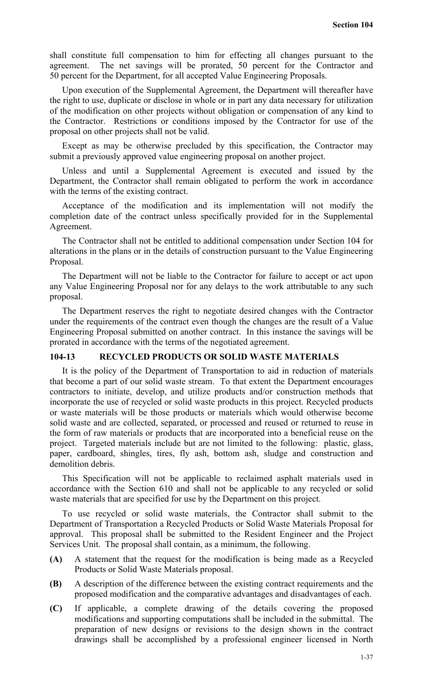shall constitute full compensation to him for effecting all changes pursuant to the agreement. The net savings will be prorated, 50 percent for the Contractor and 50 percent for the Department, for all accepted Value Engineering Proposals.

Upon execution of the Supplemental Agreement, the Department will thereafter have the right to use, duplicate or disclose in whole or in part any data necessary for utilization of the modification on other projects without obligation or compensation of any kind to the Contractor. Restrictions or conditions imposed by the Contractor for use of the proposal on other projects shall not be valid.

Except as may be otherwise precluded by this specification, the Contractor may submit a previously approved value engineering proposal on another project.

Unless and until a Supplemental Agreement is executed and issued by the Department, the Contractor shall remain obligated to perform the work in accordance with the terms of the existing contract.

Acceptance of the modification and its implementation will not modify the completion date of the contract unless specifically provided for in the Supplemental Agreement.

The Contractor shall not be entitled to additional compensation under Section 104 for alterations in the plans or in the details of construction pursuant to the Value Engineering Proposal.

The Department will not be liable to the Contractor for failure to accept or act upon any Value Engineering Proposal nor for any delays to the work attributable to any such proposal.

The Department reserves the right to negotiate desired changes with the Contractor under the requirements of the contract even though the changes are the result of a Value Engineering Proposal submitted on another contract. In this instance the savings will be prorated in accordance with the terms of the negotiated agreement.

# **104-13 RECYCLED PRODUCTS OR SOLID WASTE MATERIALS**

It is the policy of the Department of Transportation to aid in reduction of materials that become a part of our solid waste stream. To that extent the Department encourages contractors to initiate, develop, and utilize products and/or construction methods that incorporate the use of recycled or solid waste products in this project. Recycled products or waste materials will be those products or materials which would otherwise become solid waste and are collected, separated, or processed and reused or returned to reuse in the form of raw materials or products that are incorporated into a beneficial reuse on the project. Targeted materials include but are not limited to the following: plastic, glass, paper, cardboard, shingles, tires, fly ash, bottom ash, sludge and construction and demolition debris.

This Specification will not be applicable to reclaimed asphalt materials used in accordance with the Section 610 and shall not be applicable to any recycled or solid waste materials that are specified for use by the Department on this project.

To use recycled or solid waste materials, the Contractor shall submit to the Department of Transportation a Recycled Products or Solid Waste Materials Proposal for approval. This proposal shall be submitted to the Resident Engineer and the Project Services Unit. The proposal shall contain, as a minimum, the following.

- **(A)** A statement that the request for the modification is being made as a Recycled Products or Solid Waste Materials proposal.
- **(B)** A description of the difference between the existing contract requirements and the proposed modification and the comparative advantages and disadvantages of each.
- **(C)** If applicable, a complete drawing of the details covering the proposed modifications and supporting computations shall be included in the submittal. The preparation of new designs or revisions to the design shown in the contract drawings shall be accomplished by a professional engineer licensed in North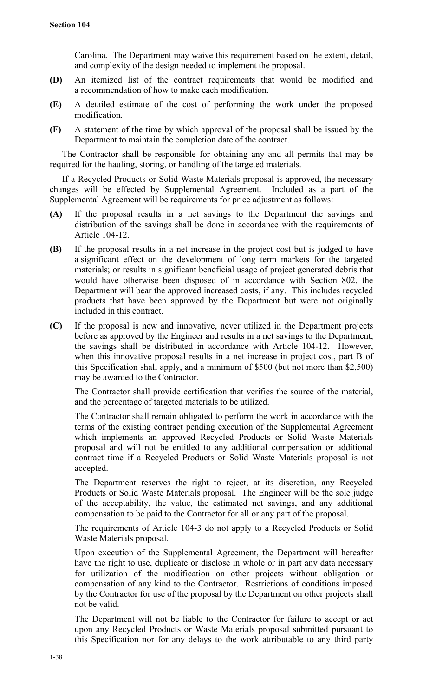Carolina. The Department may waive this requirement based on the extent, detail, and complexity of the design needed to implement the proposal.

- **(D)** An itemized list of the contract requirements that would be modified and a recommendation of how to make each modification.
- **(E)** A detailed estimate of the cost of performing the work under the proposed modification.
- **(F)** A statement of the time by which approval of the proposal shall be issued by the Department to maintain the completion date of the contract.

The Contractor shall be responsible for obtaining any and all permits that may be required for the hauling, storing, or handling of the targeted materials.

If a Recycled Products or Solid Waste Materials proposal is approved, the necessary changes will be effected by Supplemental Agreement. Included as a part of the Supplemental Agreement will be requirements for price adjustment as follows:

- **(A)** If the proposal results in a net savings to the Department the savings and distribution of the savings shall be done in accordance with the requirements of Article 104-12.
- **(B)** If the proposal results in a net increase in the project cost but is judged to have a significant effect on the development of long term markets for the targeted materials; or results in significant beneficial usage of project generated debris that would have otherwise been disposed of in accordance with Section 802, the Department will bear the approved increased costs, if any. This includes recycled products that have been approved by the Department but were not originally included in this contract.
- **(C)** If the proposal is new and innovative, never utilized in the Department projects before as approved by the Engineer and results in a net savings to the Department, the savings shall be distributed in accordance with Article 104-12. However, when this innovative proposal results in a net increase in project cost, part B of this Specification shall apply, and a minimum of \$500 (but not more than \$2,500) may be awarded to the Contractor.

The Contractor shall provide certification that verifies the source of the material, and the percentage of targeted materials to be utilized.

The Contractor shall remain obligated to perform the work in accordance with the terms of the existing contract pending execution of the Supplemental Agreement which implements an approved Recycled Products or Solid Waste Materials proposal and will not be entitled to any additional compensation or additional contract time if a Recycled Products or Solid Waste Materials proposal is not accepted.

The Department reserves the right to reject, at its discretion, any Recycled Products or Solid Waste Materials proposal. The Engineer will be the sole judge of the acceptability, the value, the estimated net savings, and any additional compensation to be paid to the Contractor for all or any part of the proposal.

The requirements of Article 104-3 do not apply to a Recycled Products or Solid Waste Materials proposal.

Upon execution of the Supplemental Agreement, the Department will hereafter have the right to use, duplicate or disclose in whole or in part any data necessary for utilization of the modification on other projects without obligation or compensation of any kind to the Contractor. Restrictions of conditions imposed by the Contractor for use of the proposal by the Department on other projects shall not be valid.

The Department will not be liable to the Contractor for failure to accept or act upon any Recycled Products or Waste Materials proposal submitted pursuant to this Specification nor for any delays to the work attributable to any third party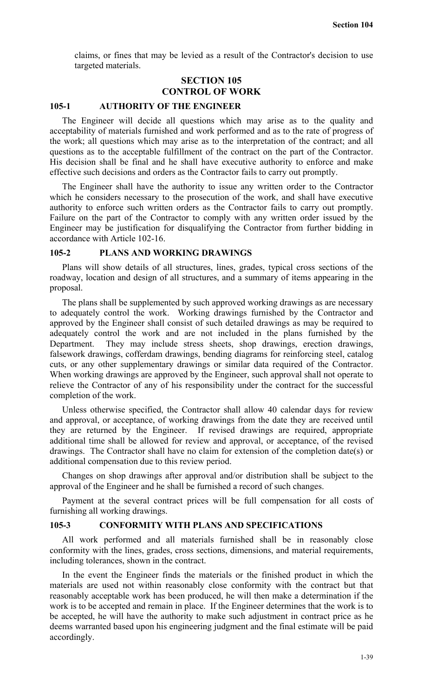claims, or fines that may be levied as a result of the Contractor's decision to use targeted materials.

# **SECTION 105 CONTROL OF WORK**

## **105-1 AUTHORITY OF THE ENGINEER**

The Engineer will decide all questions which may arise as to the quality and acceptability of materials furnished and work performed and as to the rate of progress of the work; all questions which may arise as to the interpretation of the contract; and all questions as to the acceptable fulfillment of the contract on the part of the Contractor. His decision shall be final and he shall have executive authority to enforce and make effective such decisions and orders as the Contractor fails to carry out promptly.

The Engineer shall have the authority to issue any written order to the Contractor which he considers necessary to the prosecution of the work, and shall have executive authority to enforce such written orders as the Contractor fails to carry out promptly. Failure on the part of the Contractor to comply with any written order issued by the Engineer may be justification for disqualifying the Contractor from further bidding in accordance with Article 102-16.

### **105-2 PLANS AND WORKING DRAWINGS**

Plans will show details of all structures, lines, grades, typical cross sections of the roadway, location and design of all structures, and a summary of items appearing in the proposal.

The plans shall be supplemented by such approved working drawings as are necessary to adequately control the work. Working drawings furnished by the Contractor and approved by the Engineer shall consist of such detailed drawings as may be required to adequately control the work and are not included in the plans furnished by the Department. They may include stress sheets, shop drawings, erection drawings, falsework drawings, cofferdam drawings, bending diagrams for reinforcing steel, catalog cuts, or any other supplementary drawings or similar data required of the Contractor. When working drawings are approved by the Engineer, such approval shall not operate to relieve the Contractor of any of his responsibility under the contract for the successful completion of the work.

Unless otherwise specified, the Contractor shall allow 40 calendar days for review and approval, or acceptance, of working drawings from the date they are received until they are returned by the Engineer. If revised drawings are required, appropriate additional time shall be allowed for review and approval, or acceptance, of the revised drawings. The Contractor shall have no claim for extension of the completion date(s) or additional compensation due to this review period.

Changes on shop drawings after approval and/or distribution shall be subject to the approval of the Engineer and he shall be furnished a record of such changes.

Payment at the several contract prices will be full compensation for all costs of furnishing all working drawings.

### **105-3 CONFORMITY WITH PLANS AND SPECIFICATIONS**

All work performed and all materials furnished shall be in reasonably close conformity with the lines, grades, cross sections, dimensions, and material requirements, including tolerances, shown in the contract.

In the event the Engineer finds the materials or the finished product in which the materials are used not within reasonably close conformity with the contract but that reasonably acceptable work has been produced, he will then make a determination if the work is to be accepted and remain in place. If the Engineer determines that the work is to be accepted, he will have the authority to make such adjustment in contract price as he deems warranted based upon his engineering judgment and the final estimate will be paid accordingly.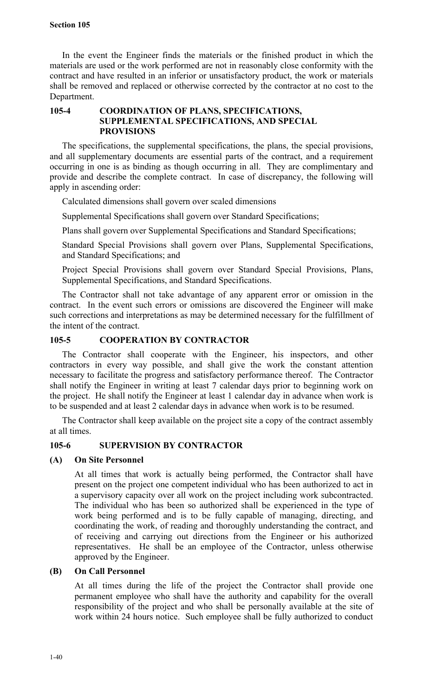In the event the Engineer finds the materials or the finished product in which the materials are used or the work performed are not in reasonably close conformity with the contract and have resulted in an inferior or unsatisfactory product, the work or materials shall be removed and replaced or otherwise corrected by the contractor at no cost to the Department.

## **105-4 COORDINATION OF PLANS, SPECIFICATIONS, SUPPLEMENTAL SPECIFICATIONS, AND SPECIAL PROVISIONS**

The specifications, the supplemental specifications, the plans, the special provisions, and all supplementary documents are essential parts of the contract, and a requirement occurring in one is as binding as though occurring in all. They are complimentary and provide and describe the complete contract. In case of discrepancy, the following will apply in ascending order:

Calculated dimensions shall govern over scaled dimensions

Supplemental Specifications shall govern over Standard Specifications;

Plans shall govern over Supplemental Specifications and Standard Specifications;

Standard Special Provisions shall govern over Plans, Supplemental Specifications, and Standard Specifications; and

Project Special Provisions shall govern over Standard Special Provisions, Plans, Supplemental Specifications, and Standard Specifications.

The Contractor shall not take advantage of any apparent error or omission in the contract. In the event such errors or omissions are discovered the Engineer will make such corrections and interpretations as may be determined necessary for the fulfillment of the intent of the contract.

## **105-5 COOPERATION BY CONTRACTOR**

The Contractor shall cooperate with the Engineer, his inspectors, and other contractors in every way possible, and shall give the work the constant attention necessary to facilitate the progress and satisfactory performance thereof. The Contractor shall notify the Engineer in writing at least 7 calendar days prior to beginning work on the project. He shall notify the Engineer at least 1 calendar day in advance when work is to be suspended and at least 2 calendar days in advance when work is to be resumed.

The Contractor shall keep available on the project site a copy of the contract assembly at all times.

## **105-6 SUPERVISION BY CONTRACTOR**

## **(A) On Site Personnel**

At all times that work is actually being performed, the Contractor shall have present on the project one competent individual who has been authorized to act in a supervisory capacity over all work on the project including work subcontracted. The individual who has been so authorized shall be experienced in the type of work being performed and is to be fully capable of managing, directing, and coordinating the work, of reading and thoroughly understanding the contract, and of receiving and carrying out directions from the Engineer or his authorized representatives. He shall be an employee of the Contractor, unless otherwise approved by the Engineer.

## **(B) On Call Personnel**

At all times during the life of the project the Contractor shall provide one permanent employee who shall have the authority and capability for the overall responsibility of the project and who shall be personally available at the site of work within 24 hours notice. Such employee shall be fully authorized to conduct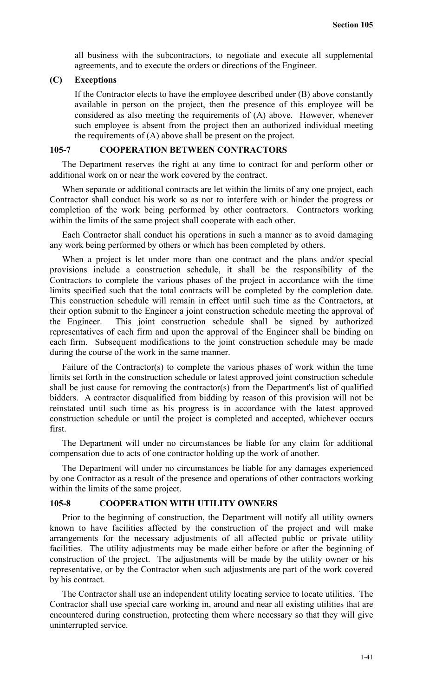all business with the subcontractors, to negotiate and execute all supplemental agreements, and to execute the orders or directions of the Engineer.

### **(C) Exceptions**

If the Contractor elects to have the employee described under (B) above constantly available in person on the project, then the presence of this employee will be considered as also meeting the requirements of (A) above. However, whenever such employee is absent from the project then an authorized individual meeting the requirements of (A) above shall be present on the project.

### **105-7 COOPERATION BETWEEN CONTRACTORS**

The Department reserves the right at any time to contract for and perform other or additional work on or near the work covered by the contract.

When separate or additional contracts are let within the limits of any one project, each Contractor shall conduct his work so as not to interfere with or hinder the progress or completion of the work being performed by other contractors. Contractors working within the limits of the same project shall cooperate with each other.

Each Contractor shall conduct his operations in such a manner as to avoid damaging any work being performed by others or which has been completed by others.

When a project is let under more than one contract and the plans and/or special provisions include a construction schedule, it shall be the responsibility of the Contractors to complete the various phases of the project in accordance with the time limits specified such that the total contracts will be completed by the completion date. This construction schedule will remain in effect until such time as the Contractors, at their option submit to the Engineer a joint construction schedule meeting the approval of the Engineer. This joint construction schedule shall be signed by authorized representatives of each firm and upon the approval of the Engineer shall be binding on each firm. Subsequent modifications to the joint construction schedule may be made during the course of the work in the same manner.

Failure of the Contractor(s) to complete the various phases of work within the time limits set forth in the construction schedule or latest approved joint construction schedule shall be just cause for removing the contractor(s) from the Department's list of qualified bidders. A contractor disqualified from bidding by reason of this provision will not be reinstated until such time as his progress is in accordance with the latest approved construction schedule or until the project is completed and accepted, whichever occurs first.

The Department will under no circumstances be liable for any claim for additional compensation due to acts of one contractor holding up the work of another.

The Department will under no circumstances be liable for any damages experienced by one Contractor as a result of the presence and operations of other contractors working within the limits of the same project.

# **105-8 COOPERATION WITH UTILITY OWNERS**

Prior to the beginning of construction, the Department will notify all utility owners known to have facilities affected by the construction of the project and will make arrangements for the necessary adjustments of all affected public or private utility facilities. The utility adjustments may be made either before or after the beginning of construction of the project. The adjustments will be made by the utility owner or his representative, or by the Contractor when such adjustments are part of the work covered by his contract.

The Contractor shall use an independent utility locating service to locate utilities. The Contractor shall use special care working in, around and near all existing utilities that are encountered during construction, protecting them where necessary so that they will give uninterrupted service.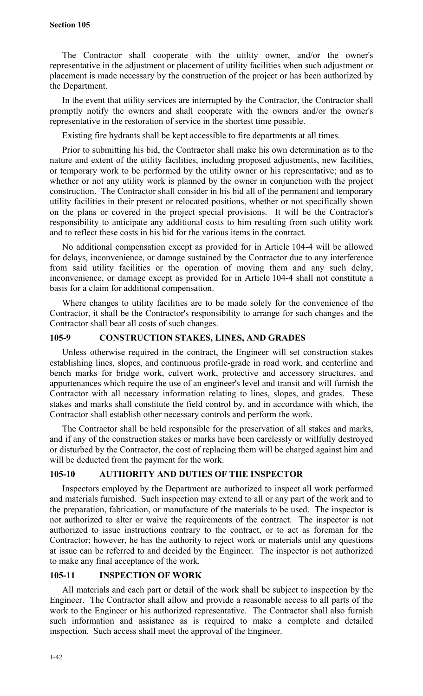### **Section 105**

The Contractor shall cooperate with the utility owner, and/or the owner's representative in the adjustment or placement of utility facilities when such adjustment or placement is made necessary by the construction of the project or has been authorized by the Department.

In the event that utility services are interrupted by the Contractor, the Contractor shall promptly notify the owners and shall cooperate with the owners and/or the owner's representative in the restoration of service in the shortest time possible.

Existing fire hydrants shall be kept accessible to fire departments at all times.

Prior to submitting his bid, the Contractor shall make his own determination as to the nature and extent of the utility facilities, including proposed adjustments, new facilities, or temporary work to be performed by the utility owner or his representative; and as to whether or not any utility work is planned by the owner in conjunction with the project construction. The Contractor shall consider in his bid all of the permanent and temporary utility facilities in their present or relocated positions, whether or not specifically shown on the plans or covered in the project special provisions. It will be the Contractor's responsibility to anticipate any additional costs to him resulting from such utility work and to reflect these costs in his bid for the various items in the contract.

No additional compensation except as provided for in Article 104-4 will be allowed for delays, inconvenience, or damage sustained by the Contractor due to any interference from said utility facilities or the operation of moving them and any such delay, inconvenience, or damage except as provided for in Article 104-4 shall not constitute a basis for a claim for additional compensation.

Where changes to utility facilities are to be made solely for the convenience of the Contractor, it shall be the Contractor's responsibility to arrange for such changes and the Contractor shall bear all costs of such changes.

## **105-9 CONSTRUCTION STAKES, LINES, AND GRADES**

Unless otherwise required in the contract, the Engineer will set construction stakes establishing lines, slopes, and continuous profile-grade in road work, and centerline and bench marks for bridge work, culvert work, protective and accessory structures, and appurtenances which require the use of an engineer's level and transit and will furnish the Contractor with all necessary information relating to lines, slopes, and grades. These stakes and marks shall constitute the field control by, and in accordance with which, the Contractor shall establish other necessary controls and perform the work.

The Contractor shall be held responsible for the preservation of all stakes and marks, and if any of the construction stakes or marks have been carelessly or willfully destroyed or disturbed by the Contractor, the cost of replacing them will be charged against him and will be deducted from the payment for the work.

## **105-10 AUTHORITY AND DUTIES OF THE INSPECTOR**

Inspectors employed by the Department are authorized to inspect all work performed and materials furnished. Such inspection may extend to all or any part of the work and to the preparation, fabrication, or manufacture of the materials to be used. The inspector is not authorized to alter or waive the requirements of the contract. The inspector is not authorized to issue instructions contrary to the contract, or to act as foreman for the Contractor; however, he has the authority to reject work or materials until any questions at issue can be referred to and decided by the Engineer. The inspector is not authorized to make any final acceptance of the work.

## **105-11 INSPECTION OF WORK**

All materials and each part or detail of the work shall be subject to inspection by the Engineer. The Contractor shall allow and provide a reasonable access to all parts of the work to the Engineer or his authorized representative. The Contractor shall also furnish such information and assistance as is required to make a complete and detailed inspection. Such access shall meet the approval of the Engineer.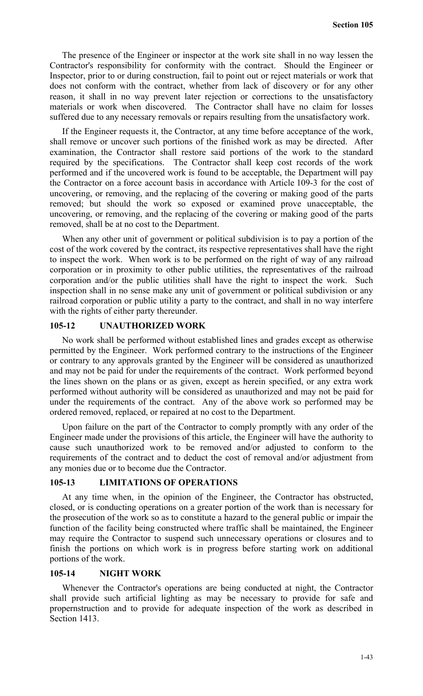The presence of the Engineer or inspector at the work site shall in no way lessen the Contractor's responsibility for conformity with the contract. Should the Engineer or Inspector, prior to or during construction, fail to point out or reject materials or work that does not conform with the contract, whether from lack of discovery or for any other reason, it shall in no way prevent later rejection or corrections to the unsatisfactory materials or work when discovered. The Contractor shall have no claim for losses suffered due to any necessary removals or repairs resulting from the unsatisfactory work.

If the Engineer requests it, the Contractor, at any time before acceptance of the work, shall remove or uncover such portions of the finished work as may be directed. After examination, the Contractor shall restore said portions of the work to the standard required by the specifications. The Contractor shall keep cost records of the work performed and if the uncovered work is found to be acceptable, the Department will pay the Contractor on a force account basis in accordance with Article 109-3 for the cost of uncovering, or removing, and the replacing of the covering or making good of the parts removed; but should the work so exposed or examined prove unacceptable, the uncovering, or removing, and the replacing of the covering or making good of the parts removed, shall be at no cost to the Department.

When any other unit of government or political subdivision is to pay a portion of the cost of the work covered by the contract, its respective representatives shall have the right to inspect the work. When work is to be performed on the right of way of any railroad corporation or in proximity to other public utilities, the representatives of the railroad corporation and/or the public utilities shall have the right to inspect the work. Such inspection shall in no sense make any unit of government or political subdivision or any railroad corporation or public utility a party to the contract, and shall in no way interfere with the rights of either party thereunder.

### **105-12 UNAUTHORIZED WORK**

No work shall be performed without established lines and grades except as otherwise permitted by the Engineer. Work performed contrary to the instructions of the Engineer or contrary to any approvals granted by the Engineer will be considered as unauthorized and may not be paid for under the requirements of the contract. Work performed beyond the lines shown on the plans or as given, except as herein specified, or any extra work performed without authority will be considered as unauthorized and may not be paid for under the requirements of the contract. Any of the above work so performed may be ordered removed, replaced, or repaired at no cost to the Department.

Upon failure on the part of the Contractor to comply promptly with any order of the Engineer made under the provisions of this article, the Engineer will have the authority to cause such unauthorized work to be removed and/or adjusted to conform to the requirements of the contract and to deduct the cost of removal and/or adjustment from any monies due or to become due the Contractor.

#### **105-13 LIMITATIONS OF OPERATIONS**

At any time when, in the opinion of the Engineer, the Contractor has obstructed, closed, or is conducting operations on a greater portion of the work than is necessary for the prosecution of the work so as to constitute a hazard to the general public or impair the function of the facility being constructed where traffic shall be maintained, the Engineer may require the Contractor to suspend such unnecessary operations or closures and to finish the portions on which work is in progress before starting work on additional portions of the work.

#### **105-14 NIGHT WORK**

Whenever the Contractor's operations are being conducted at night, the Contractor shall provide such artificial lighting as may be necessary to provide for safe and propernstruction and to provide for adequate inspection of the work as described in Section 1413.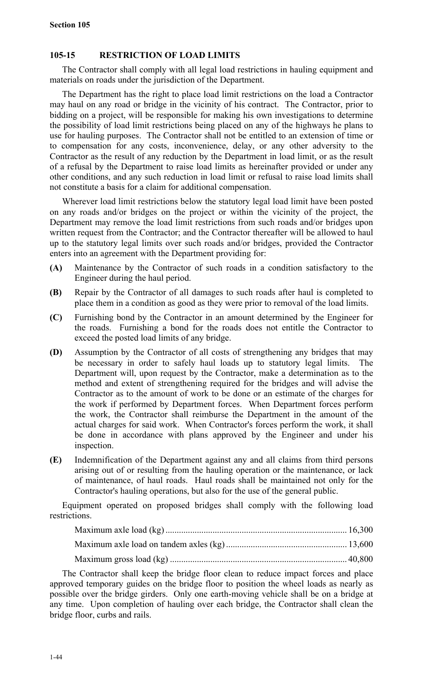## **105-15 RESTRICTION OF LOAD LIMITS**

The Contractor shall comply with all legal load restrictions in hauling equipment and materials on roads under the jurisdiction of the Department.

The Department has the right to place load limit restrictions on the load a Contractor may haul on any road or bridge in the vicinity of his contract. The Contractor, prior to bidding on a project, will be responsible for making his own investigations to determine the possibility of load limit restrictions being placed on any of the highways he plans to use for hauling purposes. The Contractor shall not be entitled to an extension of time or to compensation for any costs, inconvenience, delay, or any other adversity to the Contractor as the result of any reduction by the Department in load limit, or as the result of a refusal by the Department to raise load limits as hereinafter provided or under any other conditions, and any such reduction in load limit or refusal to raise load limits shall not constitute a basis for a claim for additional compensation.

Wherever load limit restrictions below the statutory legal load limit have been posted on any roads and/or bridges on the project or within the vicinity of the project, the Department may remove the load limit restrictions from such roads and/or bridges upon written request from the Contractor; and the Contractor thereafter will be allowed to haul up to the statutory legal limits over such roads and/or bridges, provided the Contractor enters into an agreement with the Department providing for:

- **(A)** Maintenance by the Contractor of such roads in a condition satisfactory to the Engineer during the haul period.
- **(B)** Repair by the Contractor of all damages to such roads after haul is completed to place them in a condition as good as they were prior to removal of the load limits.
- **(C)** Furnishing bond by the Contractor in an amount determined by the Engineer for the roads. Furnishing a bond for the roads does not entitle the Contractor to exceed the posted load limits of any bridge.
- **(D)** Assumption by the Contractor of all costs of strengthening any bridges that may be necessary in order to safely haul loads up to statutory legal limits. The Department will, upon request by the Contractor, make a determination as to the method and extent of strengthening required for the bridges and will advise the Contractor as to the amount of work to be done or an estimate of the charges for the work if performed by Department forces. When Department forces perform the work, the Contractor shall reimburse the Department in the amount of the actual charges for said work. When Contractor's forces perform the work, it shall be done in accordance with plans approved by the Engineer and under his inspection.
- **(E)** Indemnification of the Department against any and all claims from third persons arising out of or resulting from the hauling operation or the maintenance, or lack of maintenance, of haul roads. Haul roads shall be maintained not only for the Contractor's hauling operations, but also for the use of the general public.

Equipment operated on proposed bridges shall comply with the following load restrictions.

The Contractor shall keep the bridge floor clean to reduce impact forces and place approved temporary guides on the bridge floor to position the wheel loads as nearly as possible over the bridge girders. Only one earth-moving vehicle shall be on a bridge at any time. Upon completion of hauling over each bridge, the Contractor shall clean the bridge floor, curbs and rails.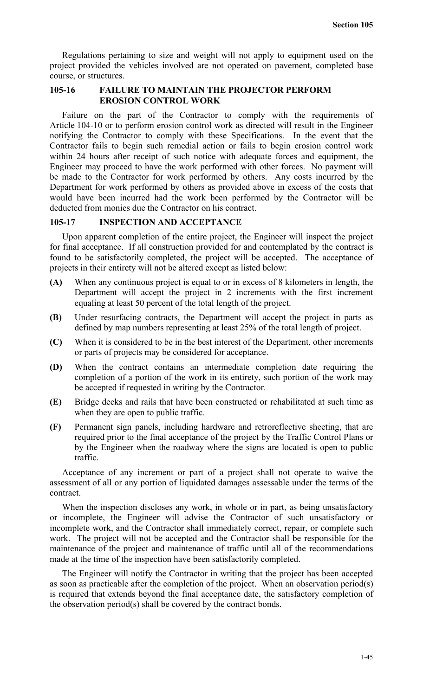Regulations pertaining to size and weight will not apply to equipment used on the project provided the vehicles involved are not operated on pavement, completed base course, or structures.

## **105-16 FAILURE TO MAINTAIN THE PROJECTOR PERFORM EROSION CONTROL WORK**

Failure on the part of the Contractor to comply with the requirements of Article 104-10 or to perform erosion control work as directed will result in the Engineer notifying the Contractor to comply with these Specifications. In the event that the Contractor fails to begin such remedial action or fails to begin erosion control work within 24 hours after receipt of such notice with adequate forces and equipment, the Engineer may proceed to have the work performed with other forces. No payment will be made to the Contractor for work performed by others. Any costs incurred by the Department for work performed by others as provided above in excess of the costs that would have been incurred had the work been performed by the Contractor will be deducted from monies due the Contractor on his contract.

### **105-17 INSPECTION AND ACCEPTANCE**

Upon apparent completion of the entire project, the Engineer will inspect the project for final acceptance. If all construction provided for and contemplated by the contract is found to be satisfactorily completed, the project will be accepted. The acceptance of projects in their entirety will not be altered except as listed below:

- **(A)** When any continuous project is equal to or in excess of 8 kilometers in length, the Department will accept the project in 2 increments with the first increment equaling at least 50 percent of the total length of the project.
- **(B)** Under resurfacing contracts, the Department will accept the project in parts as defined by map numbers representing at least 25% of the total length of project.
- **(C)** When it is considered to be in the best interest of the Department, other increments or parts of projects may be considered for acceptance.
- **(D)** When the contract contains an intermediate completion date requiring the completion of a portion of the work in its entirety, such portion of the work may be accepted if requested in writing by the Contractor.
- **(E)** Bridge decks and rails that have been constructed or rehabilitated at such time as when they are open to public traffic.
- **(F)** Permanent sign panels, including hardware and retroreflective sheeting, that are required prior to the final acceptance of the project by the Traffic Control Plans or by the Engineer when the roadway where the signs are located is open to public traffic.

Acceptance of any increment or part of a project shall not operate to waive the assessment of all or any portion of liquidated damages assessable under the terms of the contract.

When the inspection discloses any work, in whole or in part, as being unsatisfactory or incomplete, the Engineer will advise the Contractor of such unsatisfactory or incomplete work, and the Contractor shall immediately correct, repair, or complete such work. The project will not be accepted and the Contractor shall be responsible for the maintenance of the project and maintenance of traffic until all of the recommendations made at the time of the inspection have been satisfactorily completed.

The Engineer will notify the Contractor in writing that the project has been accepted as soon as practicable after the completion of the project. When an observation period(s) is required that extends beyond the final acceptance date, the satisfactory completion of the observation period(s) shall be covered by the contract bonds.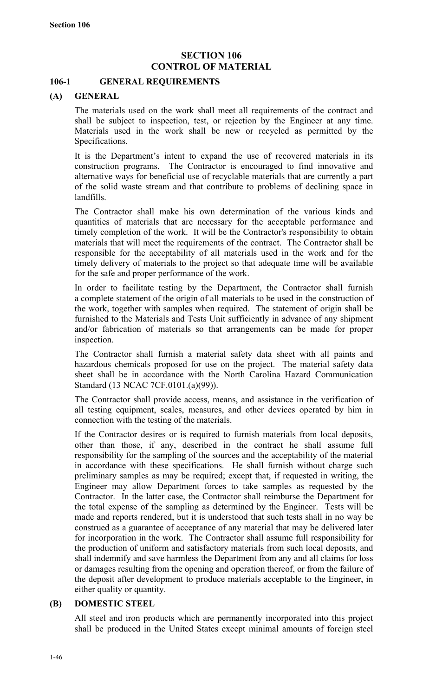# **SECTION 106 CONTROL OF MATERIAL**

## **106-1 GENERAL REQUIREMENTS**

## **(A) GENERAL**

The materials used on the work shall meet all requirements of the contract and shall be subject to inspection, test, or rejection by the Engineer at any time. Materials used in the work shall be new or recycled as permitted by the Specifications.

It is the Department's intent to expand the use of recovered materials in its construction programs. The Contractor is encouraged to find innovative and alternative ways for beneficial use of recyclable materials that are currently a part of the solid waste stream and that contribute to problems of declining space in landfills.

The Contractor shall make his own determination of the various kinds and quantities of materials that are necessary for the acceptable performance and timely completion of the work. It will be the Contractor's responsibility to obtain materials that will meet the requirements of the contract. The Contractor shall be responsible for the acceptability of all materials used in the work and for the timely delivery of materials to the project so that adequate time will be available for the safe and proper performance of the work.

In order to facilitate testing by the Department, the Contractor shall furnish a complete statement of the origin of all materials to be used in the construction of the work, together with samples when required. The statement of origin shall be furnished to the Materials and Tests Unit sufficiently in advance of any shipment and/or fabrication of materials so that arrangements can be made for proper inspection.

The Contractor shall furnish a material safety data sheet with all paints and hazardous chemicals proposed for use on the project. The material safety data sheet shall be in accordance with the North Carolina Hazard Communication Standard (13 NCAC 7CF.0101.(a)(99)).

The Contractor shall provide access, means, and assistance in the verification of all testing equipment, scales, measures, and other devices operated by him in connection with the testing of the materials.

If the Contractor desires or is required to furnish materials from local deposits, other than those, if any, described in the contract he shall assume full responsibility for the sampling of the sources and the acceptability of the material in accordance with these specifications. He shall furnish without charge such preliminary samples as may be required; except that, if requested in writing, the Engineer may allow Department forces to take samples as requested by the Contractor. In the latter case, the Contractor shall reimburse the Department for the total expense of the sampling as determined by the Engineer. Tests will be made and reports rendered, but it is understood that such tests shall in no way be construed as a guarantee of acceptance of any material that may be delivered later for incorporation in the work. The Contractor shall assume full responsibility for the production of uniform and satisfactory materials from such local deposits, and shall indemnify and save harmless the Department from any and all claims for loss or damages resulting from the opening and operation thereof, or from the failure of the deposit after development to produce materials acceptable to the Engineer, in either quality or quantity.

## **(B) DOMESTIC STEEL**

All steel and iron products which are permanently incorporated into this project shall be produced in the United States except minimal amounts of foreign steel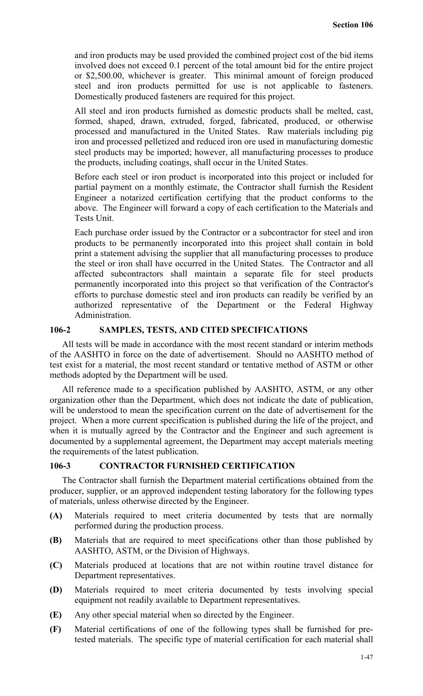and iron products may be used provided the combined project cost of the bid items involved does not exceed 0.1 percent of the total amount bid for the entire project or \$2,500.00, whichever is greater. This minimal amount of foreign produced steel and iron products permitted for use is not applicable to fasteners. Domestically produced fasteners are required for this project.

All steel and iron products furnished as domestic products shall be melted, cast, formed, shaped, drawn, extruded, forged, fabricated, produced, or otherwise processed and manufactured in the United States. Raw materials including pig iron and processed pelletized and reduced iron ore used in manufacturing domestic steel products may be imported; however, all manufacturing processes to produce the products, including coatings, shall occur in the United States.

Before each steel or iron product is incorporated into this project or included for partial payment on a monthly estimate, the Contractor shall furnish the Resident Engineer a notarized certification certifying that the product conforms to the above. The Engineer will forward a copy of each certification to the Materials and Tests Unit.

Each purchase order issued by the Contractor or a subcontractor for steel and iron products to be permanently incorporated into this project shall contain in bold print a statement advising the supplier that all manufacturing processes to produce the steel or iron shall have occurred in the United States. The Contractor and all affected subcontractors shall maintain a separate file for steel products permanently incorporated into this project so that verification of the Contractor's efforts to purchase domestic steel and iron products can readily be verified by an authorized representative of the Department or the Federal Highway Administration.

### **106-2 SAMPLES, TESTS, AND CITED SPECIFICATIONS**

All tests will be made in accordance with the most recent standard or interim methods of the AASHTO in force on the date of advertisement. Should no AASHTO method of test exist for a material, the most recent standard or tentative method of ASTM or other methods adopted by the Department will be used.

All reference made to a specification published by AASHTO, ASTM, or any other organization other than the Department, which does not indicate the date of publication, will be understood to mean the specification current on the date of advertisement for the project. When a more current specification is published during the life of the project, and when it is mutually agreed by the Contractor and the Engineer and such agreement is documented by a supplemental agreement, the Department may accept materials meeting the requirements of the latest publication.

### **106-3 CONTRACTOR FURNISHED CERTIFICATION**

The Contractor shall furnish the Department material certifications obtained from the producer, supplier, or an approved independent testing laboratory for the following types of materials, unless otherwise directed by the Engineer.

- **(A)** Materials required to meet criteria documented by tests that are normally performed during the production process.
- **(B)** Materials that are required to meet specifications other than those published by AASHTO, ASTM, or the Division of Highways.
- **(C)** Materials produced at locations that are not within routine travel distance for Department representatives.
- **(D)** Materials required to meet criteria documented by tests involving special equipment not readily available to Department representatives.
- **(E)** Any other special material when so directed by the Engineer.
- **(F)** Material certifications of one of the following types shall be furnished for pretested materials. The specific type of material certification for each material shall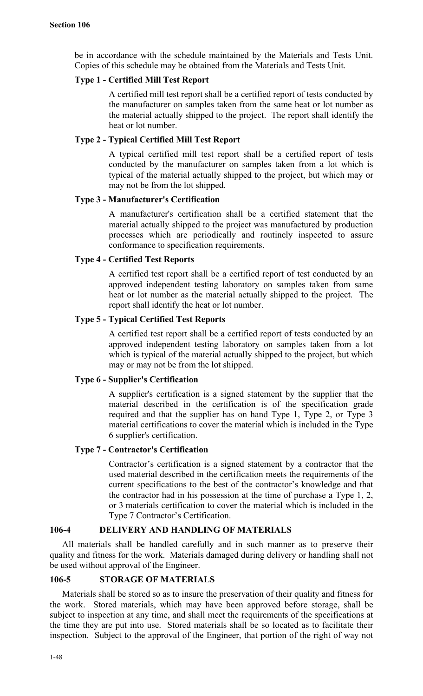be in accordance with the schedule maintained by the Materials and Tests Unit. Copies of this schedule may be obtained from the Materials and Tests Unit.

### **Type 1 - Certified Mill Test Report**

A certified mill test report shall be a certified report of tests conducted by the manufacturer on samples taken from the same heat or lot number as the material actually shipped to the project. The report shall identify the heat or lot number.

## **Type 2 - Typical Certified Mill Test Report**

A typical certified mill test report shall be a certified report of tests conducted by the manufacturer on samples taken from a lot which is typical of the material actually shipped to the project, but which may or may not be from the lot shipped.

## **Type 3 - Manufacturer's Certification**

A manufacturer's certification shall be a certified statement that the material actually shipped to the project was manufactured by production processes which are periodically and routinely inspected to assure conformance to specification requirements.

## **Type 4 - Certified Test Reports**

A certified test report shall be a certified report of test conducted by an approved independent testing laboratory on samples taken from same heat or lot number as the material actually shipped to the project. The report shall identify the heat or lot number.

## **Type 5 - Typical Certified Test Reports**

A certified test report shall be a certified report of tests conducted by an approved independent testing laboratory on samples taken from a lot which is typical of the material actually shipped to the project, but which may or may not be from the lot shipped.

## **Type 6 - Supplier's Certification**

A supplier's certification is a signed statement by the supplier that the material described in the certification is of the specification grade required and that the supplier has on hand Type 1, Type 2, or Type 3 material certifications to cover the material which is included in the Type 6 supplier's certification.

#### **Type 7 - Contractor's Certification**

Contractor's certification is a signed statement by a contractor that the used material described in the certification meets the requirements of the current specifications to the best of the contractor's knowledge and that the contractor had in his possession at the time of purchase a Type 1, 2, or 3 materials certification to cover the material which is included in the Type 7 Contractor's Certification.

# **106-4 DELIVERY AND HANDLING OF MATERIALS**

All materials shall be handled carefully and in such manner as to preserve their quality and fitness for the work. Materials damaged during delivery or handling shall not be used without approval of the Engineer.

### **106-5 STORAGE OF MATERIALS**

Materials shall be stored so as to insure the preservation of their quality and fitness for the work. Stored materials, which may have been approved before storage, shall be subject to inspection at any time, and shall meet the requirements of the specifications at the time they are put into use. Stored materials shall be so located as to facilitate their inspection. Subject to the approval of the Engineer, that portion of the right of way not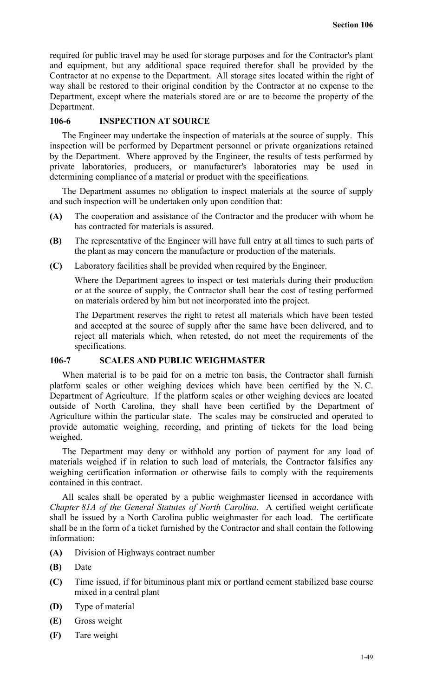required for public travel may be used for storage purposes and for the Contractor's plant and equipment, but any additional space required therefor shall be provided by the Contractor at no expense to the Department. All storage sites located within the right of way shall be restored to their original condition by the Contractor at no expense to the Department, except where the materials stored are or are to become the property of the Department.

### **106-6 INSPECTION AT SOURCE**

The Engineer may undertake the inspection of materials at the source of supply. This inspection will be performed by Department personnel or private organizations retained by the Department. Where approved by the Engineer, the results of tests performed by private laboratories, producers, or manufacturer's laboratories may be used in determining compliance of a material or product with the specifications.

The Department assumes no obligation to inspect materials at the source of supply and such inspection will be undertaken only upon condition that:

- **(A)** The cooperation and assistance of the Contractor and the producer with whom he has contracted for materials is assured.
- **(B)** The representative of the Engineer will have full entry at all times to such parts of the plant as may concern the manufacture or production of the materials.
- **(C)** Laboratory facilities shall be provided when required by the Engineer.

Where the Department agrees to inspect or test materials during their production or at the source of supply, the Contractor shall bear the cost of testing performed on materials ordered by him but not incorporated into the project.

The Department reserves the right to retest all materials which have been tested and accepted at the source of supply after the same have been delivered, and to reject all materials which, when retested, do not meet the requirements of the specifications.

### **106-7 SCALES AND PUBLIC WEIGHMASTER**

When material is to be paid for on a metric ton basis, the Contractor shall furnish platform scales or other weighing devices which have been certified by the N. C. Department of Agriculture. If the platform scales or other weighing devices are located outside of North Carolina, they shall have been certified by the Department of Agriculture within the particular state. The scales may be constructed and operated to provide automatic weighing, recording, and printing of tickets for the load being weighed.

The Department may deny or withhold any portion of payment for any load of materials weighed if in relation to such load of materials, the Contractor falsifies any weighing certification information or otherwise fails to comply with the requirements contained in this contract.

All scales shall be operated by a public weighmaster licensed in accordance with *Chapter 81A of the General Statutes of North Carolina*. A certified weight certificate shall be issued by a North Carolina public weighmaster for each load. The certificate shall be in the form of a ticket furnished by the Contractor and shall contain the following information:

- **(A)** Division of Highways contract number
- **(B)** Date
- **(C)** Time issued, if for bituminous plant mix or portland cement stabilized base course mixed in a central plant
- **(D)** Type of material
- **(E)** Gross weight
- **(F)** Tare weight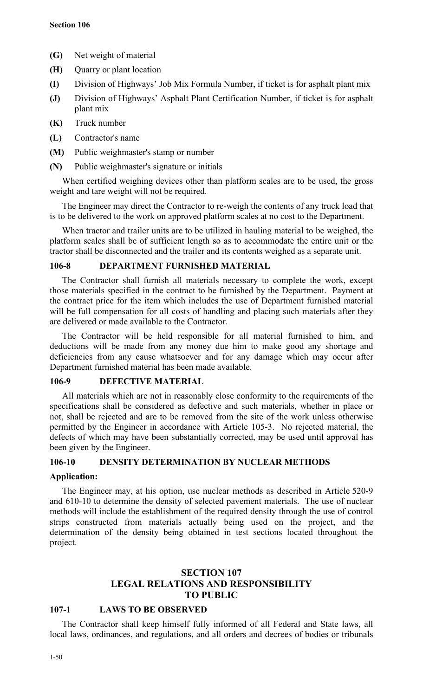- **(G)** Net weight of material
- **(H)** Quarry or plant location
- **(I)** Division of Highways' Job Mix Formula Number, if ticket is for asphalt plant mix
- **(J)** Division of Highways' Asphalt Plant Certification Number, if ticket is for asphalt plant mix
- **(K)** Truck number
- **(L)** Contractor's name
- **(M)** Public weighmaster's stamp or number
- **(N)** Public weighmaster's signature or initials

When certified weighing devices other than platform scales are to be used, the gross weight and tare weight will not be required.

The Engineer may direct the Contractor to re-weigh the contents of any truck load that is to be delivered to the work on approved platform scales at no cost to the Department.

When tractor and trailer units are to be utilized in hauling material to be weighed, the platform scales shall be of sufficient length so as to accommodate the entire unit or the tractor shall be disconnected and the trailer and its contents weighed as a separate unit.

## **106-8 DEPARTMENT FURNISHED MATERIAL**

The Contractor shall furnish all materials necessary to complete the work, except those materials specified in the contract to be furnished by the Department. Payment at the contract price for the item which includes the use of Department furnished material will be full compensation for all costs of handling and placing such materials after they are delivered or made available to the Contractor.

The Contractor will be held responsible for all material furnished to him, and deductions will be made from any money due him to make good any shortage and deficiencies from any cause whatsoever and for any damage which may occur after Department furnished material has been made available.

## **106-9 DEFECTIVE MATERIAL**

All materials which are not in reasonably close conformity to the requirements of the specifications shall be considered as defective and such materials, whether in place or not, shall be rejected and are to be removed from the site of the work unless otherwise permitted by the Engineer in accordance with Article 105-3. No rejected material, the defects of which may have been substantially corrected, may be used until approval has been given by the Engineer.

## **106-10 DENSITY DETERMINATION BY NUCLEAR METHODS**

### **Application:**

The Engineer may, at his option, use nuclear methods as described in Article 520-9 and 610-10 to determine the density of selected pavement materials. The use of nuclear methods will include the establishment of the required density through the use of control strips constructed from materials actually being used on the project, and the determination of the density being obtained in test sections located throughout the project.

# **SECTION 107 LEGAL RELATIONS AND RESPONSIBILITY TO PUBLIC**

### **107-1 LAWS TO BE OBSERVED**

The Contractor shall keep himself fully informed of all Federal and State laws, all local laws, ordinances, and regulations, and all orders and decrees of bodies or tribunals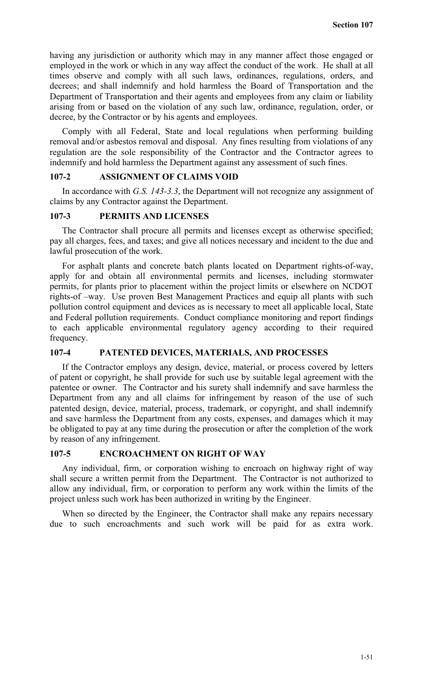having any jurisdiction or authority which may in any manner affect those engaged or employed in the work or which in any way affect the conduct of the work. He shall at all times observe and comply with all such laws, ordinances, regulations, orders, and decrees; and shall indemnify and hold harmless the Board of Transportation and the Department of Transportation and their agents and employees from any claim or liability arising from or based on the violation of any such law, ordinance, regulation, order, or decree, by the Contractor or by his agents and employees.

Comply with all Federal, State and local regulations when performing building removal and/or asbestos removal and disposal. Any fines resulting from violations of any regulation are the sole responsibility of the Contractor and the Contractor agrees to indemnify and hold harmless the Department against any assessment of such fines.

### **107-2 ASSIGNMENT OF CLAIMS VOID**

In accordance with *G.S. 143-3.3*, the Department will not recognize any assignment of claims by any Contractor against the Department.

## **107-3 PERMITS AND LICENSES**

The Contractor shall procure all permits and licenses except as otherwise specified; pay all charges, fees, and taxes; and give all notices necessary and incident to the due and lawful prosecution of the work.

For asphalt plants and concrete batch plants located on Department rights-of-way, apply for and obtain all environmental permits and licenses, including stormwater permits, for plants prior to placement within the project limits or elsewhere on NCDOT rights-of –way. Use proven Best Management Practices and equip all plants with such pollution control equipment and devices as is necessary to meet all applicable local, State and Federal pollution requirements. Conduct compliance monitoring and report findings to each applicable environmental regulatory agency according to their required frequency.

### **107-4 PATENTED DEVICES, MATERIALS, AND PROCESSES**

If the Contractor employs any design, device, material, or process covered by letters of patent or copyright, he shall provide for such use by suitable legal agreement with the patentee or owner. The Contractor and his surety shall indemnify and save harmless the Department from any and all claims for infringement by reason of the use of such patented design, device, material, process, trademark, or copyright, and shall indemnify and save harmless the Department from any costs, expenses, and damages which it may be obligated to pay at any time during the prosecution or after the completion of the work by reason of any infringement.

#### **107-5 ENCROACHMENT ON RIGHT OF WAY**

Any individual, firm, or corporation wishing to encroach on highway right of way shall secure a written permit from the Department. The Contractor is not authorized to allow any individual, firm, or corporation to perform any work within the limits of the project unless such work has been authorized in writing by the Engineer.

When so directed by the Engineer, the Contractor shall make any repairs necessary due to such encroachments and such work will be paid for as extra work.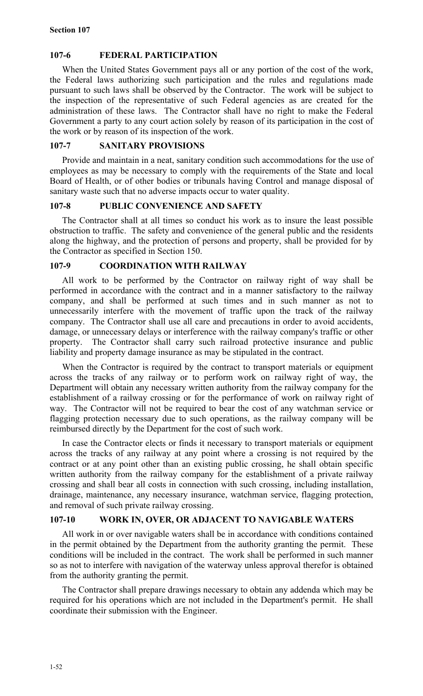# **107-6 FEDERAL PARTICIPATION**

When the United States Government pays all or any portion of the cost of the work, the Federal laws authorizing such participation and the rules and regulations made pursuant to such laws shall be observed by the Contractor. The work will be subject to the inspection of the representative of such Federal agencies as are created for the administration of these laws. The Contractor shall have no right to make the Federal Government a party to any court action solely by reason of its participation in the cost of the work or by reason of its inspection of the work.

## **107-7 SANITARY PROVISIONS**

Provide and maintain in a neat, sanitary condition such accommodations for the use of employees as may be necessary to comply with the requirements of the State and local Board of Health, or of other bodies or tribunals having Control and manage disposal of sanitary waste such that no adverse impacts occur to water quality.

## **107-8 PUBLIC CONVENIENCE AND SAFETY**

The Contractor shall at all times so conduct his work as to insure the least possible obstruction to traffic. The safety and convenience of the general public and the residents along the highway, and the protection of persons and property, shall be provided for by the Contractor as specified in Section 150.

## **107-9 COORDINATION WITH RAILWAY**

All work to be performed by the Contractor on railway right of way shall be performed in accordance with the contract and in a manner satisfactory to the railway company, and shall be performed at such times and in such manner as not to unnecessarily interfere with the movement of traffic upon the track of the railway company. The Contractor shall use all care and precautions in order to avoid accidents, damage, or unnecessary delays or interference with the railway company's traffic or other property. The Contractor shall carry such railroad protective insurance and public liability and property damage insurance as may be stipulated in the contract.

When the Contractor is required by the contract to transport materials or equipment across the tracks of any railway or to perform work on railway right of way, the Department will obtain any necessary written authority from the railway company for the establishment of a railway crossing or for the performance of work on railway right of way. The Contractor will not be required to bear the cost of any watchman service or flagging protection necessary due to such operations, as the railway company will be reimbursed directly by the Department for the cost of such work.

In case the Contractor elects or finds it necessary to transport materials or equipment across the tracks of any railway at any point where a crossing is not required by the contract or at any point other than an existing public crossing, he shall obtain specific written authority from the railway company for the establishment of a private railway crossing and shall bear all costs in connection with such crossing, including installation, drainage, maintenance, any necessary insurance, watchman service, flagging protection, and removal of such private railway crossing.

# **107-10 WORK IN, OVER, OR ADJACENT TO NAVIGABLE WATERS**

All work in or over navigable waters shall be in accordance with conditions contained in the permit obtained by the Department from the authority granting the permit. These conditions will be included in the contract. The work shall be performed in such manner so as not to interfere with navigation of the waterway unless approval therefor is obtained from the authority granting the permit.

The Contractor shall prepare drawings necessary to obtain any addenda which may be required for his operations which are not included in the Department's permit. He shall coordinate their submission with the Engineer.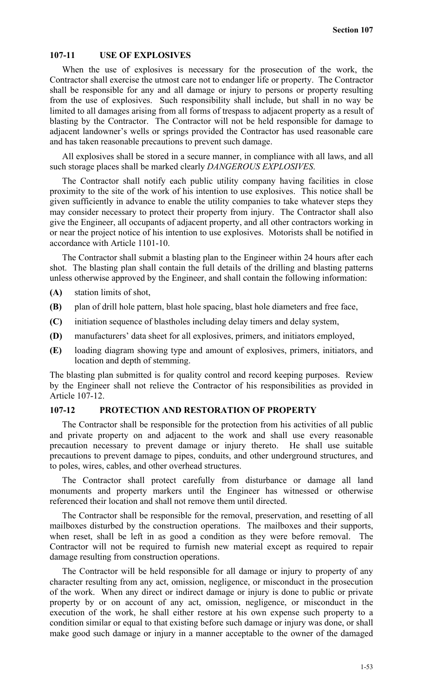### **107-11 USE OF EXPLOSIVES**

When the use of explosives is necessary for the prosecution of the work, the Contractor shall exercise the utmost care not to endanger life or property. The Contractor shall be responsible for any and all damage or injury to persons or property resulting from the use of explosives. Such responsibility shall include, but shall in no way be limited to all damages arising from all forms of trespass to adjacent property as a result of blasting by the Contractor. The Contractor will not be held responsible for damage to adjacent landowner's wells or springs provided the Contractor has used reasonable care and has taken reasonable precautions to prevent such damage.

All explosives shall be stored in a secure manner, in compliance with all laws, and all such storage places shall be marked clearly *DANGEROUS EXPLOSIVES*.

The Contractor shall notify each public utility company having facilities in close proximity to the site of the work of his intention to use explosives. This notice shall be given sufficiently in advance to enable the utility companies to take whatever steps they may consider necessary to protect their property from injury. The Contractor shall also give the Engineer, all occupants of adjacent property, and all other contractors working in or near the project notice of his intention to use explosives. Motorists shall be notified in accordance with Article 1101-10.

The Contractor shall submit a blasting plan to the Engineer within 24 hours after each shot. The blasting plan shall contain the full details of the drilling and blasting patterns unless otherwise approved by the Engineer, and shall contain the following information:

- **(A)** station limits of shot,
- **(B)** plan of drill hole pattern, blast hole spacing, blast hole diameters and free face,
- **(C)** initiation sequence of blastholes including delay timers and delay system,
- **(D)** manufacturers' data sheet for all explosives, primers, and initiators employed,
- **(E)** loading diagram showing type and amount of explosives, primers, initiators, and location and depth of stemming.

The blasting plan submitted is for quality control and record keeping purposes. Review by the Engineer shall not relieve the Contractor of his responsibilities as provided in Article 107-12.

### **107-12 PROTECTION AND RESTORATION OF PROPERTY**

The Contractor shall be responsible for the protection from his activities of all public and private property on and adjacent to the work and shall use every reasonable precaution necessary to prevent damage or injury thereto. He shall use suitable precautions to prevent damage to pipes, conduits, and other underground structures, and to poles, wires, cables, and other overhead structures.

The Contractor shall protect carefully from disturbance or damage all land monuments and property markers until the Engineer has witnessed or otherwise referenced their location and shall not remove them until directed.

The Contractor shall be responsible for the removal, preservation, and resetting of all mailboxes disturbed by the construction operations. The mailboxes and their supports, when reset, shall be left in as good a condition as they were before removal. The Contractor will not be required to furnish new material except as required to repair damage resulting from construction operations.

The Contractor will be held responsible for all damage or injury to property of any character resulting from any act, omission, negligence, or misconduct in the prosecution of the work. When any direct or indirect damage or injury is done to public or private property by or on account of any act, omission, negligence, or misconduct in the execution of the work, he shall either restore at his own expense such property to a condition similar or equal to that existing before such damage or injury was done, or shall make good such damage or injury in a manner acceptable to the owner of the damaged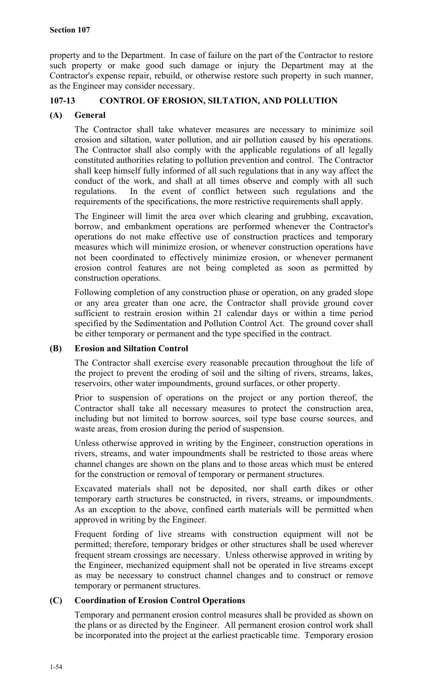property and to the Department. In case of failure on the part of the Contractor to restore such property or make good such damage or injury the Department may at the Contractor's expense repair, rebuild, or otherwise restore such property in such manner, as the Engineer may consider necessary.

# **107-13 CONTROL OF EROSION, SILTATION, AND POLLUTION**

## **(A) General**

The Contractor shall take whatever measures are necessary to minimize soil erosion and siltation, water pollution, and air pollution caused by his operations. The Contractor shall also comply with the applicable regulations of all legally constituted authorities relating to pollution prevention and control. The Contractor shall keep himself fully informed of all such regulations that in any way affect the conduct of the work, and shall at all times observe and comply with all such regulations. In the event of conflict between such regulations and the requirements of the specifications, the more restrictive requirements shall apply.

The Engineer will limit the area over which clearing and grubbing, excavation, borrow, and embankment operations are performed whenever the Contractor's operations do not make effective use of construction practices and temporary measures which will minimize erosion, or whenever construction operations have not been coordinated to effectively minimize erosion, or whenever permanent erosion control features are not being completed as soon as permitted by construction operations.

Following completion of any construction phase or operation, on any graded slope or any area greater than one acre, the Contractor shall provide ground cover sufficient to restrain erosion within 21 calendar days or within a time period specified by the Sedimentation and Pollution Control Act. The ground cover shall be either temporary or permanent and the type specified in the contract.

## **(B) Erosion and Siltation Control**

The Contractor shall exercise every reasonable precaution throughout the life of the project to prevent the eroding of soil and the silting of rivers, streams, lakes, reservoirs, other water impoundments, ground surfaces, or other property.

Prior to suspension of operations on the project or any portion thereof, the Contractor shall take all necessary measures to protect the construction area, including but not limited to borrow sources, soil type base course sources, and waste areas, from erosion during the period of suspension.

Unless otherwise approved in writing by the Engineer, construction operations in rivers, streams, and water impoundments shall be restricted to those areas where channel changes are shown on the plans and to those areas which must be entered for the construction or removal of temporary or permanent structures.

Excavated materials shall not be deposited, nor shall earth dikes or other temporary earth structures be constructed, in rivers, streams, or impoundments. As an exception to the above, confined earth materials will be permitted when approved in writing by the Engineer.

Frequent fording of live streams with construction equipment will not be permitted; therefore, temporary bridges or other structures shall be used wherever frequent stream crossings are necessary. Unless otherwise approved in writing by the Engineer, mechanized equipment shall not be operated in live streams except as may be necessary to construct channel changes and to construct or remove temporary or permanent structures.

## **(C) Coordination of Erosion Control Operations**

Temporary and permanent erosion control measures shall be provided as shown on the plans or as directed by the Engineer. All permanent erosion control work shall be incorporated into the project at the earliest practicable time. Temporary erosion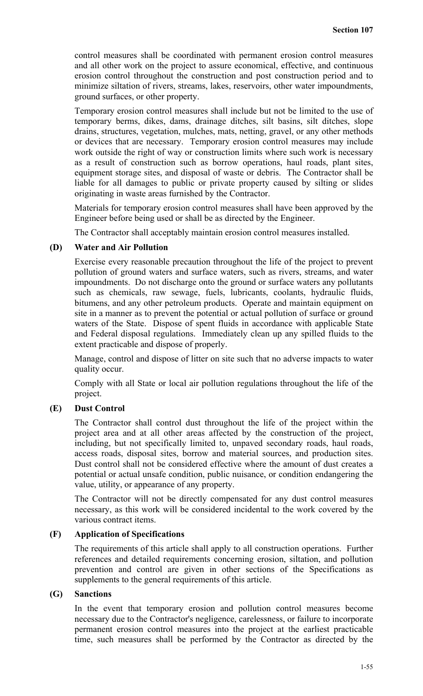control measures shall be coordinated with permanent erosion control measures and all other work on the project to assure economical, effective, and continuous erosion control throughout the construction and post construction period and to minimize siltation of rivers, streams, lakes, reservoirs, other water impoundments, ground surfaces, or other property.

Temporary erosion control measures shall include but not be limited to the use of temporary berms, dikes, dams, drainage ditches, silt basins, silt ditches, slope drains, structures, vegetation, mulches, mats, netting, gravel, or any other methods or devices that are necessary. Temporary erosion control measures may include work outside the right of way or construction limits where such work is necessary as a result of construction such as borrow operations, haul roads, plant sites, equipment storage sites, and disposal of waste or debris. The Contractor shall be liable for all damages to public or private property caused by silting or slides originating in waste areas furnished by the Contractor.

Materials for temporary erosion control measures shall have been approved by the Engineer before being used or shall be as directed by the Engineer.

The Contractor shall acceptably maintain erosion control measures installed.

## **(D) Water and Air Pollution**

Exercise every reasonable precaution throughout the life of the project to prevent pollution of ground waters and surface waters, such as rivers, streams, and water impoundments. Do not discharge onto the ground or surface waters any pollutants such as chemicals, raw sewage, fuels, lubricants, coolants, hydraulic fluids, bitumens, and any other petroleum products. Operate and maintain equipment on site in a manner as to prevent the potential or actual pollution of surface or ground waters of the State. Dispose of spent fluids in accordance with applicable State and Federal disposal regulations. Immediately clean up any spilled fluids to the extent practicable and dispose of properly.

Manage, control and dispose of litter on site such that no adverse impacts to water quality occur.

Comply with all State or local air pollution regulations throughout the life of the project.

## **(E) Dust Control**

The Contractor shall control dust throughout the life of the project within the project area and at all other areas affected by the construction of the project, including, but not specifically limited to, unpaved secondary roads, haul roads, access roads, disposal sites, borrow and material sources, and production sites. Dust control shall not be considered effective where the amount of dust creates a potential or actual unsafe condition, public nuisance, or condition endangering the value, utility, or appearance of any property.

The Contractor will not be directly compensated for any dust control measures necessary, as this work will be considered incidental to the work covered by the various contract items.

## **(F) Application of Specifications**

The requirements of this article shall apply to all construction operations. Further references and detailed requirements concerning erosion, siltation, and pollution prevention and control are given in other sections of the Specifications as supplements to the general requirements of this article.

### **(G) Sanctions**

In the event that temporary erosion and pollution control measures become necessary due to the Contractor's negligence, carelessness, or failure to incorporate permanent erosion control measures into the project at the earliest practicable time, such measures shall be performed by the Contractor as directed by the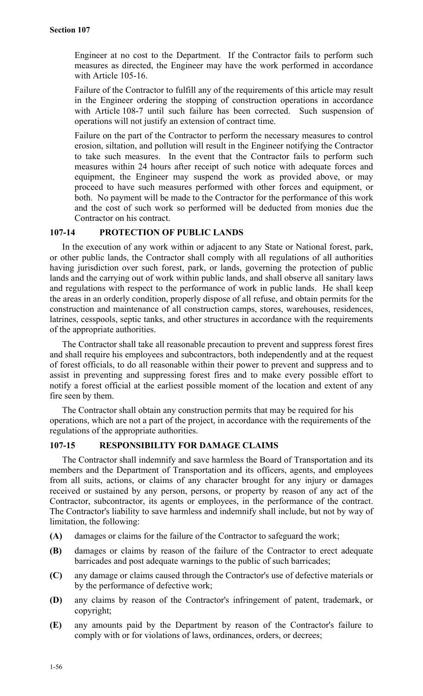Engineer at no cost to the Department. If the Contractor fails to perform such measures as directed, the Engineer may have the work performed in accordance with Article 105-16.

Failure of the Contractor to fulfill any of the requirements of this article may result in the Engineer ordering the stopping of construction operations in accordance with Article 108-7 until such failure has been corrected. Such suspension of operations will not justify an extension of contract time.

Failure on the part of the Contractor to perform the necessary measures to control erosion, siltation, and pollution will result in the Engineer notifying the Contractor to take such measures. In the event that the Contractor fails to perform such measures within 24 hours after receipt of such notice with adequate forces and equipment, the Engineer may suspend the work as provided above, or may proceed to have such measures performed with other forces and equipment, or both. No payment will be made to the Contractor for the performance of this work and the cost of such work so performed will be deducted from monies due the Contractor on his contract.

### **107-14 PROTECTION OF PUBLIC LANDS**

In the execution of any work within or adjacent to any State or National forest, park, or other public lands, the Contractor shall comply with all regulations of all authorities having jurisdiction over such forest, park, or lands, governing the protection of public lands and the carrying out of work within public lands, and shall observe all sanitary laws and regulations with respect to the performance of work in public lands. He shall keep the areas in an orderly condition, properly dispose of all refuse, and obtain permits for the construction and maintenance of all construction camps, stores, warehouses, residences, latrines, cesspools, septic tanks, and other structures in accordance with the requirements of the appropriate authorities.

The Contractor shall take all reasonable precaution to prevent and suppress forest fires and shall require his employees and subcontractors, both independently and at the request of forest officials, to do all reasonable within their power to prevent and suppress and to assist in preventing and suppressing forest fires and to make every possible effort to notify a forest official at the earliest possible moment of the location and extent of any fire seen by them.

The Contractor shall obtain any construction permits that may be required for his operations, which are not a part of the project, in accordance with the requirements of the regulations of the appropriate authorities.

### **107-15 RESPONSIBILITY FOR DAMAGE CLAIMS**

The Contractor shall indemnify and save harmless the Board of Transportation and its members and the Department of Transportation and its officers, agents, and employees from all suits, actions, or claims of any character brought for any injury or damages received or sustained by any person, persons, or property by reason of any act of the Contractor, subcontractor, its agents or employees, in the performance of the contract. The Contractor's liability to save harmless and indemnify shall include, but not by way of limitation, the following:

- **(A)** damages or claims for the failure of the Contractor to safeguard the work;
- **(B)** damages or claims by reason of the failure of the Contractor to erect adequate barricades and post adequate warnings to the public of such barricades;
- **(C)** any damage or claims caused through the Contractor's use of defective materials or by the performance of defective work;
- **(D)** any claims by reason of the Contractor's infringement of patent, trademark, or copyright;
- **(E)** any amounts paid by the Department by reason of the Contractor's failure to comply with or for violations of laws, ordinances, orders, or decrees;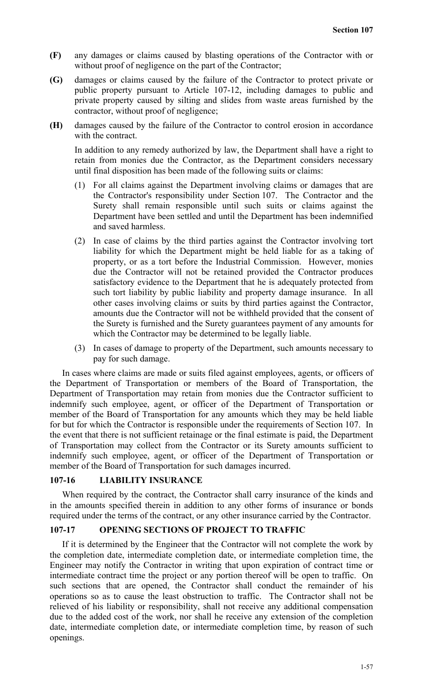- **(F)** any damages or claims caused by blasting operations of the Contractor with or without proof of negligence on the part of the Contractor;
- **(G)** damages or claims caused by the failure of the Contractor to protect private or public property pursuant to Article 107-12, including damages to public and private property caused by silting and slides from waste areas furnished by the contractor, without proof of negligence;
- **(H)** damages caused by the failure of the Contractor to control erosion in accordance with the contract.

In addition to any remedy authorized by law, the Department shall have a right to retain from monies due the Contractor, as the Department considers necessary until final disposition has been made of the following suits or claims:

- (1) For all claims against the Department involving claims or damages that are the Contractor's responsibility under Section 107. The Contractor and the Surety shall remain responsible until such suits or claims against the Department have been settled and until the Department has been indemnified and saved harmless.
- (2) In case of claims by the third parties against the Contractor involving tort liability for which the Department might be held liable for as a taking of property, or as a tort before the Industrial Commission. However, monies due the Contractor will not be retained provided the Contractor produces satisfactory evidence to the Department that he is adequately protected from such tort liability by public liability and property damage insurance. In all other cases involving claims or suits by third parties against the Contractor, amounts due the Contractor will not be withheld provided that the consent of the Surety is furnished and the Surety guarantees payment of any amounts for which the Contractor may be determined to be legally liable.
- (3) In cases of damage to property of the Department, such amounts necessary to pay for such damage.

In cases where claims are made or suits filed against employees, agents, or officers of the Department of Transportation or members of the Board of Transportation, the Department of Transportation may retain from monies due the Contractor sufficient to indemnify such employee, agent, or officer of the Department of Transportation or member of the Board of Transportation for any amounts which they may be held liable for but for which the Contractor is responsible under the requirements of Section 107. In the event that there is not sufficient retainage or the final estimate is paid, the Department of Transportation may collect from the Contractor or its Surety amounts sufficient to indemnify such employee, agent, or officer of the Department of Transportation or member of the Board of Transportation for such damages incurred.

## **107-16 LIABILITY INSURANCE**

When required by the contract, the Contractor shall carry insurance of the kinds and in the amounts specified therein in addition to any other forms of insurance or bonds required under the terms of the contract, or any other insurance carried by the Contractor.

## **107-17 OPENING SECTIONS OF PROJECT TO TRAFFIC**

If it is determined by the Engineer that the Contractor will not complete the work by the completion date, intermediate completion date, or intermediate completion time, the Engineer may notify the Contractor in writing that upon expiration of contract time or intermediate contract time the project or any portion thereof will be open to traffic. On such sections that are opened, the Contractor shall conduct the remainder of his operations so as to cause the least obstruction to traffic. The Contractor shall not be relieved of his liability or responsibility, shall not receive any additional compensation due to the added cost of the work, nor shall he receive any extension of the completion date, intermediate completion date, or intermediate completion time, by reason of such openings.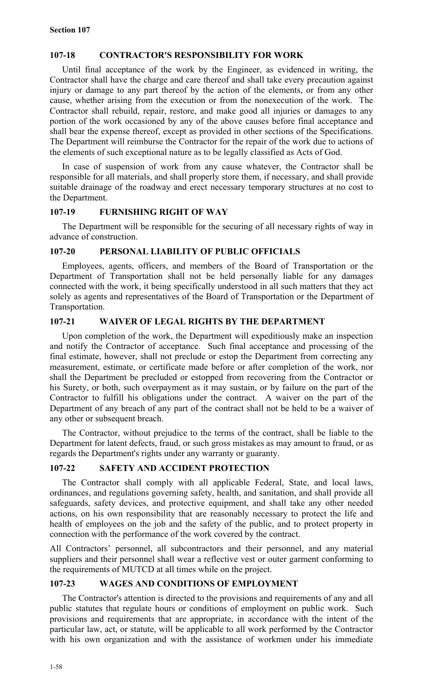# **107-18 CONTRACTOR'S RESPONSIBILITY FOR WORK**

Until final acceptance of the work by the Engineer, as evidenced in writing, the Contractor shall have the charge and care thereof and shall take every precaution against injury or damage to any part thereof by the action of the elements, or from any other cause, whether arising from the execution or from the nonexecution of the work. The Contractor shall rebuild, repair, restore, and make good all injuries or damages to any portion of the work occasioned by any of the above causes before final acceptance and shall bear the expense thereof, except as provided in other sections of the Specifications. The Department will reimburse the Contractor for the repair of the work due to actions of the elements of such exceptional nature as to be legally classified as Acts of God.

In case of suspension of work from any cause whatever, the Contractor shall be responsible for all materials, and shall properly store them, if necessary, and shall provide suitable drainage of the roadway and erect necessary temporary structures at no cost to the Department.

## **107-19 FURNISHING RIGHT OF WAY**

The Department will be responsible for the securing of all necessary rights of way in advance of construction.

## **107-20 PERSONAL LIABILITY OF PUBLIC OFFICIALS**

Employees, agents, officers, and members of the Board of Transportation or the Department of Transportation shall not be held personally liable for any damages connected with the work, it being specifically understood in all such matters that they act solely as agents and representatives of the Board of Transportation or the Department of Transportation.

# **107-21 WAIVER OF LEGAL RIGHTS BY THE DEPARTMENT**

Upon completion of the work, the Department will expeditiously make an inspection and notify the Contractor of acceptance. Such final acceptance and processing of the final estimate, however, shall not preclude or estop the Department from correcting any measurement, estimate, or certificate made before or after completion of the work, nor shall the Department be precluded or estopped from recovering from the Contractor or his Surety, or both, such overpayment as it may sustain, or by failure on the part of the Contractor to fulfill his obligations under the contract. A waiver on the part of the Department of any breach of any part of the contract shall not be held to be a waiver of any other or subsequent breach.

The Contractor, without prejudice to the terms of the contract, shall be liable to the Department for latent defects, fraud, or such gross mistakes as may amount to fraud, or as regards the Department's rights under any warranty or guaranty.

## **107-22 SAFETY AND ACCIDENT PROTECTION**

The Contractor shall comply with all applicable Federal, State, and local laws, ordinances, and regulations governing safety, health, and sanitation, and shall provide all safeguards, safety devices, and protective equipment, and shall take any other needed actions, on his own responsibility that are reasonably necessary to protect the life and health of employees on the job and the safety of the public, and to protect property in connection with the performance of the work covered by the contract.

All Contractors' personnel, all subcontractors and their personnel, and any material suppliers and their personnel shall wear a reflective vest or outer garment conforming to the requirements of MUTCD at all times while on the project.

# **107-23 WAGES AND CONDITIONS OF EMPLOYMENT**

The Contractor's attention is directed to the provisions and requirements of any and all public statutes that regulate hours or conditions of employment on public work. Such provisions and requirements that are appropriate, in accordance with the intent of the particular law, act, or statute, will be applicable to all work performed by the Contractor with his own organization and with the assistance of workmen under his immediate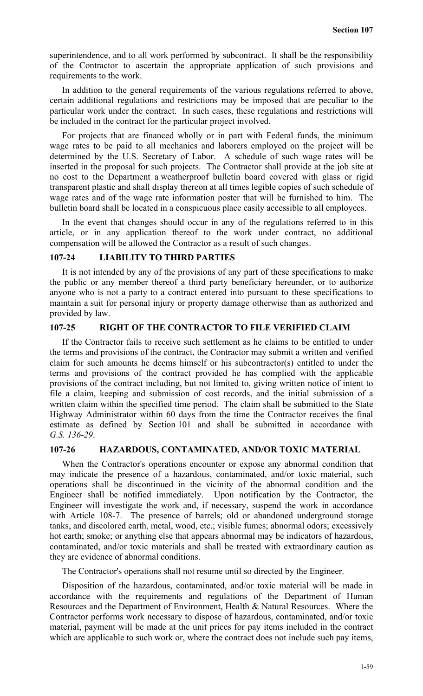superintendence, and to all work performed by subcontract. It shall be the responsibility of the Contractor to ascertain the appropriate application of such provisions and requirements to the work.

In addition to the general requirements of the various regulations referred to above, certain additional regulations and restrictions may be imposed that are peculiar to the particular work under the contract. In such cases, these regulations and restrictions will be included in the contract for the particular project involved.

For projects that are financed wholly or in part with Federal funds, the minimum wage rates to be paid to all mechanics and laborers employed on the project will be determined by the U.S. Secretary of Labor. A schedule of such wage rates will be inserted in the proposal for such projects. The Contractor shall provide at the job site at no cost to the Department a weatherproof bulletin board covered with glass or rigid transparent plastic and shall display thereon at all times legible copies of such schedule of wage rates and of the wage rate information poster that will be furnished to him. The bulletin board shall be located in a conspicuous place easily accessible to all employees.

In the event that changes should occur in any of the regulations referred to in this article, or in any application thereof to the work under contract, no additional compensation will be allowed the Contractor as a result of such changes.

### **107-24 LIABILITY TO THIRD PARTIES**

It is not intended by any of the provisions of any part of these specifications to make the public or any member thereof a third party beneficiary hereunder, or to authorize anyone who is not a party to a contract entered into pursuant to these specifications to maintain a suit for personal injury or property damage otherwise than as authorized and provided by law.

#### **107-25 RIGHT OF THE CONTRACTOR TO FILE VERIFIED CLAIM**

If the Contractor fails to receive such settlement as he claims to be entitled to under the terms and provisions of the contract, the Contractor may submit a written and verified claim for such amounts he deems himself or his subcontractor(s) entitled to under the terms and provisions of the contract provided he has complied with the applicable provisions of the contract including, but not limited to, giving written notice of intent to file a claim, keeping and submission of cost records, and the initial submission of a written claim within the specified time period. The claim shall be submitted to the State Highway Administrator within 60 days from the time the Contractor receives the final estimate as defined by Section 101 and shall be submitted in accordance with *G.S. 136-29*.

#### **107-26 HAZARDOUS, CONTAMINATED, AND/OR TOXIC MATERIAL**

When the Contractor's operations encounter or expose any abnormal condition that may indicate the presence of a hazardous, contaminated, and/or toxic material, such operations shall be discontinued in the vicinity of the abnormal condition and the Engineer shall be notified immediately. Upon notification by the Contractor, the Engineer will investigate the work and, if necessary, suspend the work in accordance with Article 108-7. The presence of barrels; old or abandoned underground storage tanks, and discolored earth, metal, wood, etc.; visible fumes; abnormal odors; excessively hot earth; smoke; or anything else that appears abnormal may be indicators of hazardous, contaminated, and/or toxic materials and shall be treated with extraordinary caution as they are evidence of abnormal conditions.

The Contractor's operations shall not resume until so directed by the Engineer.

Disposition of the hazardous, contaminated, and/or toxic material will be made in accordance with the requirements and regulations of the Department of Human Resources and the Department of Environment, Health & Natural Resources. Where the Contractor performs work necessary to dispose of hazardous, contaminated, and/or toxic material, payment will be made at the unit prices for pay items included in the contract which are applicable to such work or, where the contract does not include such pay items,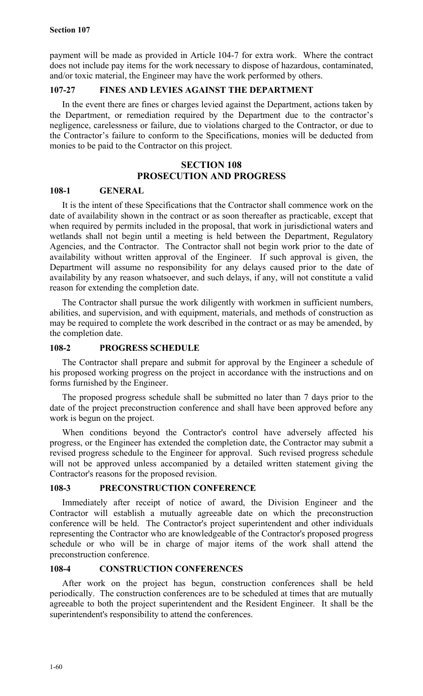payment will be made as provided in Article 104-7 for extra work. Where the contract does not include pay items for the work necessary to dispose of hazardous, contaminated, and/or toxic material, the Engineer may have the work performed by others.

## **107-27 FINES AND LEVIES AGAINST THE DEPARTMENT**

In the event there are fines or charges levied against the Department, actions taken by the Department, or remediation required by the Department due to the contractor's negligence, carelessness or failure, due to violations charged to the Contractor, or due to the Contractor's failure to conform to the Specifications, monies will be deducted from monies to be paid to the Contractor on this project.

# **SECTION 108 PROSECUTION AND PROGRESS**

## **108-1 GENERAL**

It is the intent of these Specifications that the Contractor shall commence work on the date of availability shown in the contract or as soon thereafter as practicable, except that when required by permits included in the proposal, that work in jurisdictional waters and wetlands shall not begin until a meeting is held between the Department, Regulatory Agencies, and the Contractor. The Contractor shall not begin work prior to the date of availability without written approval of the Engineer. If such approval is given, the Department will assume no responsibility for any delays caused prior to the date of availability by any reason whatsoever, and such delays, if any, will not constitute a valid reason for extending the completion date.

The Contractor shall pursue the work diligently with workmen in sufficient numbers, abilities, and supervision, and with equipment, materials, and methods of construction as may be required to complete the work described in the contract or as may be amended, by the completion date.

### **108-2 PROGRESS SCHEDULE**

The Contractor shall prepare and submit for approval by the Engineer a schedule of his proposed working progress on the project in accordance with the instructions and on forms furnished by the Engineer.

The proposed progress schedule shall be submitted no later than 7 days prior to the date of the project preconstruction conference and shall have been approved before any work is begun on the project.

When conditions beyond the Contractor's control have adversely affected his progress, or the Engineer has extended the completion date, the Contractor may submit a revised progress schedule to the Engineer for approval. Such revised progress schedule will not be approved unless accompanied by a detailed written statement giving the Contractor's reasons for the proposed revision.

#### **108-3 PRECONSTRUCTION CONFERENCE**

Immediately after receipt of notice of award, the Division Engineer and the Contractor will establish a mutually agreeable date on which the preconstruction conference will be held. The Contractor's project superintendent and other individuals representing the Contractor who are knowledgeable of the Contractor's proposed progress schedule or who will be in charge of major items of the work shall attend the preconstruction conference.

### **108-4 CONSTRUCTION CONFERENCES**

After work on the project has begun, construction conferences shall be held periodically. The construction conferences are to be scheduled at times that are mutually agreeable to both the project superintendent and the Resident Engineer. It shall be the superintendent's responsibility to attend the conferences.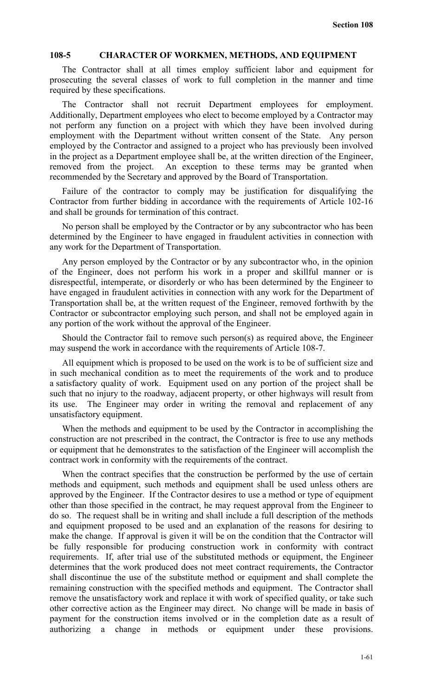#### **108-5 CHARACTER OF WORKMEN, METHODS, AND EQUIPMENT**

The Contractor shall at all times employ sufficient labor and equipment for prosecuting the several classes of work to full completion in the manner and time required by these specifications.

The Contractor shall not recruit Department employees for employment. Additionally, Department employees who elect to become employed by a Contractor may not perform any function on a project with which they have been involved during employment with the Department without written consent of the State. Any person employed by the Contractor and assigned to a project who has previously been involved in the project as a Department employee shall be, at the written direction of the Engineer, removed from the project. An exception to these terms may be granted when recommended by the Secretary and approved by the Board of Transportation.

Failure of the contractor to comply may be justification for disqualifying the Contractor from further bidding in accordance with the requirements of Article 102-16 and shall be grounds for termination of this contract.

No person shall be employed by the Contractor or by any subcontractor who has been determined by the Engineer to have engaged in fraudulent activities in connection with any work for the Department of Transportation.

Any person employed by the Contractor or by any subcontractor who, in the opinion of the Engineer, does not perform his work in a proper and skillful manner or is disrespectful, intemperate, or disorderly or who has been determined by the Engineer to have engaged in fraudulent activities in connection with any work for the Department of Transportation shall be, at the written request of the Engineer, removed forthwith by the Contractor or subcontractor employing such person, and shall not be employed again in any portion of the work without the approval of the Engineer.

Should the Contractor fail to remove such person(s) as required above, the Engineer may suspend the work in accordance with the requirements of Article 108-7.

All equipment which is proposed to be used on the work is to be of sufficient size and in such mechanical condition as to meet the requirements of the work and to produce a satisfactory quality of work. Equipment used on any portion of the project shall be such that no injury to the roadway, adjacent property, or other highways will result from its use. The Engineer may order in writing the removal and replacement of any unsatisfactory equipment.

When the methods and equipment to be used by the Contractor in accomplishing the construction are not prescribed in the contract, the Contractor is free to use any methods or equipment that he demonstrates to the satisfaction of the Engineer will accomplish the contract work in conformity with the requirements of the contract.

When the contract specifies that the construction be performed by the use of certain methods and equipment, such methods and equipment shall be used unless others are approved by the Engineer. If the Contractor desires to use a method or type of equipment other than those specified in the contract, he may request approval from the Engineer to do so. The request shall be in writing and shall include a full description of the methods and equipment proposed to be used and an explanation of the reasons for desiring to make the change. If approval is given it will be on the condition that the Contractor will be fully responsible for producing construction work in conformity with contract requirements. If, after trial use of the substituted methods or equipment, the Engineer determines that the work produced does not meet contract requirements, the Contractor shall discontinue the use of the substitute method or equipment and shall complete the remaining construction with the specified methods and equipment. The Contractor shall remove the unsatisfactory work and replace it with work of specified quality, or take such other corrective action as the Engineer may direct. No change will be made in basis of payment for the construction items involved or in the completion date as a result of authorizing a change in methods or equipment under these provisions.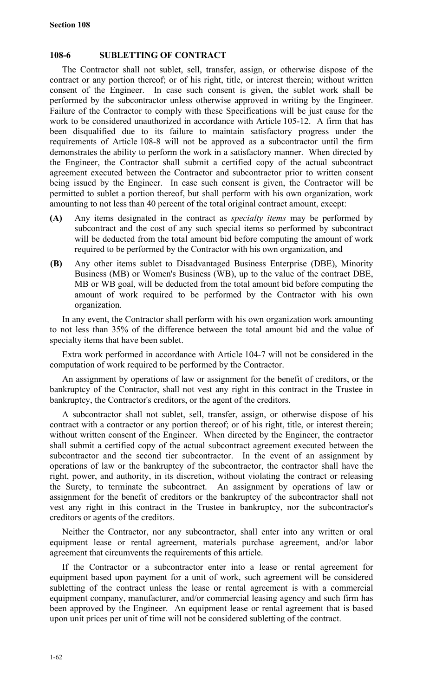### **108-6 SUBLETTING OF CONTRACT**

The Contractor shall not sublet, sell, transfer, assign, or otherwise dispose of the contract or any portion thereof; or of his right, title, or interest therein; without written consent of the Engineer. In case such consent is given, the sublet work shall be performed by the subcontractor unless otherwise approved in writing by the Engineer. Failure of the Contractor to comply with these Specifications will be just cause for the work to be considered unauthorized in accordance with Article 105-12. A firm that has been disqualified due to its failure to maintain satisfactory progress under the requirements of Article 108-8 will not be approved as a subcontractor until the firm demonstrates the ability to perform the work in a satisfactory manner. When directed by the Engineer, the Contractor shall submit a certified copy of the actual subcontract agreement executed between the Contractor and subcontractor prior to written consent being issued by the Engineer. In case such consent is given, the Contractor will be permitted to sublet a portion thereof, but shall perform with his own organization, work amounting to not less than 40 percent of the total original contract amount, except:

- **(A)** Any items designated in the contract as *specialty items* may be performed by subcontract and the cost of any such special items so performed by subcontract will be deducted from the total amount bid before computing the amount of work required to be performed by the Contractor with his own organization, and
- **(B)** Any other items sublet to Disadvantaged Business Enterprise (DBE), Minority Business (MB) or Women's Business (WB), up to the value of the contract DBE, MB or WB goal, will be deducted from the total amount bid before computing the amount of work required to be performed by the Contractor with his own organization.

In any event, the Contractor shall perform with his own organization work amounting to not less than 35% of the difference between the total amount bid and the value of specialty items that have been sublet.

Extra work performed in accordance with Article 104-7 will not be considered in the computation of work required to be performed by the Contractor.

An assignment by operations of law or assignment for the benefit of creditors, or the bankruptcy of the Contractor, shall not vest any right in this contract in the Trustee in bankruptcy, the Contractor's creditors, or the agent of the creditors.

A subcontractor shall not sublet, sell, transfer, assign, or otherwise dispose of his contract with a contractor or any portion thereof; or of his right, title, or interest therein; without written consent of the Engineer. When directed by the Engineer, the contractor shall submit a certified copy of the actual subcontract agreement executed between the subcontractor and the second tier subcontractor. In the event of an assignment by operations of law or the bankruptcy of the subcontractor, the contractor shall have the right, power, and authority, in its discretion, without violating the contract or releasing the Surety, to terminate the subcontract. An assignment by operations of law or assignment for the benefit of creditors or the bankruptcy of the subcontractor shall not vest any right in this contract in the Trustee in bankruptcy, nor the subcontractor's creditors or agents of the creditors.

Neither the Contractor, nor any subcontractor, shall enter into any written or oral equipment lease or rental agreement, materials purchase agreement, and/or labor agreement that circumvents the requirements of this article.

If the Contractor or a subcontractor enter into a lease or rental agreement for equipment based upon payment for a unit of work, such agreement will be considered subletting of the contract unless the lease or rental agreement is with a commercial equipment company, manufacturer, and/or commercial leasing agency and such firm has been approved by the Engineer. An equipment lease or rental agreement that is based upon unit prices per unit of time will not be considered subletting of the contract.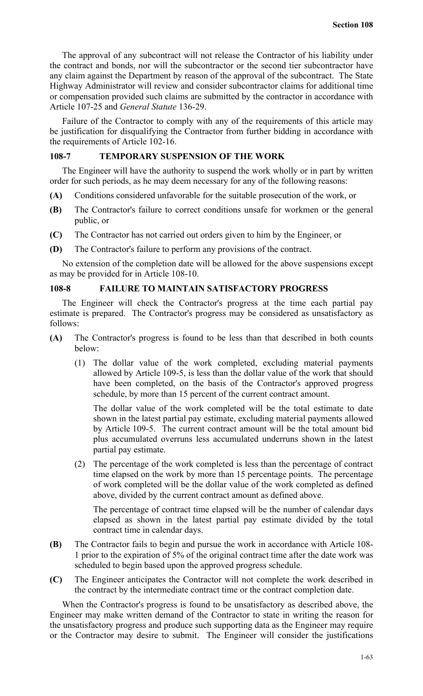The approval of any subcontract will not release the Contractor of his liability under the contract and bonds, nor will the subcontractor or the second tier subcontractor have any claim against the Department by reason of the approval of the subcontract. The State Highway Administrator will review and consider subcontractor claims for additional time or compensation provided such claims are submitted by the contractor in accordance with Article 107-25 and *General Statute* 136-29.

Failure of the Contractor to comply with any of the requirements of this article may be justification for disqualifying the Contractor from further bidding in accordance with the requirements of Article 102-16.

## **108-7 TEMPORARY SUSPENSION OF THE WORK**

The Engineer will have the authority to suspend the work wholly or in part by written order for such periods, as he may deem necessary for any of the following reasons:

- **(A)** Conditions considered unfavorable for the suitable prosecution of the work, or
- **(B)** The Contractor's failure to correct conditions unsafe for workmen or the general public, or
- **(C)** The Contractor has not carried out orders given to him by the Engineer, or
- **(D)** The Contractor's failure to perform any provisions of the contract.

No extension of the completion date will be allowed for the above suspensions except as may be provided for in Article 108-10.

## **108-8 FAILURE TO MAINTAIN SATISFACTORY PROGRESS**

The Engineer will check the Contractor's progress at the time each partial pay estimate is prepared. The Contractor's progress may be considered as unsatisfactory as follows:

- **(A)** The Contractor's progress is found to be less than that described in both counts below:
	- (1) The dollar value of the work completed, excluding material payments allowed by Article 109-5, is less than the dollar value of the work that should have been completed, on the basis of the Contractor's approved progress schedule, by more than 15 percent of the current contract amount.

The dollar value of the work completed will be the total estimate to date shown in the latest partial pay estimate, excluding material payments allowed by Article 109-5. The current contract amount will be the total amount bid plus accumulated overruns less accumulated underruns shown in the latest partial pay estimate.

(2) The percentage of the work completed is less than the percentage of contract time elapsed on the work by more than 15 percentage points. The percentage of work completed will be the dollar value of the work completed as defined above, divided by the current contract amount as defined above.

The percentage of contract time elapsed will be the number of calendar days elapsed as shown in the latest partial pay estimate divided by the total contract time in calendar days.

- **(B)** The Contractor fails to begin and pursue the work in accordance with Article 108- 1 prior to the expiration of 5% of the original contract time after the date work was scheduled to begin based upon the approved progress schedule.
- **(C)** The Engineer anticipates the Contractor will not complete the work described in the contract by the intermediate contract time or the contract completion date.

When the Contractor's progress is found to be unsatisfactory as described above, the Engineer may make written demand of the Contractor to state in writing the reason for the unsatisfactory progress and produce such supporting data as the Engineer may require or the Contractor may desire to submit. The Engineer will consider the justifications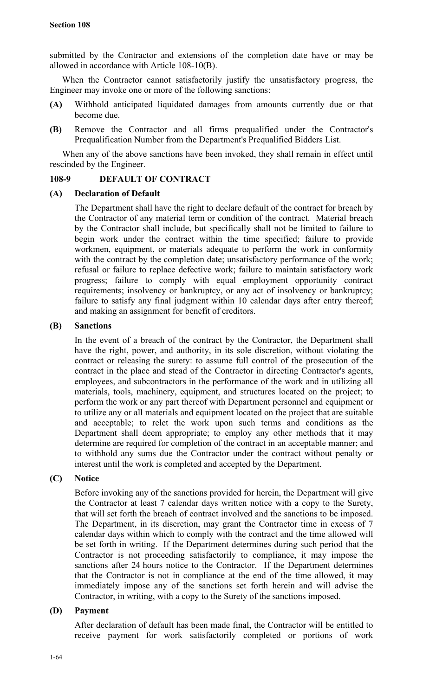submitted by the Contractor and extensions of the completion date have or may be allowed in accordance with Article 108-10(B).

When the Contractor cannot satisfactorily justify the unsatisfactory progress, the Engineer may invoke one or more of the following sanctions:

- **(A)** Withhold anticipated liquidated damages from amounts currently due or that become due.
- **(B)** Remove the Contractor and all firms prequalified under the Contractor's Prequalification Number from the Department's Prequalified Bidders List.

When any of the above sanctions have been invoked, they shall remain in effect until rescinded by the Engineer.

## **108-9 DEFAULT OF CONTRACT**

## **(A) Declaration of Default**

The Department shall have the right to declare default of the contract for breach by the Contractor of any material term or condition of the contract. Material breach by the Contractor shall include, but specifically shall not be limited to failure to begin work under the contract within the time specified; failure to provide workmen, equipment, or materials adequate to perform the work in conformity with the contract by the completion date; unsatisfactory performance of the work; refusal or failure to replace defective work; failure to maintain satisfactory work progress; failure to comply with equal employment opportunity contract requirements; insolvency or bankruptcy, or any act of insolvency or bankruptcy; failure to satisfy any final judgment within 10 calendar days after entry thereof; and making an assignment for benefit of creditors.

## **(B) Sanctions**

In the event of a breach of the contract by the Contractor, the Department shall have the right, power, and authority, in its sole discretion, without violating the contract or releasing the surety: to assume full control of the prosecution of the contract in the place and stead of the Contractor in directing Contractor's agents, employees, and subcontractors in the performance of the work and in utilizing all materials, tools, machinery, equipment, and structures located on the project; to perform the work or any part thereof with Department personnel and equipment or to utilize any or all materials and equipment located on the project that are suitable and acceptable; to relet the work upon such terms and conditions as the Department shall deem appropriate; to employ any other methods that it may determine are required for completion of the contract in an acceptable manner; and to withhold any sums due the Contractor under the contract without penalty or interest until the work is completed and accepted by the Department.

## **(C) Notice**

Before invoking any of the sanctions provided for herein, the Department will give the Contractor at least 7 calendar days written notice with a copy to the Surety, that will set forth the breach of contract involved and the sanctions to be imposed. The Department, in its discretion, may grant the Contractor time in excess of 7 calendar days within which to comply with the contract and the time allowed will be set forth in writing. If the Department determines during such period that the Contractor is not proceeding satisfactorily to compliance, it may impose the sanctions after 24 hours notice to the Contractor. If the Department determines that the Contractor is not in compliance at the end of the time allowed, it may immediately impose any of the sanctions set forth herein and will advise the Contractor, in writing, with a copy to the Surety of the sanctions imposed.

## **(D) Payment**

After declaration of default has been made final, the Contractor will be entitled to receive payment for work satisfactorily completed or portions of work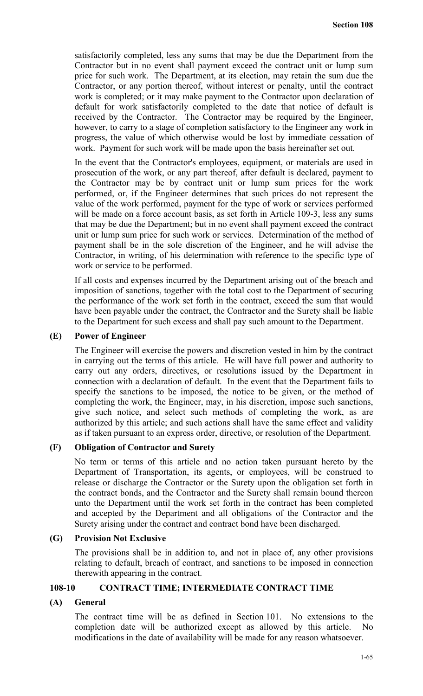satisfactorily completed, less any sums that may be due the Department from the Contractor but in no event shall payment exceed the contract unit or lump sum price for such work. The Department, at its election, may retain the sum due the Contractor, or any portion thereof, without interest or penalty, until the contract work is completed; or it may make payment to the Contractor upon declaration of default for work satisfactorily completed to the date that notice of default is received by the Contractor. The Contractor may be required by the Engineer, however, to carry to a stage of completion satisfactory to the Engineer any work in progress, the value of which otherwise would be lost by immediate cessation of work. Payment for such work will be made upon the basis hereinafter set out.

In the event that the Contractor's employees, equipment, or materials are used in prosecution of the work, or any part thereof, after default is declared, payment to the Contractor may be by contract unit or lump sum prices for the work performed, or, if the Engineer determines that such prices do not represent the value of the work performed, payment for the type of work or services performed will be made on a force account basis, as set forth in Article 109-3, less any sums that may be due the Department; but in no event shall payment exceed the contract unit or lump sum price for such work or services. Determination of the method of payment shall be in the sole discretion of the Engineer, and he will advise the Contractor, in writing, of his determination with reference to the specific type of work or service to be performed.

If all costs and expenses incurred by the Department arising out of the breach and imposition of sanctions, together with the total cost to the Department of securing the performance of the work set forth in the contract, exceed the sum that would have been payable under the contract, the Contractor and the Surety shall be liable to the Department for such excess and shall pay such amount to the Department.

### **(E) Power of Engineer**

The Engineer will exercise the powers and discretion vested in him by the contract in carrying out the terms of this article. He will have full power and authority to carry out any orders, directives, or resolutions issued by the Department in connection with a declaration of default. In the event that the Department fails to specify the sanctions to be imposed, the notice to be given, or the method of completing the work, the Engineer, may, in his discretion, impose such sanctions, give such notice, and select such methods of completing the work, as are authorized by this article; and such actions shall have the same effect and validity as if taken pursuant to an express order, directive, or resolution of the Department.

#### **(F) Obligation of Contractor and Surety**

No term or terms of this article and no action taken pursuant hereto by the Department of Transportation, its agents, or employees, will be construed to release or discharge the Contractor or the Surety upon the obligation set forth in the contract bonds, and the Contractor and the Surety shall remain bound thereon unto the Department until the work set forth in the contract has been completed and accepted by the Department and all obligations of the Contractor and the Surety arising under the contract and contract bond have been discharged.

#### **(G) Provision Not Exclusive**

The provisions shall be in addition to, and not in place of, any other provisions relating to default, breach of contract, and sanctions to be imposed in connection therewith appearing in the contract.

### **108-10 CONTRACT TIME; INTERMEDIATE CONTRACT TIME**

## **(A) General**

The contract time will be as defined in Section 101. No extensions to the completion date will be authorized except as allowed by this article. No modifications in the date of availability will be made for any reason whatsoever.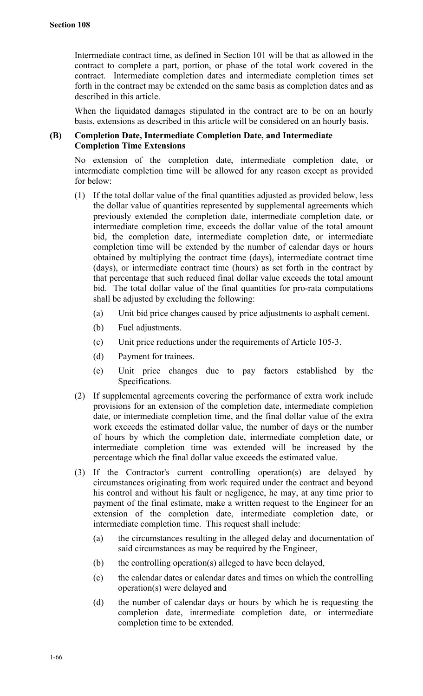Intermediate contract time, as defined in Section 101 will be that as allowed in the contract to complete a part, portion, or phase of the total work covered in the contract. Intermediate completion dates and intermediate completion times set forth in the contract may be extended on the same basis as completion dates and as described in this article.

When the liquidated damages stipulated in the contract are to be on an hourly basis, extensions as described in this article will be considered on an hourly basis.

## **(B) Completion Date, Intermediate Completion Date, and Intermediate Completion Time Extensions**

No extension of the completion date, intermediate completion date, or intermediate completion time will be allowed for any reason except as provided for below:

- (1) If the total dollar value of the final quantities adjusted as provided below, less the dollar value of quantities represented by supplemental agreements which previously extended the completion date, intermediate completion date, or intermediate completion time, exceeds the dollar value of the total amount bid, the completion date, intermediate completion date, or intermediate completion time will be extended by the number of calendar days or hours obtained by multiplying the contract time (days), intermediate contract time (days), or intermediate contract time (hours) as set forth in the contract by that percentage that such reduced final dollar value exceeds the total amount bid. The total dollar value of the final quantities for pro-rata computations shall be adjusted by excluding the following:
	- (a) Unit bid price changes caused by price adjustments to asphalt cement.
	- (b) Fuel adjustments.
	- (c) Unit price reductions under the requirements of Article 105-3.
	- (d) Payment for trainees.
	- (e) Unit price changes due to pay factors established by the Specifications.
- (2) If supplemental agreements covering the performance of extra work include provisions for an extension of the completion date, intermediate completion date, or intermediate completion time, and the final dollar value of the extra work exceeds the estimated dollar value, the number of days or the number of hours by which the completion date, intermediate completion date, or intermediate completion time was extended will be increased by the percentage which the final dollar value exceeds the estimated value.
- (3) If the Contractor's current controlling operation(s) are delayed by circumstances originating from work required under the contract and beyond his control and without his fault or negligence, he may, at any time prior to payment of the final estimate, make a written request to the Engineer for an extension of the completion date, intermediate completion date, or intermediate completion time. This request shall include:
	- (a) the circumstances resulting in the alleged delay and documentation of said circumstances as may be required by the Engineer,
	- (b) the controlling operation(s) alleged to have been delayed,
	- (c) the calendar dates or calendar dates and times on which the controlling operation(s) were delayed and
	- (d) the number of calendar days or hours by which he is requesting the completion date, intermediate completion date, or intermediate completion time to be extended.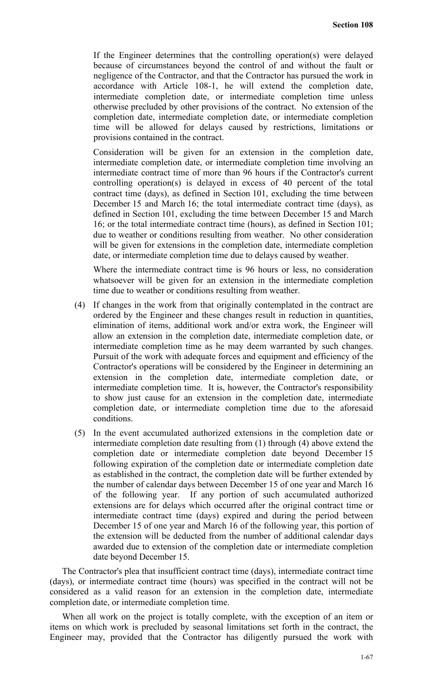If the Engineer determines that the controlling operation(s) were delayed because of circumstances beyond the control of and without the fault or negligence of the Contractor, and that the Contractor has pursued the work in accordance with Article 108-1, he will extend the completion date, intermediate completion date, or intermediate completion time unless otherwise precluded by other provisions of the contract. No extension of the completion date, intermediate completion date, or intermediate completion time will be allowed for delays caused by restrictions, limitations or provisions contained in the contract.

Consideration will be given for an extension in the completion date, intermediate completion date, or intermediate completion time involving an intermediate contract time of more than 96 hours if the Contractor's current controlling operation(s) is delayed in excess of 40 percent of the total contract time (days), as defined in Section 101, excluding the time between December 15 and March 16; the total intermediate contract time (days), as defined in Section 101, excluding the time between December 15 and March 16; or the total intermediate contract time (hours), as defined in Section 101; due to weather or conditions resulting from weather. No other consideration will be given for extensions in the completion date, intermediate completion date, or intermediate completion time due to delays caused by weather.

Where the intermediate contract time is 96 hours or less, no consideration whatsoever will be given for an extension in the intermediate completion time due to weather or conditions resulting from weather.

- (4) If changes in the work from that originally contemplated in the contract are ordered by the Engineer and these changes result in reduction in quantities, elimination of items, additional work and/or extra work, the Engineer will allow an extension in the completion date, intermediate completion date, or intermediate completion time as he may deem warranted by such changes. Pursuit of the work with adequate forces and equipment and efficiency of the Contractor's operations will be considered by the Engineer in determining an extension in the completion date, intermediate completion date, or intermediate completion time. It is, however, the Contractor's responsibility to show just cause for an extension in the completion date, intermediate completion date, or intermediate completion time due to the aforesaid conditions.
- (5) In the event accumulated authorized extensions in the completion date or intermediate completion date resulting from (1) through (4) above extend the completion date or intermediate completion date beyond December 15 following expiration of the completion date or intermediate completion date as established in the contract, the completion date will be further extended by the number of calendar days between December 15 of one year and March 16 of the following year. If any portion of such accumulated authorized extensions are for delays which occurred after the original contract time or intermediate contract time (days) expired and during the period between December 15 of one year and March 16 of the following year, this portion of the extension will be deducted from the number of additional calendar days awarded due to extension of the completion date or intermediate completion date beyond December 15.

The Contractor's plea that insufficient contract time (days), intermediate contract time (days), or intermediate contract time (hours) was specified in the contract will not be considered as a valid reason for an extension in the completion date, intermediate completion date, or intermediate completion time.

When all work on the project is totally complete, with the exception of an item or items on which work is precluded by seasonal limitations set forth in the contract, the Engineer may, provided that the Contractor has diligently pursued the work with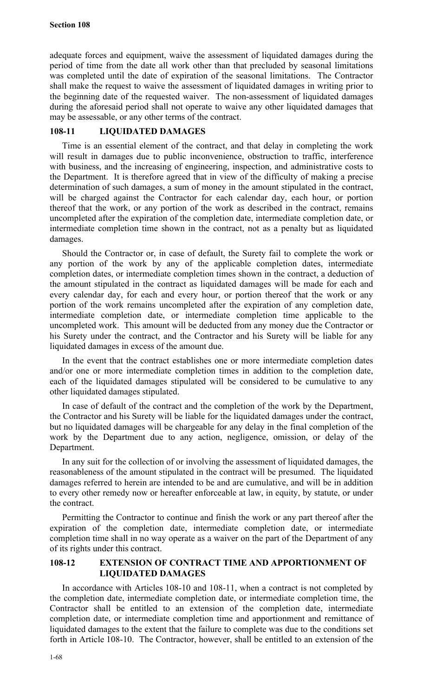adequate forces and equipment, waive the assessment of liquidated damages during the period of time from the date all work other than that precluded by seasonal limitations was completed until the date of expiration of the seasonal limitations. The Contractor shall make the request to waive the assessment of liquidated damages in writing prior to the beginning date of the requested waiver. The non-assessment of liquidated damages during the aforesaid period shall not operate to waive any other liquidated damages that may be assessable, or any other terms of the contract.

## **108-11 LIQUIDATED DAMAGES**

Time is an essential element of the contract, and that delay in completing the work will result in damages due to public inconvenience, obstruction to traffic, interference with business, and the increasing of engineering, inspection, and administrative costs to the Department. It is therefore agreed that in view of the difficulty of making a precise determination of such damages, a sum of money in the amount stipulated in the contract, will be charged against the Contractor for each calendar day, each hour, or portion thereof that the work, or any portion of the work as described in the contract, remains uncompleted after the expiration of the completion date, intermediate completion date, or intermediate completion time shown in the contract, not as a penalty but as liquidated damages.

Should the Contractor or, in case of default, the Surety fail to complete the work or any portion of the work by any of the applicable completion dates, intermediate completion dates, or intermediate completion times shown in the contract, a deduction of the amount stipulated in the contract as liquidated damages will be made for each and every calendar day, for each and every hour, or portion thereof that the work or any portion of the work remains uncompleted after the expiration of any completion date, intermediate completion date, or intermediate completion time applicable to the uncompleted work. This amount will be deducted from any money due the Contractor or his Surety under the contract, and the Contractor and his Surety will be liable for any liquidated damages in excess of the amount due.

In the event that the contract establishes one or more intermediate completion dates and/or one or more intermediate completion times in addition to the completion date, each of the liquidated damages stipulated will be considered to be cumulative to any other liquidated damages stipulated.

In case of default of the contract and the completion of the work by the Department, the Contractor and his Surety will be liable for the liquidated damages under the contract, but no liquidated damages will be chargeable for any delay in the final completion of the work by the Department due to any action, negligence, omission, or delay of the Department.

In any suit for the collection of or involving the assessment of liquidated damages, the reasonableness of the amount stipulated in the contract will be presumed. The liquidated damages referred to herein are intended to be and are cumulative, and will be in addition to every other remedy now or hereafter enforceable at law, in equity, by statute, or under the contract.

Permitting the Contractor to continue and finish the work or any part thereof after the expiration of the completion date, intermediate completion date, or intermediate completion time shall in no way operate as a waiver on the part of the Department of any of its rights under this contract.

## **108-12 EXTENSION OF CONTRACT TIME AND APPORTIONMENT OF LIQUIDATED DAMAGES**

In accordance with Articles 108-10 and 108-11, when a contract is not completed by the completion date, intermediate completion date, or intermediate completion time, the Contractor shall be entitled to an extension of the completion date, intermediate completion date, or intermediate completion time and apportionment and remittance of liquidated damages to the extent that the failure to complete was due to the conditions set forth in Article 108-10. The Contractor, however, shall be entitled to an extension of the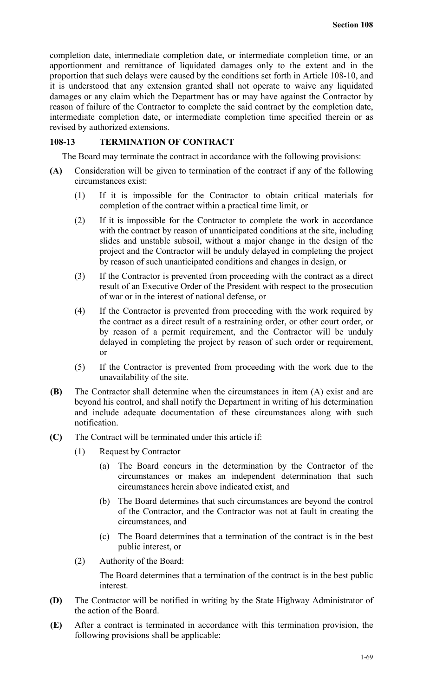completion date, intermediate completion date, or intermediate completion time, or an apportionment and remittance of liquidated damages only to the extent and in the proportion that such delays were caused by the conditions set forth in Article 108-10, and it is understood that any extension granted shall not operate to waive any liquidated damages or any claim which the Department has or may have against the Contractor by reason of failure of the Contractor to complete the said contract by the completion date, intermediate completion date, or intermediate completion time specified therein or as revised by authorized extensions.

## **108-13 TERMINATION OF CONTRACT**

The Board may terminate the contract in accordance with the following provisions:

- **(A)** Consideration will be given to termination of the contract if any of the following circumstances exist:
	- (1) If it is impossible for the Contractor to obtain critical materials for completion of the contract within a practical time limit, or
	- (2) If it is impossible for the Contractor to complete the work in accordance with the contract by reason of unanticipated conditions at the site, including slides and unstable subsoil, without a major change in the design of the project and the Contractor will be unduly delayed in completing the project by reason of such unanticipated conditions and changes in design, or
	- (3) If the Contractor is prevented from proceeding with the contract as a direct result of an Executive Order of the President with respect to the prosecution of war or in the interest of national defense, or
	- (4) If the Contractor is prevented from proceeding with the work required by the contract as a direct result of a restraining order, or other court order, or by reason of a permit requirement, and the Contractor will be unduly delayed in completing the project by reason of such order or requirement, or
	- (5) If the Contractor is prevented from proceeding with the work due to the unavailability of the site.
- **(B)** The Contractor shall determine when the circumstances in item (A) exist and are beyond his control, and shall notify the Department in writing of his determination and include adequate documentation of these circumstances along with such notification.
- **(C)** The Contract will be terminated under this article if:
	- (1) Request by Contractor
		- (a) The Board concurs in the determination by the Contractor of the circumstances or makes an independent determination that such circumstances herein above indicated exist, and
		- (b) The Board determines that such circumstances are beyond the control of the Contractor, and the Contractor was not at fault in creating the circumstances, and
		- (c) The Board determines that a termination of the contract is in the best public interest, or
	- (2) Authority of the Board:

The Board determines that a termination of the contract is in the best public interest.

- **(D)** The Contractor will be notified in writing by the State Highway Administrator of the action of the Board.
- **(E)** After a contract is terminated in accordance with this termination provision, the following provisions shall be applicable: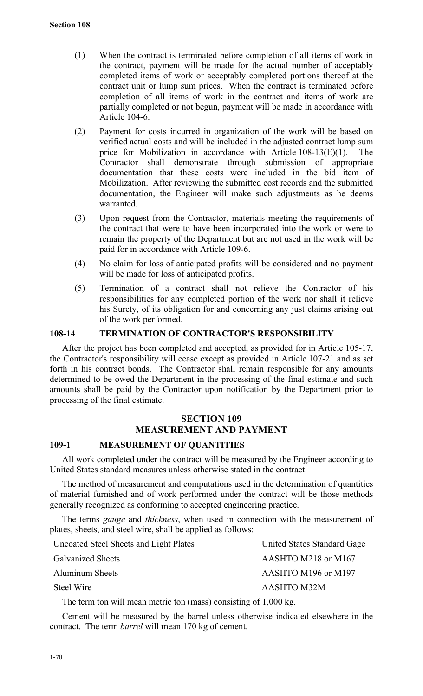- (1) When the contract is terminated before completion of all items of work in the contract, payment will be made for the actual number of acceptably completed items of work or acceptably completed portions thereof at the contract unit or lump sum prices. When the contract is terminated before completion of all items of work in the contract and items of work are partially completed or not begun, payment will be made in accordance with Article 104-6.
- (2) Payment for costs incurred in organization of the work will be based on verified actual costs and will be included in the adjusted contract lump sum price for Mobilization in accordance with Article 108-13(E)(1). The Contractor shall demonstrate through submission of appropriate documentation that these costs were included in the bid item of Mobilization. After reviewing the submitted cost records and the submitted documentation, the Engineer will make such adjustments as he deems warranted.
- (3) Upon request from the Contractor, materials meeting the requirements of the contract that were to have been incorporated into the work or were to remain the property of the Department but are not used in the work will be paid for in accordance with Article 109-6.
- (4) No claim for loss of anticipated profits will be considered and no payment will be made for loss of anticipated profits.
- (5) Termination of a contract shall not relieve the Contractor of his responsibilities for any completed portion of the work nor shall it relieve his Surety, of its obligation for and concerning any just claims arising out of the work performed.

### **108-14 TERMINATION OF CONTRACTOR'S RESPONSIBILITY**

After the project has been completed and accepted, as provided for in Article 105-17, the Contractor's responsibility will cease except as provided in Article 107-21 and as set forth in his contract bonds. The Contractor shall remain responsible for any amounts determined to be owed the Department in the processing of the final estimate and such amounts shall be paid by the Contractor upon notification by the Department prior to processing of the final estimate.

# **SECTION 109 MEASUREMENT AND PAYMENT**

### **109-1 MEASUREMENT OF QUANTITIES**

All work completed under the contract will be measured by the Engineer according to United States standard measures unless otherwise stated in the contract.

The method of measurement and computations used in the determination of quantities of material furnished and of work performed under the contract will be those methods generally recognized as conforming to accepted engineering practice.

The terms *gauge* and *thickness*, when used in connection with the measurement of plates, sheets, and steel wire, shall be applied as follows:

| Uncoated Steel Sheets and Light Plates | United States Standard Gage |
|----------------------------------------|-----------------------------|
| <b>Galvanized Sheets</b>               | AASHTO M218 or M167         |
| <b>Aluminum Sheets</b>                 | AASHTO M196 or M197         |
| Steel Wire                             | AASHTO M32M                 |
|                                        |                             |

The term ton will mean metric ton (mass) consisting of 1,000 kg.

Cement will be measured by the barrel unless otherwise indicated elsewhere in the contract. The term *barrel* will mean 170 kg of cement.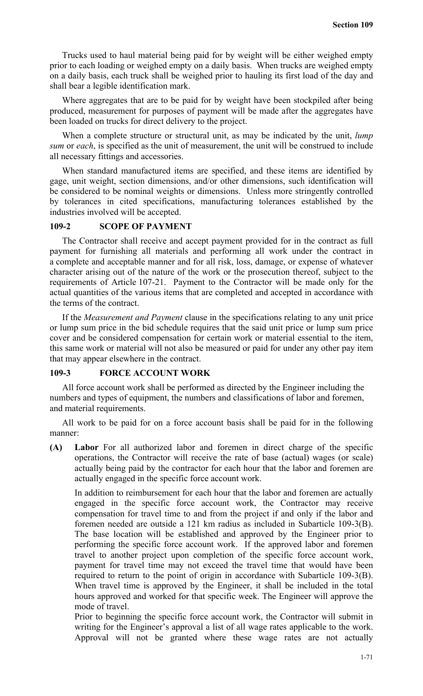Trucks used to haul material being paid for by weight will be either weighed empty prior to each loading or weighed empty on a daily basis. When trucks are weighed empty on a daily basis, each truck shall be weighed prior to hauling its first load of the day and shall bear a legible identification mark.

Where aggregates that are to be paid for by weight have been stockpiled after being produced, measurement for purposes of payment will be made after the aggregates have been loaded on trucks for direct delivery to the project.

When a complete structure or structural unit, as may be indicated by the unit, *lump sum* or *each*, is specified as the unit of measurement, the unit will be construed to include all necessary fittings and accessories.

When standard manufactured items are specified, and these items are identified by gage, unit weight, section dimensions, and/or other dimensions, such identification will be considered to be nominal weights or dimensions. Unless more stringently controlled by tolerances in cited specifications, manufacturing tolerances established by the industries involved will be accepted.

## **109-2 SCOPE OF PAYMENT**

The Contractor shall receive and accept payment provided for in the contract as full payment for furnishing all materials and performing all work under the contract in a complete and acceptable manner and for all risk, loss, damage, or expense of whatever character arising out of the nature of the work or the prosecution thereof, subject to the requirements of Article 107-21. Payment to the Contractor will be made only for the actual quantities of the various items that are completed and accepted in accordance with the terms of the contract.

If the *Measurement and Payment* clause in the specifications relating to any unit price or lump sum price in the bid schedule requires that the said unit price or lump sum price cover and be considered compensation for certain work or material essential to the item, this same work or material will not also be measured or paid for under any other pay item that may appear elsewhere in the contract.

#### **109-3 FORCE ACCOUNT WORK**

All force account work shall be performed as directed by the Engineer including the numbers and types of equipment, the numbers and classifications of labor and foremen, and material requirements.

All work to be paid for on a force account basis shall be paid for in the following manner:

**(A) Labor** For all authorized labor and foremen in direct charge of the specific operations, the Contractor will receive the rate of base (actual) wages (or scale) actually being paid by the contractor for each hour that the labor and foremen are actually engaged in the specific force account work.

In addition to reimbursement for each hour that the labor and foremen are actually engaged in the specific force account work, the Contractor may receive compensation for travel time to and from the project if and only if the labor and foremen needed are outside a 121 km radius as included in Subarticle 109-3(B). The base location will be established and approved by the Engineer prior to performing the specific force account work. If the approved labor and foremen travel to another project upon completion of the specific force account work, payment for travel time may not exceed the travel time that would have been required to return to the point of origin in accordance with Subarticle 109-3(B). When travel time is approved by the Engineer, it shall be included in the total hours approved and worked for that specific week. The Engineer will approve the mode of travel.

Prior to beginning the specific force account work, the Contractor will submit in writing for the Engineer's approval a list of all wage rates applicable to the work. Approval will not be granted where these wage rates are not actually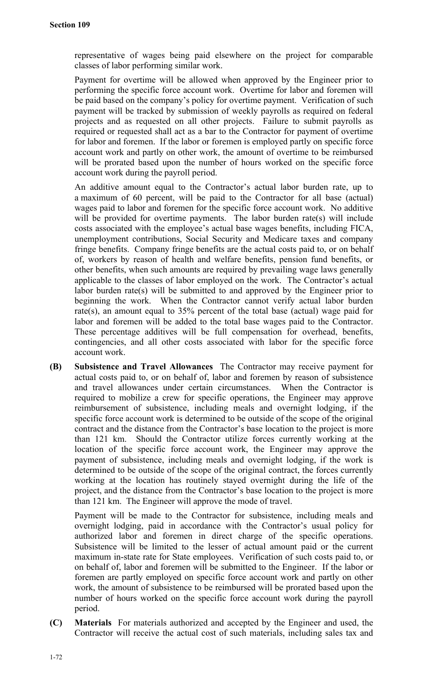representative of wages being paid elsewhere on the project for comparable classes of labor performing similar work.

Payment for overtime will be allowed when approved by the Engineer prior to performing the specific force account work. Overtime for labor and foremen will be paid based on the company's policy for overtime payment. Verification of such payment will be tracked by submission of weekly payrolls as required on federal projects and as requested on all other projects. Failure to submit payrolls as required or requested shall act as a bar to the Contractor for payment of overtime for labor and foremen. If the labor or foremen is employed partly on specific force account work and partly on other work, the amount of overtime to be reimbursed will be prorated based upon the number of hours worked on the specific force account work during the payroll period.

An additive amount equal to the Contractor's actual labor burden rate, up to a maximum of 60 percent, will be paid to the Contractor for all base (actual) wages paid to labor and foremen for the specific force account work. No additive will be provided for overtime payments. The labor burden rate(s) will include costs associated with the employee's actual base wages benefits, including FICA, unemployment contributions, Social Security and Medicare taxes and company fringe benefits. Company fringe benefits are the actual costs paid to, or on behalf of, workers by reason of health and welfare benefits, pension fund benefits, or other benefits, when such amounts are required by prevailing wage laws generally applicable to the classes of labor employed on the work. The Contractor's actual labor burden rate(s) will be submitted to and approved by the Engineer prior to beginning the work. When the Contractor cannot verify actual labor burden rate(s), an amount equal to 35% percent of the total base (actual) wage paid for labor and foremen will be added to the total base wages paid to the Contractor. These percentage additives will be full compensation for overhead, benefits, contingencies, and all other costs associated with labor for the specific force account work.

**(B) Subsistence and Travel Allowances** The Contractor may receive payment for actual costs paid to, or on behalf of, labor and foremen by reason of subsistence and travel allowances under certain circumstances. When the Contractor is required to mobilize a crew for specific operations, the Engineer may approve reimbursement of subsistence, including meals and overnight lodging, if the specific force account work is determined to be outside of the scope of the original contract and the distance from the Contractor's base location to the project is more than 121 km. Should the Contractor utilize forces currently working at the location of the specific force account work, the Engineer may approve the payment of subsistence, including meals and overnight lodging, if the work is determined to be outside of the scope of the original contract, the forces currently working at the location has routinely stayed overnight during the life of the project, and the distance from the Contractor's base location to the project is more than 121 km. The Engineer will approve the mode of travel.

Payment will be made to the Contractor for subsistence, including meals and overnight lodging, paid in accordance with the Contractor's usual policy for authorized labor and foremen in direct charge of the specific operations. Subsistence will be limited to the lesser of actual amount paid or the current maximum in-state rate for State employees. Verification of such costs paid to, or on behalf of, labor and foremen will be submitted to the Engineer. If the labor or foremen are partly employed on specific force account work and partly on other work, the amount of subsistence to be reimbursed will be prorated based upon the number of hours worked on the specific force account work during the payroll period.

**(C) Materials** For materials authorized and accepted by the Engineer and used, the Contractor will receive the actual cost of such materials, including sales tax and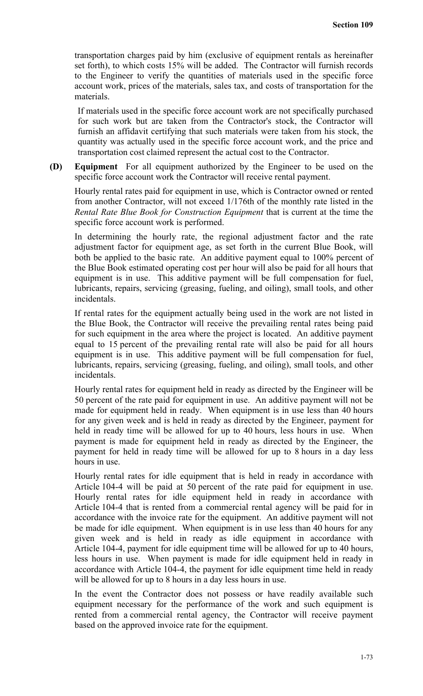transportation charges paid by him (exclusive of equipment rentals as hereinafter set forth), to which costs 15% will be added. The Contractor will furnish records to the Engineer to verify the quantities of materials used in the specific force account work, prices of the materials, sales tax, and costs of transportation for the materials.

If materials used in the specific force account work are not specifically purchased for such work but are taken from the Contractor's stock, the Contractor will furnish an affidavit certifying that such materials were taken from his stock, the quantity was actually used in the specific force account work, and the price and transportation cost claimed represent the actual cost to the Contractor.

**(D) Equipment** For all equipment authorized by the Engineer to be used on the specific force account work the Contractor will receive rental payment.

Hourly rental rates paid for equipment in use, which is Contractor owned or rented from another Contractor, will not exceed 1/176th of the monthly rate listed in the *Rental Rate Blue Book for Construction Equipment* that is current at the time the specific force account work is performed.

In determining the hourly rate, the regional adjustment factor and the rate adjustment factor for equipment age, as set forth in the current Blue Book, will both be applied to the basic rate. An additive payment equal to 100% percent of the Blue Book estimated operating cost per hour will also be paid for all hours that equipment is in use. This additive payment will be full compensation for fuel, lubricants, repairs, servicing (greasing, fueling, and oiling), small tools, and other incidentals.

If rental rates for the equipment actually being used in the work are not listed in the Blue Book, the Contractor will receive the prevailing rental rates being paid for such equipment in the area where the project is located. An additive payment equal to 15 percent of the prevailing rental rate will also be paid for all hours equipment is in use. This additive payment will be full compensation for fuel, lubricants, repairs, servicing (greasing, fueling, and oiling), small tools, and other incidentals.

Hourly rental rates for equipment held in ready as directed by the Engineer will be 50 percent of the rate paid for equipment in use. An additive payment will not be made for equipment held in ready. When equipment is in use less than 40 hours for any given week and is held in ready as directed by the Engineer, payment for held in ready time will be allowed for up to 40 hours, less hours in use. When payment is made for equipment held in ready as directed by the Engineer, the payment for held in ready time will be allowed for up to 8 hours in a day less hours in use.

Hourly rental rates for idle equipment that is held in ready in accordance with Article 104-4 will be paid at 50 percent of the rate paid for equipment in use. Hourly rental rates for idle equipment held in ready in accordance with Article 104-4 that is rented from a commercial rental agency will be paid for in accordance with the invoice rate for the equipment. An additive payment will not be made for idle equipment. When equipment is in use less than 40 hours for any given week and is held in ready as idle equipment in accordance with Article 104-4, payment for idle equipment time will be allowed for up to 40 hours, less hours in use. When payment is made for idle equipment held in ready in accordance with Article 104-4, the payment for idle equipment time held in ready will be allowed for up to 8 hours in a day less hours in use.

In the event the Contractor does not possess or have readily available such equipment necessary for the performance of the work and such equipment is rented from a commercial rental agency, the Contractor will receive payment based on the approved invoice rate for the equipment.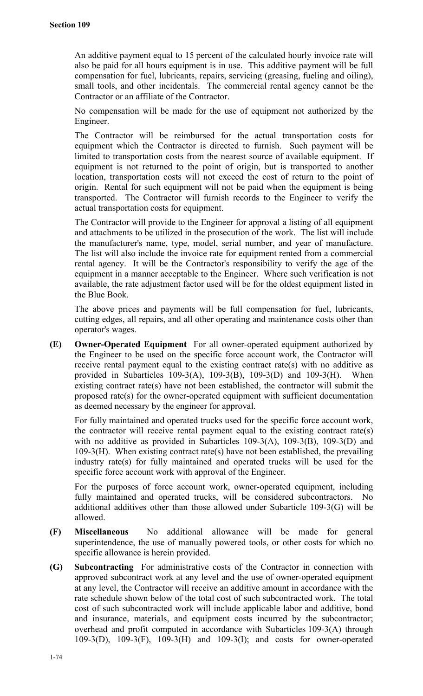An additive payment equal to 15 percent of the calculated hourly invoice rate will also be paid for all hours equipment is in use. This additive payment will be full compensation for fuel, lubricants, repairs, servicing (greasing, fueling and oiling), small tools, and other incidentals. The commercial rental agency cannot be the Contractor or an affiliate of the Contractor.

No compensation will be made for the use of equipment not authorized by the Engineer.

The Contractor will be reimbursed for the actual transportation costs for equipment which the Contractor is directed to furnish. Such payment will be limited to transportation costs from the nearest source of available equipment. If equipment is not returned to the point of origin, but is transported to another location, transportation costs will not exceed the cost of return to the point of origin. Rental for such equipment will not be paid when the equipment is being transported. The Contractor will furnish records to the Engineer to verify the actual transportation costs for equipment.

The Contractor will provide to the Engineer for approval a listing of all equipment and attachments to be utilized in the prosecution of the work. The list will include the manufacturer's name, type, model, serial number, and year of manufacture. The list will also include the invoice rate for equipment rented from a commercial rental agency. It will be the Contractor's responsibility to verify the age of the equipment in a manner acceptable to the Engineer. Where such verification is not available, the rate adjustment factor used will be for the oldest equipment listed in the Blue Book.

The above prices and payments will be full compensation for fuel, lubricants, cutting edges, all repairs, and all other operating and maintenance costs other than operator's wages.

**(E) Owner-Operated Equipment** For all owner-operated equipment authorized by the Engineer to be used on the specific force account work, the Contractor will receive rental payment equal to the existing contract rate(s) with no additive as provided in Subarticles 109-3(A), 109-3(B), 109-3(D) and 109-3(H). When existing contract rate(s) have not been established, the contractor will submit the proposed rate(s) for the owner-operated equipment with sufficient documentation as deemed necessary by the engineer for approval.

For fully maintained and operated trucks used for the specific force account work, the contractor will receive rental payment equal to the existing contract rate(s) with no additive as provided in Subarticles 109-3(A), 109-3(B), 109-3(D) and 109-3(H). When existing contract rate(s) have not been established, the prevailing industry rate(s) for fully maintained and operated trucks will be used for the specific force account work with approval of the Engineer.

For the purposes of force account work, owner-operated equipment, including fully maintained and operated trucks, will be considered subcontractors. No additional additives other than those allowed under Subarticle 109-3(G) will be allowed.

- **(F) Miscellaneous** No additional allowance will be made for general superintendence, the use of manually powered tools, or other costs for which no specific allowance is herein provided.
- **(G) Subcontracting** For administrative costs of the Contractor in connection with approved subcontract work at any level and the use of owner-operated equipment at any level, the Contractor will receive an additive amount in accordance with the rate schedule shown below of the total cost of such subcontracted work. The total cost of such subcontracted work will include applicable labor and additive, bond and insurance, materials, and equipment costs incurred by the subcontractor; overhead and profit computed in accordance with Subarticles 109-3(A) through 109-3(D), 109-3(F), 109-3(H) and 109-3(I); and costs for owner-operated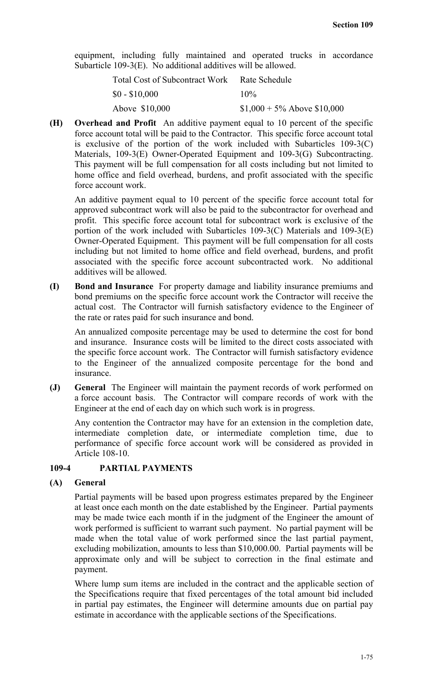equipment, including fully maintained and operated trucks in accordance Subarticle 109-3(E). No additional additives will be allowed.

| Total Cost of Subcontract Work Rate Schedule |                               |
|----------------------------------------------|-------------------------------|
| $$0 - $10,000$                               | $10\%$                        |
| Above \$10,000                               | $$1,000 + 5\%$ Above \$10,000 |

**(H) Overhead and Profit** An additive payment equal to 10 percent of the specific force account total will be paid to the Contractor. This specific force account total is exclusive of the portion of the work included with Subarticles 109-3(C) Materials, 109-3(E) Owner-Operated Equipment and 109-3(G) Subcontracting. This payment will be full compensation for all costs including but not limited to home office and field overhead, burdens, and profit associated with the specific force account work.

An additive payment equal to 10 percent of the specific force account total for approved subcontract work will also be paid to the subcontractor for overhead and profit. This specific force account total for subcontract work is exclusive of the portion of the work included with Subarticles 109-3(C) Materials and 109-3(E) Owner-Operated Equipment. This payment will be full compensation for all costs including but not limited to home office and field overhead, burdens, and profit associated with the specific force account subcontracted work. No additional additives will be allowed.

**(I) Bond and Insurance** For property damage and liability insurance premiums and bond premiums on the specific force account work the Contractor will receive the actual cost. The Contractor will furnish satisfactory evidence to the Engineer of the rate or rates paid for such insurance and bond.

An annualized composite percentage may be used to determine the cost for bond and insurance. Insurance costs will be limited to the direct costs associated with the specific force account work. The Contractor will furnish satisfactory evidence to the Engineer of the annualized composite percentage for the bond and insurance.

**(J) General** The Engineer will maintain the payment records of work performed on a force account basis. The Contractor will compare records of work with the Engineer at the end of each day on which such work is in progress.

Any contention the Contractor may have for an extension in the completion date, intermediate completion date, or intermediate completion time, due to performance of specific force account work will be considered as provided in Article 108-10.

### **109-4 PARTIAL PAYMENTS**

### **(A) General**

Partial payments will be based upon progress estimates prepared by the Engineer at least once each month on the date established by the Engineer. Partial payments may be made twice each month if in the judgment of the Engineer the amount of work performed is sufficient to warrant such payment. No partial payment will be made when the total value of work performed since the last partial payment, excluding mobilization, amounts to less than \$10,000.00. Partial payments will be approximate only and will be subject to correction in the final estimate and payment.

Where lump sum items are included in the contract and the applicable section of the Specifications require that fixed percentages of the total amount bid included in partial pay estimates, the Engineer will determine amounts due on partial pay estimate in accordance with the applicable sections of the Specifications.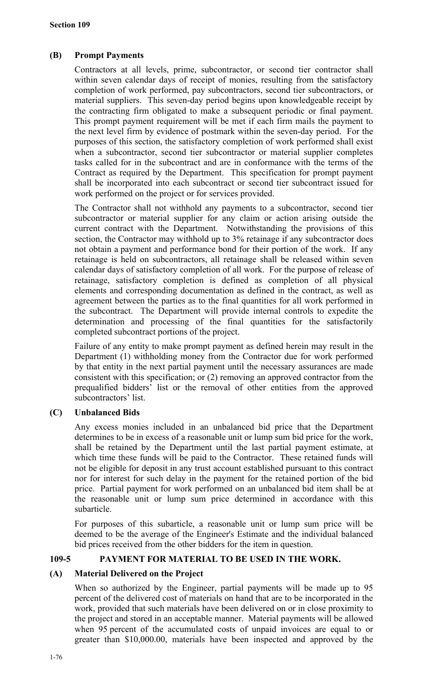## **(B) Prompt Payments**

Contractors at all levels, prime, subcontractor, or second tier contractor shall within seven calendar days of receipt of monies, resulting from the satisfactory completion of work performed, pay subcontractors, second tier subcontractors, or material suppliers. This seven-day period begins upon knowledgeable receipt by the contracting firm obligated to make a subsequent periodic or final payment. This prompt payment requirement will be met if each firm mails the payment to the next level firm by evidence of postmark within the seven-day period. For the purposes of this section, the satisfactory completion of work performed shall exist when a subcontractor, second tier subcontractor or material supplier completes tasks called for in the subcontract and are in conformance with the terms of the Contract as required by the Department. This specification for prompt payment shall be incorporated into each subcontract or second tier subcontract issued for work performed on the project or for services provided.

The Contractor shall not withhold any payments to a subcontractor, second tier subcontractor or material supplier for any claim or action arising outside the current contract with the Department. Notwithstanding the provisions of this section, the Contractor may withhold up to 3% retainage if any subcontractor does not obtain a payment and performance bond for their portion of the work. If any retainage is held on subcontractors, all retainage shall be released within seven calendar days of satisfactory completion of all work. For the purpose of release of retainage, satisfactory completion is defined as completion of all physical elements and corresponding documentation as defined in the contract, as well as agreement between the parties as to the final quantities for all work performed in the subcontract. The Department will provide internal controls to expedite the determination and processing of the final quantities for the satisfactorily completed subcontract portions of the project.

Failure of any entity to make prompt payment as defined herein may result in the Department (1) withholding money from the Contractor due for work performed by that entity in the next partial payment until the necessary assurances are made consistent with this specification; or (2) removing an approved contractor from the prequalified bidders' list or the removal of other entities from the approved subcontractors' list.

## **(C) Unbalanced Bids**

Any excess monies included in an unbalanced bid price that the Department determines to be in excess of a reasonable unit or lump sum bid price for the work, shall be retained by the Department until the last partial payment estimate, at which time these funds will be paid to the Contractor. These retained funds will not be eligible for deposit in any trust account established pursuant to this contract nor for interest for such delay in the payment for the retained portion of the bid price. Partial payment for work performed on an unbalanced bid item shall be at the reasonable unit or lump sum price determined in accordance with this subarticle.

For purposes of this subarticle, a reasonable unit or lump sum price will be deemed to be the average of the Engineer's Estimate and the individual balanced bid prices received from the other bidders for the item in question.

### **109-5 PAYMENT FOR MATERIAL TO BE USED IN THE WORK.**

### **(A) Material Delivered on the Project**

When so authorized by the Engineer, partial payments will be made up to 95 percent of the delivered cost of materials on hand that are to be incorporated in the work, provided that such materials have been delivered on or in close proximity to the project and stored in an acceptable manner. Material payments will be allowed when 95 percent of the accumulated costs of unpaid invoices are equal to or greater than \$10,000.00, materials have been inspected and approved by the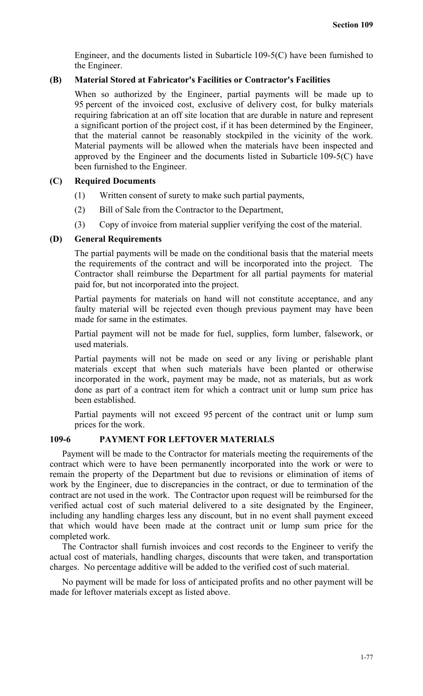Engineer, and the documents listed in Subarticle 109-5(C) have been furnished to the Engineer.

### **(B) Material Stored at Fabricator's Facilities or Contractor's Facilities**

When so authorized by the Engineer, partial payments will be made up to 95 percent of the invoiced cost, exclusive of delivery cost, for bulky materials requiring fabrication at an off site location that are durable in nature and represent a significant portion of the project cost, if it has been determined by the Engineer, that the material cannot be reasonably stockpiled in the vicinity of the work. Material payments will be allowed when the materials have been inspected and approved by the Engineer and the documents listed in Subarticle 109-5(C) have been furnished to the Engineer.

## **(C) Required Documents**

- (1) Written consent of surety to make such partial payments,
- (2) Bill of Sale from the Contractor to the Department,
- (3) Copy of invoice from material supplier verifying the cost of the material.

## **(D) General Requirements**

The partial payments will be made on the conditional basis that the material meets the requirements of the contract and will be incorporated into the project. The Contractor shall reimburse the Department for all partial payments for material paid for, but not incorporated into the project.

Partial payments for materials on hand will not constitute acceptance, and any faulty material will be rejected even though previous payment may have been made for same in the estimates.

Partial payment will not be made for fuel, supplies, form lumber, falsework, or used materials.

Partial payments will not be made on seed or any living or perishable plant materials except that when such materials have been planted or otherwise incorporated in the work, payment may be made, not as materials, but as work done as part of a contract item for which a contract unit or lump sum price has been established.

Partial payments will not exceed 95 percent of the contract unit or lump sum prices for the work.

### **109-6 PAYMENT FOR LEFTOVER MATERIALS**

Payment will be made to the Contractor for materials meeting the requirements of the contract which were to have been permanently incorporated into the work or were to remain the property of the Department but due to revisions or elimination of items of work by the Engineer, due to discrepancies in the contract, or due to termination of the contract are not used in the work. The Contractor upon request will be reimbursed for the verified actual cost of such material delivered to a site designated by the Engineer, including any handling charges less any discount, but in no event shall payment exceed that which would have been made at the contract unit or lump sum price for the completed work.

The Contractor shall furnish invoices and cost records to the Engineer to verify the actual cost of materials, handling charges, discounts that were taken, and transportation charges. No percentage additive will be added to the verified cost of such material.

No payment will be made for loss of anticipated profits and no other payment will be made for leftover materials except as listed above.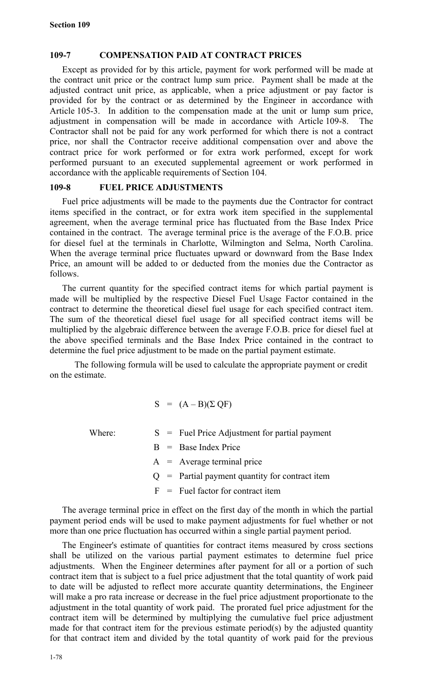## **109-7 COMPENSATION PAID AT CONTRACT PRICES**

Except as provided for by this article, payment for work performed will be made at the contract unit price or the contract lump sum price. Payment shall be made at the adjusted contract unit price, as applicable, when a price adjustment or pay factor is provided for by the contract or as determined by the Engineer in accordance with Article 105-3. In addition to the compensation made at the unit or lump sum price, adjustment in compensation will be made in accordance with Article 109-8. The Contractor shall not be paid for any work performed for which there is not a contract price, nor shall the Contractor receive additional compensation over and above the contract price for work performed or for extra work performed, except for work performed pursuant to an executed supplemental agreement or work performed in accordance with the applicable requirements of Section 104.

# **109-8 FUEL PRICE ADJUSTMENTS**

Fuel price adjustments will be made to the payments due the Contractor for contract items specified in the contract, or for extra work item specified in the supplemental agreement, when the average terminal price has fluctuated from the Base Index Price contained in the contract. The average terminal price is the average of the F.O.B. price for diesel fuel at the terminals in Charlotte, Wilmington and Selma, North Carolina. When the average terminal price fluctuates upward or downward from the Base Index Price, an amount will be added to or deducted from the monies due the Contractor as follows.

The current quantity for the specified contract items for which partial payment is made will be multiplied by the respective Diesel Fuel Usage Factor contained in the contract to determine the theoretical diesel fuel usage for each specified contract item. The sum of the theoretical diesel fuel usage for all specified contract items will be multiplied by the algebraic difference between the average F.O.B. price for diesel fuel at the above specified terminals and the Base Index Price contained in the contract to determine the fuel price adjustment to be made on the partial payment estimate.

The following formula will be used to calculate the appropriate payment or credit on the estimate.

$$
S = (A - B)(\Sigma QF)
$$

Where:  $S =$  Fuel Price Adjustment for partial payment

- - $B =$  Base Index Price
	- $A$  = Average terminal price
- $Q =$  Partial payment quantity for contract item
- $F =$  Fuel factor for contract item

The average terminal price in effect on the first day of the month in which the partial payment period ends will be used to make payment adjustments for fuel whether or not more than one price fluctuation has occurred within a single partial payment period.

The Engineer's estimate of quantities for contract items measured by cross sections shall be utilized on the various partial payment estimates to determine fuel price adjustments. When the Engineer determines after payment for all or a portion of such contract item that is subject to a fuel price adjustment that the total quantity of work paid to date will be adjusted to reflect more accurate quantity determinations, the Engineer will make a pro rata increase or decrease in the fuel price adjustment proportionate to the adjustment in the total quantity of work paid. The prorated fuel price adjustment for the contract item will be determined by multiplying the cumulative fuel price adjustment made for that contract item for the previous estimate period(s) by the adjusted quantity for that contract item and divided by the total quantity of work paid for the previous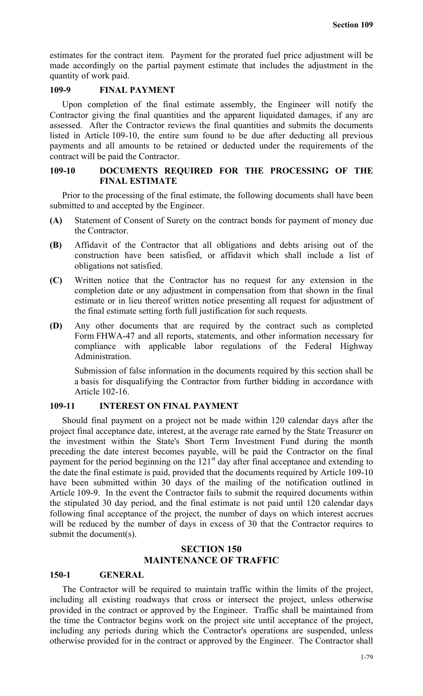estimates for the contract item. Payment for the prorated fuel price adjustment will be made accordingly on the partial payment estimate that includes the adjustment in the quantity of work paid.

## **109-9 FINAL PAYMENT**

Upon completion of the final estimate assembly, the Engineer will notify the Contractor giving the final quantities and the apparent liquidated damages, if any are assessed. After the Contractor reviews the final quantities and submits the documents listed in Article 109-10, the entire sum found to be due after deducting all previous payments and all amounts to be retained or deducted under the requirements of the contract will be paid the Contractor.

#### **109-10 DOCUMENTS REQUIRED FOR THE PROCESSING OF THE FINAL ESTIMATE**

Prior to the processing of the final estimate, the following documents shall have been submitted to and accepted by the Engineer.

- **(A)** Statement of Consent of Surety on the contract bonds for payment of money due the Contractor.
- **(B)** Affidavit of the Contractor that all obligations and debts arising out of the construction have been satisfied, or affidavit which shall include a list of obligations not satisfied.
- **(C)** Written notice that the Contractor has no request for any extension in the completion date or any adjustment in compensation from that shown in the final estimate or in lieu thereof written notice presenting all request for adjustment of the final estimate setting forth full justification for such requests.
- **(D)** Any other documents that are required by the contract such as completed Form FHWA-47 and all reports, statements, and other information necessary for compliance with applicable labor regulations of the Federal Highway Administration.

Submission of false information in the documents required by this section shall be a basis for disqualifying the Contractor from further bidding in accordance with Article 102-16.

### **109-11 INTEREST ON FINAL PAYMENT**

Should final payment on a project not be made within 120 calendar days after the project final acceptance date, interest, at the average rate earned by the State Treasurer on the investment within the State's Short Term Investment Fund during the month preceding the date interest becomes payable, will be paid the Contractor on the final payment for the period beginning on the  $121<sup>st</sup>$  day after final acceptance and extending to the date the final estimate is paid, provided that the documents required by Article 109-10 have been submitted within 30 days of the mailing of the notification outlined in Article 109-9. In the event the Contractor fails to submit the required documents within the stipulated 30 day period, and the final estimate is not paid until 120 calendar days following final acceptance of the project, the number of days on which interest accrues will be reduced by the number of days in excess of 30 that the Contractor requires to submit the document(s).

## **SECTION 150 MAINTENANCE OF TRAFFIC**

#### **150-1 GENERAL**

The Contractor will be required to maintain traffic within the limits of the project, including all existing roadways that cross or intersect the project, unless otherwise provided in the contract or approved by the Engineer. Traffic shall be maintained from the time the Contractor begins work on the project site until acceptance of the project, including any periods during which the Contractor's operations are suspended, unless otherwise provided for in the contract or approved by the Engineer. The Contractor shall